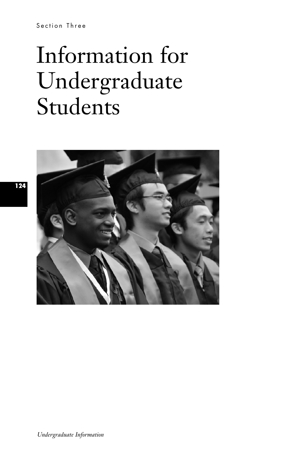Section Three

# Information for Undergraduate Students



**124**

*Undergraduate Information*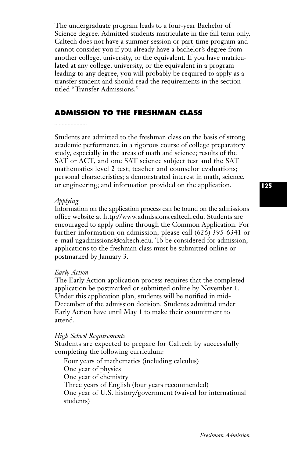The undergraduate program leads to a four-year Bachelor of Science degree. Admitted students matriculate in the fall term only. Caltech does not have a summer session or part-time program and cannot consider you if you already have a bachelor's degree from another college, university, or the equivalent. If you have matriculated at any college, university, or the equivalent in a program leading to any degree, you will probably be required to apply as a transfer student and should read the requirements in the section titled "Transfer Admissions.''

# **ADMISSION TO THE FRESHMAN CLASS**

#### 

Students are admitted to the freshman class on the basis of strong academic performance in a rigorous course of college preparatory study, especially in the areas of math and science; results of the SAT or ACT, and one SAT science subject test and the SAT mathematics level 2 test; teacher and counselor evaluations; personal characteristics; a demonstrated interest in math, science, or engineering; and information provided on the application.

#### *Applying*

Information on the application process can be found on the admissions office website at http://www.admissions.caltech.edu. Students are encouraged to apply online through the Common Application. For further information on admission, please call (626) 395-6341 or e-mail ugadmissions@caltech.edu. To be considered for admission, applications to the freshman class must be submitted online or postmarked by January 3.

#### *Early Action*

The Early Action application process requires that the completed application be postmarked or submitted online by November 1. Under this application plan, students will be notified in mid-December of the admission decision. Students admitted under Early Action have until May 1 to make their commitment to attend.

#### *High School Requirements*

Students are expected to prepare for Caltech by successfully completing the following curriculum:

Four years of mathematics (including calculus) One year of physics One year of chemistry Three years of English (four years recommended) One year of U.S. history/government (waived for international students)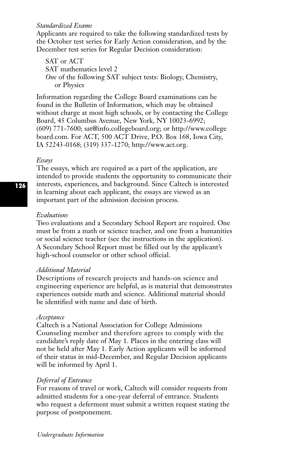#### *Standardized Exams*

Applicants are required to take the following standardized tests by the October test series for Early Action consideration, and by the December test series for Regular Decision consideration:

SAT or ACT SAT mathematics level 2 *One* of the following SAT subject tests: Biology, Chemistry, or Physics

Information regarding the College Board examinations can be found in the Bulletin of Information, which may be obtained without charge at most high schools, or by contacting the College Board, 45 Columbus Avenue, New York, NY 10023-6992; (609) 771-7600; sat@info.collegeboard.org; or http://www.college board.com. For ACT, 500 ACT Drive, P.O. Box 168, Iowa City, IA 52243-0168; (319) 337-1270; http://www.act.org.

#### *Essays*

The essays, which are required as a part of the application, are intended to provide students the opportunity to communicate their interests, experiences, and background. Since Caltech is interested in learning about each applicant, the essays are viewed as an important part of the admission decision process.

#### *Evaluations*

Two evaluations and a Secondary School Report are required. One must be from a math or science teacher, and one from a humanities or social science teacher (see the instructions in the application). A Secondary School Report must be filled out by the applicant's high-school counselor or other school official.

## *Additional Material*

Descriptions of research projects and hands-on science and engineering experience are helpful, as is material that demonstrates experiences outside math and science. Additional material should be identified with name and date of birth.

## *Acceptance*

Caltech is a National Association for College Admissions Counseling member and therefore agrees to comply with the candidate's reply date of May 1. Places in the entering class will not be held after May 1. Early Action applicants will be informed of their status in mid-December, and Regular Decision applicants will be informed by April 1.

## *Deferral of Entrance*

For reasons of travel or work, Caltech will consider requests from admitted students for a one-year deferral of entrance. Students who request a deferment must submit a written request stating the purpose of postponement.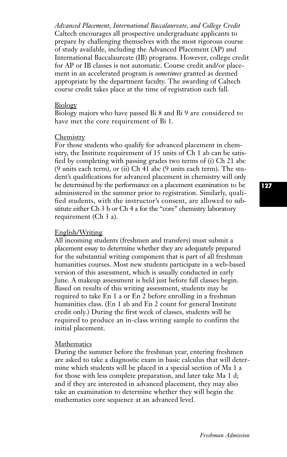*Advanced Placement, International Baccalaureate, and College Credit* Caltech encourages all prospective undergraduate applicants to prepare by challenging themselves with the most rigorous course of study available, including the Advanced Placement (AP) and International Baccalaureate (IB) programs. However, college credit for AP or IB classes is not automatic. Course credit and/or placement in an accelerated program is *sometimes* granted as deemed appropriate by the department faculty. The awarding of Caltech course credit takes place at the time of registration each fall.

#### Biology

Biology majors who have passed Bi 8 and Bi 9 are considered to have met the core requirement of Bi 1.

#### Chemistry

For those students who qualify for advanced placement in chemistry, the Institute requirement of 15 units of Ch 1 ab can be satisfied by completing with passing grades two terms of (i) Ch 21 abc (9 units each term), or (ii) Ch 41 abc (9 units each term). The student's qualifications for advanced placement in chemistry will only be determined by the performance on a placement examination to be administered in the summer prior to registration. Similarly, qualified students, with the instructor's consent, are allowed to substitute either Ch 3 b or Ch 4 a for the "core" chemistry laboratory requirement (Ch 3 a).

#### English/Writing

All incoming students (freshmen and transfers) must submit a placement essay to determine whether they are adequately prepared for the substantial writing component that is part of all freshman humanities courses. Most new students participate in a web-based version of this assessment, which is usually conducted in early June. A makeup assessment is held just before fall classes begin. Based on results of this writing assessment, students may be required to take En 1 a or En 2 before enrolling in a freshman humanities class. (En 1 ab and En 2 count for general Institute credit only.) During the first week of classes, students will be required to produce an in-class writing sample to confirm the initial placement.

#### Mathematics

During the summer before the freshman year, entering freshmen are asked to take a diagnostic exam in basic calculus that will determine which students will be placed in a special section of Ma 1 a for those with less complete preparation, and later take Ma 1 d; and if they are interested in advanced placement, they may also take an examination to determine whether they will begin the mathematics core sequence at an advanced level.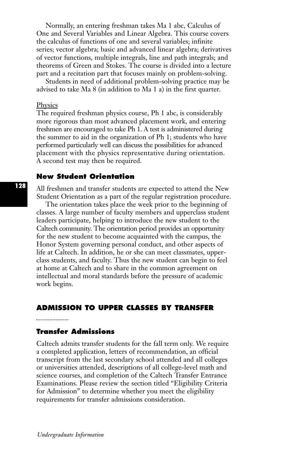Normally, an entering freshman takes Ma 1 abc, Calculus of One and Several Variables and Linear Algebra. This course covers the calculus of functions of one and several variables; infinite series; vector algebra; basic and advanced linear algebra; derivatives of vector functions, multiple integrals, line and path integrals; and theorems of Green and Stokes. The course is divided into a lecture part and a recitation part that focuses mainly on problem-solving.

Students in need of additional problem-solving practice may be advised to take Ma 8 (in addition to Ma 1 a) in the first quarter.

#### **Physics**

The required freshman physics course, Ph 1 abc, is considerably more rigorous than most advanced placement work, and entering freshmen are encouraged to take Ph 1. A test is administered during the summer to aid in the organization of Ph 1; students who have performed particularly well can discuss the possibilities for advanced placement with the physics representative during orientation. A second test may then be required.

# **New Student Orientation**

All freshmen and transfer students are expected to attend the New Student Orientation as a part of the regular registration procedure.

The orientation takes place the week prior to the beginning of classes. A large number of faculty members and upperclass student leaders participate, helping to introduce the new student to the Caltech community. The orientation period provides an opportunity for the new student to become acquainted with the campus, the Honor System governing personal conduct, and other aspects of life at Caltech. In addition, he or she can meet classmates, upperclass students, and faculty. Thus the new student can begin to feel at home at Caltech and to share in the common agreement on intellectual and moral standards before the pressure of academic work begins.

# **ADMISSION TO UPPER CLASSES BY TRANSFER**

#### 

# **Transfer Admissions**

Caltech admits transfer students for the fall term only. We require a completed application, letters of recommendation, an official transcript from the last secondary school attended and all colleges or universities attended, descriptions of all college-level math and science courses, and completion of the Caltech Transfer Entrance Examinations. Please review the section titled "Eligibility Criteria for Admission'' to determine whether you meet the eligibility requirements for transfer admissions consideration.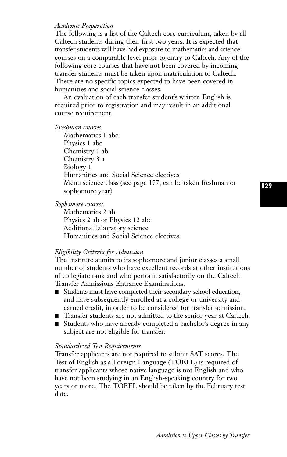#### *Academic Preparation*

The following is a list of the Caltech core curriculum, taken by all Caltech students during their first two years. It is expected that transfer students will have had exposure to mathematics and science courses on a comparable level prior to entry to Caltech. Any of the following core courses that have not been covered by incoming transfer students must be taken upon matriculation to Caltech. There are no specific topics expected to have been covered in humanities and social science classes.

An evaluation of each transfer student's written English is required prior to registration and may result in an additional course requirement.

*Freshman courses:*

Mathematics 1 abc Physics 1 abc Chemistry 1 ab Chemistry 3 a Biology 1 Humanities and Social Science electives Menu science class (see page 177; can be taken freshman or sophomore year)

*Sophomore courses:*

Mathematics 2 ab Physics 2 ab or Physics 12 abc Additional laboratory science Humanities and Social Science electives

#### *Eligibility Criteria for Admission*

The Institute admits to its sophomore and junior classes a small number of students who have excellent records at other institutions of collegiate rank and who perform satisfactorily on the Caltech Transfer Admissions Entrance Examinations.

- Students must have completed their secondary school education, and have subsequently enrolled at a college or university and earned credit, in order to be considered for transfer admission.
- Transfer students are not admitted to the senior year at Caltech.
- Students who have already completed a bachelor's degree in any subject are not eligible for transfer.

# *Standardized Test Requirements*

Transfer applicants are not required to submit SAT scores. The Test of English as a Foreign Language (TOEFL) is required of transfer applicants whose native language is not English and who have not been studying in an English-speaking country for two years or more. The TOEFL should be taken by the February test date.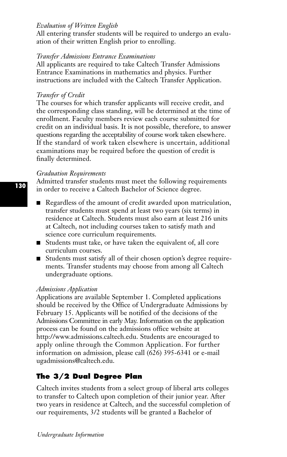# *Evaluation of Written English*

All entering transfer students will be required to undergo an evaluation of their written English prior to enrolling.

## *Transfer Admissions Entrance Examinations*

All applicants are required to take Caltech Transfer Admissions Entrance Examinations in mathematics and physics. Further instructions are included with the Caltech Transfer Application.

#### *Transfer of Credit*

The courses for which transfer applicants will receive credit, and the corresponding class standing, will be determined at the time of enrollment. Faculty members review each course submitted for credit on an individual basis. It is not possible, therefore, to answer questions regarding the acceptability of course work taken elsewhere. If the standard of work taken elsewhere is uncertain, additional examinations may be required before the question of credit is finally determined.

#### *Graduation Requirements*

Admitted transfer students must meet the following requirements in order to receive a Caltech Bachelor of Science degree.

- Regardless of the amount of credit awarded upon matriculation, transfer students must spend at least two years (six terms) in residence at Caltech. Students must also earn at least 216 units at Caltech, not including courses taken to satisfy math and science core curriculum requirements.
- Students must take, or have taken the equivalent of, all core curriculum courses.
- Students must satisfy all of their chosen option's degree requirements. Transfer students may choose from among all Caltech undergraduate options.

#### *Admissions Application*

Applications are available September 1. Completed applications should be received by the Office of Undergraduate Admissions by February 15. Applicants will be notified of the decisions of the Admissions Committee in early May. Information on the application process can be found on the admissions office website at http://www.admissions.caltech.edu. Students are encouraged to apply online through the Common Application. For further information on admission, please call (626) 395-6341 or e-mail ugadmissions@caltech.edu.

# **The 3/2 Dual Degree Plan**

Caltech invites students from a select group of liberal arts colleges to transfer to Caltech upon completion of their junior year. After two years in residence at Caltech, and the successful completion of our requirements, 3/2 students will be granted a Bachelor of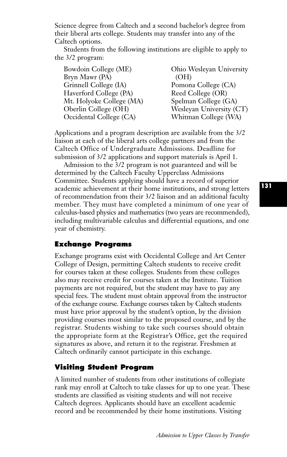Science degree from Caltech and a second bachelor's degree from their liberal arts college. Students may transfer into any of the Caltech options.

Students from the following institutions are eligible to apply to the 3/2 program:

| Bowdoin College (ME)     | Ohio Wesleyan University |
|--------------------------|--------------------------|
| Bryn Mawr (PA)           | (OH)                     |
| Grinnell College (IA)    | Pomona College (CA)      |
| Haverford College (PA)   | Reed College (OR)        |
| Mt. Holyoke College (MA) | Spelman College (GA)     |
| Oberlin College (OH)     | Wesleyan University (CT) |
| Occidental College (CA)  | Whitman College (WA)     |

Applications and a program description are available from the 3/2 liaison at each of the liberal arts college partners and from the Caltech Office of Undergraduate Admissions. Deadline for submission of 3/2 applications and support materials is April 1.

Admission to the 3/2 program is not guaranteed and will be determined by the Caltech Faculty Upperclass Admissions Committee. Students applying should have a record of superior academic achievement at their home institutions, and strong letters of recommendation from their 3/2 liaison and an additional faculty member. They must have completed a minimum of one year of calculus-based physics and mathematics (two years are recommended), including multivariable calculus and differential equations, and one year of chemistry.

# **Exchange Programs**

Exchange programs exist with Occidental College and Art Center College of Design, permitting Caltech students to receive credit for courses taken at these colleges. Students from these colleges also may receive credit for courses taken at the Institute. Tuition payments are not required, but the student may have to pay any special fees. The student must obtain approval from the instructor of the exchange course. Exchange courses taken by Caltech students must have prior approval by the student's option, by the division providing courses most similar to the proposed course, and by the registrar. Students wishing to take such courses should obtain the appropriate form at the Registrar's Office, get the required signatures as above, and return it to the registrar. Freshmen at Caltech ordinarily cannot participate in this exchange.

# **Visiting Student Program**

A limited number of students from other institutions of collegiate rank may enroll at Caltech to take classes for up to one year. These students are classified as visiting students and will not receive Caltech degrees. Applicants should have an excellent academic record and be recommended by their home institutions. Visiting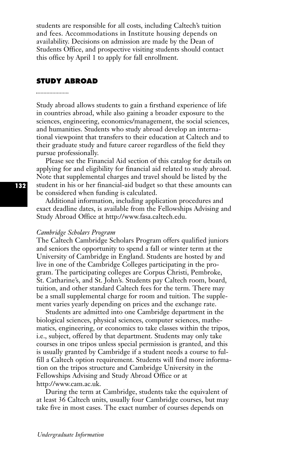students are responsible for all costs, including Caltech's tuition and fees. Accommodations in Institute housing depends on availability. Decisions on admission are made by the Dean of Students Office, and prospective visiting students should contact this office by April 1 to apply for fall enrollment.

#### **STUDY ABROAD**

Study abroad allows students to gain a firsthand experience of life in countries abroad, while also gaining a broader exposure to the sciences, engineering, economics/management, the social sciences, and humanities. Students who study abroad develop an international viewpoint that transfers to their education at Caltech and to their graduate study and future career regardless of the field they pursue professionally.

Please see the Financial Aid section of this catalog for details on applying for and eligibility for financial aid related to study abroad. Note that supplemental charges and travel should be listed by the student in his or her financial-aid budget so that these amounts can be considered when funding is calculated.

Additional information, including application procedures and exact deadline dates, is available from the Fellowships Advising and Study Abroad Office at http://www.fasa.caltech.edu.

#### *Cambridge Scholars Program*

The Caltech Cambridge Scholars Program offers qualified juniors and seniors the opportunity to spend a fall or winter term at the University of Cambridge in England. Students are hosted by and live in one of the Cambridge Colleges participating in the program. The participating colleges are Corpus Christi, Pembroke, St. Catharine's, and St. John's. Students pay Caltech room, board, tuition, and other standard Caltech fees for the term. There may be a small supplemental charge for room and tuition. The supplement varies yearly depending on prices and the exchange rate.

Students are admitted into one Cambridge department in the biological sciences, physical sciences, computer sciences, mathematics, engineering, or economics to take classes within the tripos, i.e., subject, offered by that department. Students may only take courses in one tripos unless special permission is granted, and this is usually granted by Cambridge if a student needs a course to fulfill a Caltech option requirement. Students will find more information on the tripos structure and Cambridge University in the Fellowships Advising and Study Abroad Office or at http://www.cam.ac.uk.

During the term at Cambridge, students take the equivalent of at least 36 Caltech units, usually four Cambridge courses, but may take five in most cases. The exact number of courses depends on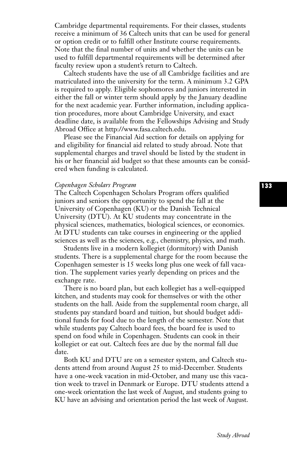Cambridge departmental requirements. For their classes, students receive a minimum of 36 Caltech units that can be used for general or option credit or to fulfill other Institute course requirements. Note that the final number of units and whether the units can be used to fulfill departmental requirements will be determined after faculty review upon a student's return to Caltech.

Caltech students have the use of all Cambridge facilities and are matriculated into the university for the term. A minimum 3.2 GPA is required to apply. Eligible sophomores and juniors interested in either the fall or winter term should apply by the January deadline for the next academic year. Further information, including application procedures, more about Cambridge University, and exact deadline date, is available from the Fellowships Advising and Study Abroad Office at http://www.fasa.caltech.edu.

Please see the Financial Aid section for details on applying for and eligibility for financial aid related to study abroad. Note that supplemental charges and travel should be listed by the student in his or her financial aid budget so that these amounts can be considered when funding is calculated.

#### *Copenhagen Scholars Program*

The Caltech Copenhagen Scholars Program offers qualified juniors and seniors the opportunity to spend the fall at the University of Copenhagen (KU) or the Danish Technical University (DTU). At KU students may concentrate in the physical sciences, mathematics, biological sciences, or economics. At DTU students can take courses in engineering or the applied sciences as well as the sciences, e.g., chemistry, physics, and math.

Students live in a modern kollegiet (dormitory) with Danish students. There is a supplemental charge for the room because the Copenhagen semester is 15 weeks long plus one week of fall vacation. The supplement varies yearly depending on prices and the exchange rate.

There is no board plan, but each kollegiet has a well-equipped kitchen, and students may cook for themselves or with the other students on the hall. Aside from the supplemental room charge, all students pay standard board and tuition, but should budget additional funds for food due to the length of the semester. Note that while students pay Caltech board fees, the board fee is used to spend on food while in Copenhagen. Students can cook in their kollegiet or eat out. Caltech fees are due by the normal fall due date.

Both KU and DTU are on a semester system, and Caltech students attend from around August 25 to mid-December. Students have a one-week vacation in mid-October, and many use this vacation week to travel in Denmark or Europe. DTU students attend a one-week orientation the last week of August, and students going to KU have an advising and orientation period the last week of August.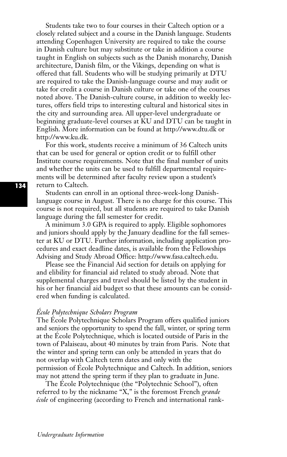Students take two to four courses in their Caltech option or a closely related subject and a course in the Danish language. Students attending Copenhagen University are required to take the course in Danish culture but may substitute or take in addition a course taught in English on subjects such as the Danish monarchy, Danish architecture, Danish film, or the Vikings, depending on what is offered that fall. Students who will be studying primarily at DTU are required to take the Danish-language course and may audit or take for credit a course in Danish culture or take one of the courses noted above. The Danish-culture course, in addition to weekly lectures, offers field trips to interesting cultural and historical sites in the city and surrounding area. All upper-level undergraduate or beginning graduate-level courses at KU and DTU can be taught in English. More information can be found at http://www.dtu.dk or http://www.ku.dk.

For this work, students receive a minimum of 36 Caltech units that can be used for general or option credit or to fulfill other Institute course requirements. Note that the final number of units and whether the units can be used to fulfill departmental requirements will be determined after faculty review upon a student's return to Caltech.

Students can enroll in an optional three-week-long Danishlanguage course in August. There is no charge for this course. This course is not required, but all students are required to take Danish language during the fall semester for credit.

A minimum 3.0 GPA is required to apply. Eligible sophomores and juniors should apply by the January deadline for the fall semester at KU or DTU. Further information, including application procedures and exact deadline dates, is available from the Fellowships Advising and Study Abroad Office: http://www.fasa.caltech.edu.

Please see the Financial Aid section for details on applying for and elibility for financial aid related to study abroad. Note that supplemental charges and travel should be listed by the student in his or her financial aid budget so that these amounts can be considered when funding is calculated.

#### *École Polytechnique Scholars Program*

The École Polytechnique Scholars Program offers qualified juniors and seniors the opportunity to spend the fall, winter, or spring term at the École Polytechnique, which is located outside of Paris in the town of Palaiseau, about 40 minutes by train from Paris. Note that the winter and spring term can only be attended in years that do not overlap with Caltech term dates and only with the permission of École Polytechnique and Caltech. In addition, seniors may not attend the spring term if they plan to graduate in June.

The École Polytechnique (the "Polytechnic School"), often referred to by the nickname "X," is the foremost French *grande école* of engineering (according to French and international rank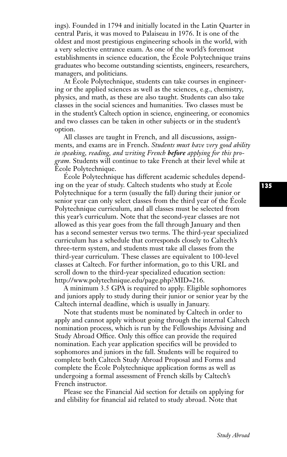ings). Founded in 1794 and initially located in the Latin Quarter in central Paris, it was moved to Palaiseau in 1976. It is one of the oldest and most prestigious engineering schools in the world, with a very selective entrance exam. As one of the world's foremost establishments in science education, the École Polytechnique trains graduates who become outstanding scientists, engineers, researchers, managers, and politicians.

At École Polytechnique, students can take courses in engineering or the applied sciences as well as the sciences, e.g., chemistry, physics, and math, as these are also taught. Students can also take classes in the social sciences and humanities. Two classes must be in the student's Caltech option in science, engineering, or economics and two classes can be taken in other subjects or in the student's option.

All classes are taught in French, and all discussions, assignments, and exams are in French. *Students must have very good ability in speaking, reading, and writing French before applying for this program.* Students will continue to take French at their level while at École Polytechnique.

École Polytechnique has different academic schedules depending on the year of study. Caltech students who study at École Polytechnique for a term (usually the fall) during their junior or senior year can only select classes from the third year of the École Polytechnique curriculum, and all classes must be selected from this year's curriculum. Note that the second-year classes are not allowed as this year goes from the fall through January and then has a second semester versus two terms. The third-year specialized curriculum has a schedule that corresponds closely to Caltech's three-term system, and students must take all classes from the third-year curriculum. These classes are equivalent to 100-level classes at Caltech. For further information, go to this URL and scroll down to the third-year specialized education section: http://www.polytechnique.edu/page.php?MID=216.

A minimum 3.5 GPA is required to apply. Eligible sophomores and juniors apply to study during their junior or senior year by the Caltech internal deadline, which is usually in January.

Note that students must be nominated by Caltech in order to apply and cannot apply without going through the internal Caltech nomination process, which is run by the Fellowships Advising and Study Abroad Office. Only this office can provide the required nomination. Each year application specifics will be provided to sophomores and juniors in the fall. Students will be required to complete both Caltech Study Abroad Proposal and Forms and complete the École Polytechnique application forms as well as undergoing a formal assessment of French skills by Caltech's French instructor.

Please see the Financial Aid section for details on applying for and elibility for financial aid related to study abroad. Note that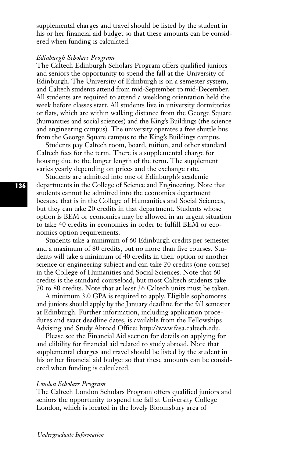supplemental charges and travel should be listed by the student in his or her financial aid budget so that these amounts can be considered when funding is calculated.

#### *Edinburgh Scholars Program*

The Caltech Edinburgh Scholars Program offers qualified juniors and seniors the opportunity to spend the fall at the University of Edinburgh. The University of Edinburgh is on a semester system, and Caltech students attend from mid-September to mid-December. All students are required to attend a weeklong orientation held the week before classes start. All students live in university dormitories or flats, which are within walking distance from the George Square (humanities and social sciences) and the King's Buildings (the science and engineering campus). The university operates a free shuttle bus from the George Square campus to the King's Buildings campus.

Students pay Caltech room, board, tuition, and other standard Caltech fees for the term. There is a supplemental charge for housing due to the longer length of the term. The supplement varies yearly depending on prices and the exchange rate.

Students are admitted into one of Edinburgh's academic departments in the College of Science and Engineering. Note that students cannot be admitted into the economics department because that is in the College of Humanities and Social Sciences, but they can take 20 credits in that department. Students whose option is BEM or economics may be allowed in an urgent situation to take 40 credits in economics in order to fulfill BEM or economics option requirements.

Students take a minimum of 60 Edinburgh credits per semester and a maximum of 80 credits, but no more than five courses. Students will take a minimum of 40 credits in their option or another science or engineering subject and can take 20 credits (one course) in the College of Humanities and Social Sciences. Note that 60 credits is the standard courseload, but most Caltech students take 70 to 80 credits. Note that at least 36 Caltech units must be taken.

A minimum 3.0 GPA is required to apply. Eligible sophomores and juniors should apply by the January deadline for the fall semester at Edinburgh. Further information, including application procedures and exact deadline dates, is available from the Fellowships Advising and Study Abroad Office: http://www.fasa.caltech.edu.

Please see the Financial Aid section for details on applying for and elibility for financial aid related to study abroad. Note that supplemental charges and travel should be listed by the student in his or her financial aid budget so that these amounts can be considered when funding is calculated.

#### *London Scholars Program*

The Caltech London Scholars Program offers qualified juniors and seniors the opportunity to spend the fall at University College London, which is located in the lovely Bloomsbury area of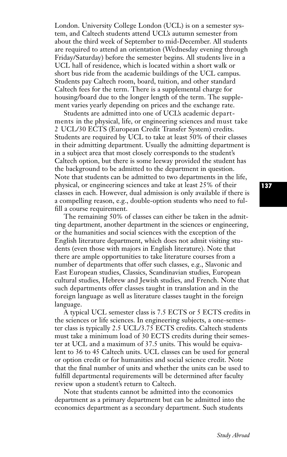London. University College London (UCL) is on a semester system, and Caltech students attend UCL's autumn semester from about the third week of September to mid-December. All students are required to attend an orientation (Wednesday evening through Friday/Saturday) before the semester begins. All students live in a UCL hall of residence, which is located within a short walk or short bus ride from the academic buildings of the UCL campus. Students pay Caltech room, board, tuition, and other standard Caltech fees for the term. There is a supplemental charge for housing/board due to the longer length of the term. The supplement varies yearly depending on prices and the exchange rate.

Students are admitted into one of UCL's academic departments in the physical, life, or engineering sciences and must take 2 UCL/30 ECTS (European Credit Transfer System) credits. Students are required by UCL to take at least 50% of their classes in their admitting department. Usually the admitting department is in a subject area that most closely corresponds to the student's Caltech option, but there is some leeway provided the student has the background to be admitted to the department in question. Note that students can be admitted to two departments in the life, physical, or engineering sciences and take at least 25% of their classes in each. However, dual admission is only available if there is a compelling reason, e.g., double-option students who need to fulfill a course requirement.

The remaining 50% of classes can either be taken in the admitting department, another department in the sciences or engineering, or the humanities and social sciences with the exception of the English literature department, which does not admit visiting students (even those with majors in English literature). Note that there are ample opportunities to take literature courses from a number of departments that offer such classes, e.g., Slavonic and East European studies, Classics, Scandinavian studies, European cultural studies, Hebrew and Jewish studies, and French. Note that such departments offer classes taught in translation and in the foreign language as well as literature classes taught in the foreign language.

A typical UCL semester class is 7.5 ECTS or 5 ECTS credits in the sciences or life sciences. In engineering subjects, a one-semester class is typically 2.5 UCL/3.75 ECTS credits. Caltech students must take a minimum load of 30 ECTS credits during their semester at UCL and a maximum of 37.5 units. This would be equivalent to 36 to 45 Caltech units. UCL classes can be used for general or option credit or for humanities and social science credit. Note that the final number of units and whether the units can be used to fulfill departmental requirements will be determined after faculty review upon a student's return to Caltech.

Note that students cannot be admitted into the economics department as a primary department but can be admitted into the economics department as a secondary department. Such students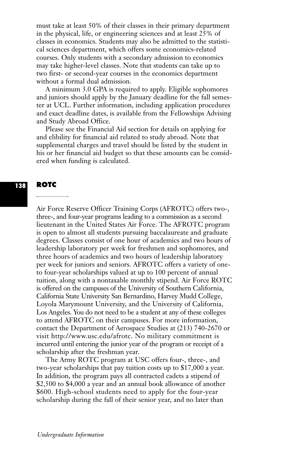must take at least 50% of their classes in their primary department in the physical, life, or engineering sciences and at least 25% of classes in economics. Students may also be admitted to the statistical sciences department, which offers some economics-related courses. Only students with a secondary admission to economics may take higher-level classes. Note that students can take up to two first- or second-year courses in the economics department without a formal dual admission.

A minimum 3.0 GPA is required to apply. Eligible sophomores and juniors should apply by the January deadline for the fall semester at UCL. Further information, including application procedures and exact deadline dates, is available from the Fellowships Advising and Study Abroad Office.

Please see the Financial Aid section for details on applying for and elibility for financial aid related to study abroad. Note that supplemental charges and travel should be listed by the student in his or her financial aid budget so that these amounts can be considered when funding is calculated.

#### **ROTC 138**

#### 

Air Force Reserve Officer Training Corps (AFROTC) offers two-, three-, and four-year programs leading to a commission as a second lieutenant in the United States Air Force. The AFROTC program is open to almost all students pursuing baccalaureate and graduate degrees. Classes consist of one hour of academics and two hours of leadership laboratory per week for freshmen and sophomores, and three hours of academics and two hours of leadership laboratory per week for juniors and seniors. AFROTC offers a variety of oneto four-year scholarships valued at up to 100 percent of annual tuition, along with a nontaxable monthly stipend. Air Force ROTC is offered on the campuses of the University of Southern California, California State University San Bernardino, Harvey Mudd College, Loyola Marymount University, and the University of California, Los Angeles. You do not need to be a student at any of these colleges to attend AFROTC on their campuses. For more information, contact the Department of Aerospace Studies at (213) 740-2670 or visit http://www.usc.edu/afrotc. No military commitment is incurred until entering the junior year of the program or receipt of a scholarship after the freshman year.

The Army ROTC program at USC offers four-, three-, and two-year scholarships that pay tuition costs up to \$17,000 a year. In addition, the program pays all contracted cadets a stipend of \$2,500 to \$4,000 a year and an annual book allowance of another \$600. High-school students need to apply for the four-year scholarship during the fall of their senior year, and no later than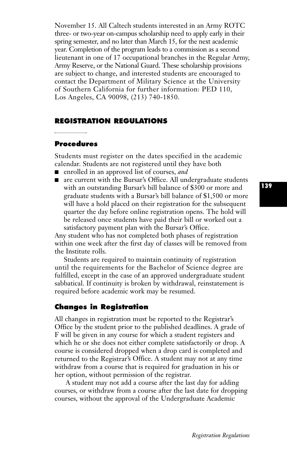November 15. All Caltech students interested in an Army ROTC three- or two-year on-campus scholarship need to apply early in their spring semester, and no later than March 15, for the next academic year. Completion of the program leads to a commission as a second lieutenant in one of 17 occupational branches in the Regular Army, Army Reserve, or the National Guard. These scholarship provisions are subject to change, and interested students are encouraged to contact the Department of Military Science at the University of Southern California for further information: PED 110, Los Angeles, CA 90098, (213) 740-1850.

# **REGISTRATION REGULATIONS**

#### 

#### **Procedures**

Students must register on the dates specified in the academic calendar. Students are not registered until they have both

- enrolled in an approved list of courses, *and*
- are current with the Bursar's Office. All undergraduate students with an outstanding Bursar's bill balance of \$300 or more and graduate students with a Bursar's bill balance of \$1,500 or more will have a hold placed on their registration for the subsequent quarter the day before online registration opens. The hold will be released once students have paid their bill or worked out a satisfactory payment plan with the Bursar's Office.

Any student who has not completed both phases of registration within one week after the first day of classes will be removed from the Institute rolls.

Students are required to maintain continuity of registration until the requirements for the Bachelor of Science degree are fulfilled, except in the case of an approved undergraduate student sabbatical. If continuity is broken by withdrawal, reinstatement is required before academic work may be resumed.

# **Changes in Registration**

All changes in registration must be reported to the Registrar's Office by the student prior to the published deadlines. A grade of F will be given in any course for which a student registers and which he or she does not either complete satisfactorily or drop. A course is considered dropped when a drop card is completed and returned to the Registrar's Office. A student may not at any time withdraw from a course that is required for graduation in his or her option, without permission of the registrar.

A student may not add a course after the last day for adding courses, or withdraw from a course after the last date for dropping courses, without the approval of the Undergraduate Academic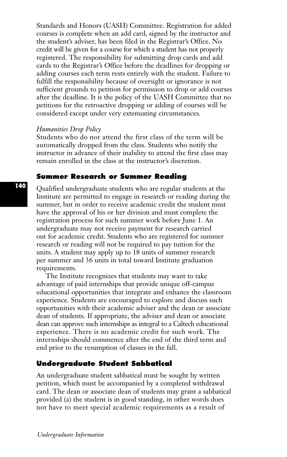Standards and Honors (UASH) Committee. Registration for added courses is complete when an add card, signed by the instructor and the student's adviser, has been filed in the Registrar's Office. No credit will be given for a course for which a student has not properly registered. The responsibility for submitting drop cards and add cards to the Registrar's Office before the deadlines for dropping or adding courses each term rests entirely with the student. Failure to fulfill the responsibility because of oversight or ignorance is not sufficient grounds to petition for permission to drop or add courses after the deadline. It is the policy of the UASH Committee that no petitions for the retroactive dropping or adding of courses will be considered except under very extenuating circumstances.

#### *Humanities Drop Policy*

Students who do not attend the first class of the term will be automatically dropped from the class. Students who notify the instructor in advance of their inability to attend the first class may remain enrolled in the class at the instructor's discretion.

#### **Summer Research or Summer Reading**

Qualified undergraduate students who are regular students at the Institute are permitted to engage in research or reading during the summer, but in order to receive academic credit the student must have the approval of his or her division and must complete the registration process for such summer work before June 1. An undergraduate may not receive payment for research carried out for academic credit. Students who are registered for summer research or reading will not be required to pay tuition for the units. A student may apply up to 18 units of summer research per summer and 36 units in total toward Institute graduation requirements.

The Institute recognizes that students may want to take advantage of paid internships that provide unique off-campus educational opportunities that integrate and enhance the classroom experience. Students are encouraged to explore and discuss such opportunities with their academic adviser and the dean or associate dean of students. If appropriate, the adviser and dean or associate dean can approve such internships as integral to a Caltech educational experience. There is no academic credit for such work. The internships should commence after the end of the third term and end prior to the resumption of classes in the fall.

# **Undergraduate Student Sabbatical**

An undergraduate student sabbatical must be sought by written petition, which must be accompanied by a completed withdrawal card. The dean or associate dean of students may grant a sabbatical provided (a) the student is in good standing, in other words does not have to meet special academic requirements as a result of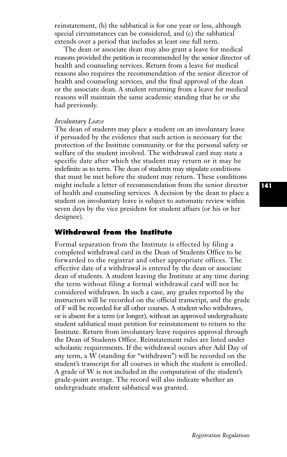reinstatement, (b) the sabbatical is for one year or less, although special circumstances can be considered, and (c) the sabbatical extends over a period that includes at least one full term.

The dean or associate dean may also grant a leave for medical reasons provided the petition is recommended by the senior director of health and counseling services. Return from a leave for medical reasons also requires the recommendation of the senior director of health and counseling services, and the final approval of the dean or the associate dean. A student returning from a leave for medical reasons will maintain the same academic standing that he or she had previously.

#### *Involuntary Leave*

The dean of students may place a student on an involuntary leave if persuaded by the evidence that such action is necessary for the protection of the Institute community or for the personal safety or welfare of the student involved. The withdrawal card may state a specific date after which the student may return or it may be indefinite as to term. The dean of students may stipulate conditions that must be met before the student may return. These conditions might include a letter of recommendation from the senior director of health and counseling services. A decision by the dean to place a student on involuntary leave is subject to automatic review within seven days by the vice president for student affairs (or his or her designee).

# **Withdrawal from the Institute**

Formal separation from the Institute is effected by filing a completed withdrawal card in the Dean of Students Office to be forwarded to the registrar and other appropriate offices. The effective date of a withdrawal is entered by the dean or associate dean of students. A student leaving the Institute at any time during the term without filing a formal withdrawal card will not be considered withdrawn. In such a case, any grades reported by the instructors will be recorded on the official transcript, and the grade of F will be recorded for all other courses. A student who withdraws, or is absent for a term (or longer), without an approved undergraduate student sabbatical must petition for reinstatement to return to the Institute. Return from involuntary leave requires approval through the Dean of Students Office. Reinstatement rules are listed under scholastic requirements. If the withdrawal occurs after Add Day of any term, a W (standing for "withdrawn") will be recorded on the student's transcript for all courses in which the student is enrolled. A grade of W is not included in the computation of the student's grade-point average. The record will also indicate whether an undergraduate student sabbatical was granted.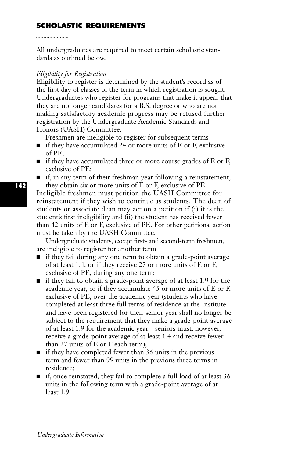# **SCHOLASTIC REQUIREMENTS**

All undergraduates are required to meet certain scholastic standards as outlined below.

#### *Eligibility for Registration*

Eligibility to register is determined by the student's record as of the first day of classes of the term in which registration is sought. Undergraduates who register for programs that make it appear that they are no longer candidates for a B.S. degree or who are not making satisfactory academic progress may be refused further registration by the Undergraduate Academic Standards and Honors (UASH) Committee.

Freshmen are ineligible to register for subsequent terms

- if they have accumulated 24 or more units of E or F, exclusive of PE;
- if they have accumulated three or more course grades of E or F, exclusive of PE;
- if, in any term of their freshman year following a reinstatement, they obtain six or more units of E or F, exclusive of PE.

Ineligible freshmen must petition the UASH Committee for reinstatement if they wish to continue as students. The dean of students or associate dean may act on a petition if (i) it is the student's first ineligibility and (ii) the student has received fewer than 42 units of E or F, exclusive of PE. For other petitions, action must be taken by the UASH Committee.

Undergraduate students, except first- and second-term freshmen, are ineligible to register for another term

- if they fail during any one term to obtain a grade-point average of at least 1.4, or if they receive 27 or more units of E or F, exclusive of PE, during any one term;
- if they fail to obtain a grade-point average of at least 1.9 for the academic year, or if they accumulate 45 or more units of E or F, exclusive of PE, over the academic year (students who have completed at least three full terms of residence at the Institute and have been registered for their senior year shall no longer be subject to the requirement that they make a grade-point average of at least 1.9 for the academic year—seniors must, however, receive a grade-point average of at least 1.4 and receive fewer than 27 units of E or F each term);
- if they have completed fewer than 36 units in the previous term and fewer than 99 units in the previous three terms in residence;
- if, once reinstated, they fail to complete a full load of at least 36 units in the following term with a grade-point average of at least 1.9.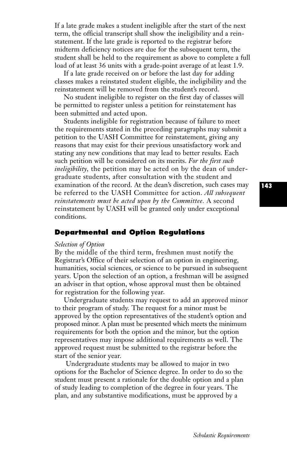If a late grade makes a student ineligible after the start of the next term, the official transcript shall show the ineligibility and a reinstatement. If the late grade is reported to the registrar before midterm deficiency notices are due for the subsequent term, the student shall be held to the requirement as above to complete a full load of at least 36 units with a grade-point average of at least 1.9.

If a late grade received on or before the last day for adding classes makes a reinstated student eligible, the ineligibility and the reinstatement will be removed from the student's record.

No student ineligible to register on the first day of classes will be permitted to register unless a petition for reinstatement has been submitted and acted upon.

Students ineligible for registration because of failure to meet the requirements stated in the preceding paragraphs may submit a petition to the UASH Committee for reinstatement, giving any reasons that may exist for their previous unsatisfactory work and stating any new conditions that may lead to better results. Each such petition will be considered on its merits. *For the first such ineligibility,* the petition may be acted on by the dean of undergraduate students, after consultation with the student and examination of the record. At the dean's discretion, such cases may be referred to the UASH Committee for action. *All subsequent reinstatements must be acted upon by the Committee.* A second reinstatement by UASH will be granted only under exceptional conditions.

# **Departmental and Option Regulations**

#### *Selection of Option*

By the middle of the third term, freshmen must notify the Registrar's Office of their selection of an option in engineering, humanities, social sciences, or science to be pursued in subsequent years. Upon the selection of an option, a freshman will be assigned an adviser in that option, whose approval must then be obtained for registration for the following year.

Undergraduate students may request to add an approved minor to their program of study. The request for a minor must be approved by the option representatives of the student's option and proposed minor. A plan must be presented which meets the minimum requirements for both the option and the minor, but the option representatives may impose additional requirements as well. The approved request must be submitted to the registrar before the start of the senior year.

Undergraduate students may be allowed to major in two options for the Bachelor of Science degree. In order to do so the student must present a rationale for the double option and a plan of study leading to completion of the degree in four years. The plan, and any substantive modifications, must be approved by a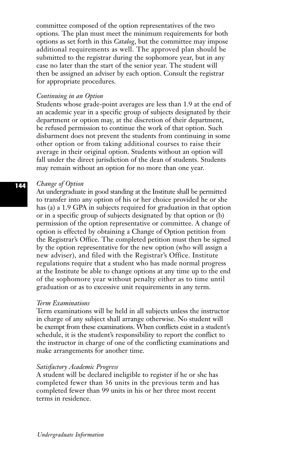committee composed of the option representatives of the two options. The plan must meet the minimum requirements for both options as set forth in this *Catalog*, but the committee may impose additional requirements as well. The approved plan should be submitted to the registrar during the sophomore year, but in any case no later than the start of the senior year. The student will then be assigned an adviser by each option. Consult the registrar for appropriate procedures.

#### *Continuing in an Option*

Students whose grade-point averages are less than 1.9 at the end of an academic year in a specific group of subjects designated by their department or option may, at the discretion of their department, be refused permission to continue the work of that option. Such disbarment does not prevent the students from continuing in some other option or from taking additional courses to raise their average in their original option. Students without an option will fall under the direct jurisdiction of the dean of students. Students may remain without an option for no more than one year.

#### *Change of Option*

An undergraduate in good standing at the Institute shall be permitted to transfer into any option of his or her choice provided he or she has (a) a 1.9 GPA in subjects required for graduation in that option or in a specific group of subjects designated by that option or (b) permission of the option representative or committee. A change of option is effected by obtaining a Change of Option petition from the Registrar's Office. The completed petition must then be signed by the option representative for the new option (who will assign a new adviser), and filed with the Registrar's Office. Institute regulations require that a student who has made normal progress at the Institute be able to change options at any time up to the end of the sophomore year without penalty either as to time until graduation or as to excessive unit requirements in any term.

#### *Term Examinations*

Term examinations will be held in all subjects unless the instructor in charge of any subject shall arrange otherwise. No student will be exempt from these examinations. When conflicts exist in a student's schedule, it is the student's responsibility to report the conflict to the instructor in charge of one of the conflicting examinations and make arrangements for another time.

#### *Satisfactory Academic Progress*

A student will be declared ineligible to register if he or she has completed fewer than 36 units in the previous term and has completed fewer than 99 units in his or her three most recent terms in residence.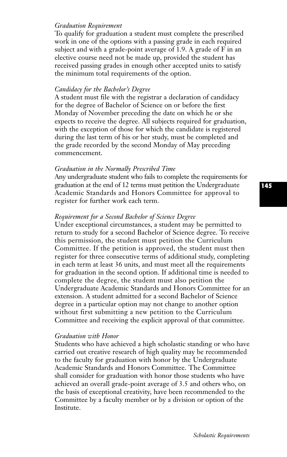#### *Graduation Requirement*

To qualify for graduation a student must complete the prescribed work in one of the options with a passing grade in each required subject and with a grade-point average of 1.9. A grade of F in an elective course need not be made up, provided the student has received passing grades in enough other accepted units to satisfy the minimum total requirements of the option.

#### *Candidacy for the Bachelor's Degree*

A student must file with the registrar a declaration of candidacy for the degree of Bachelor of Science on or before the first Monday of November preceding the date on which he or she expects to receive the degree. All subjects required for graduation, with the exception of those for which the candidate is registered during the last term of his or her study, must be completed and the grade recorded by the second Monday of May preceding commencement.

#### *Graduation in the Normally Prescribed Time*

Any undergraduate student who fails to complete the requirements for graduation at the end of 12 terms must petition the Undergraduate Academic Standards and Honors Committee for approval to register for further work each term.

#### *Requirement for a Second Bachelor of Science Degree*

Under exceptional circumstances, a student may be permitted to return to study for a second Bachelor of Science degree. To receive this permission, the student must petition the Curriculum Committee. If the petition is approved, the student must then register for three consecutive terms of additional study, completing in each term at least 36 units, and must meet all the requirements for graduation in the second option. If additional time is needed to complete the degree, the student must also petition the Undergraduate Academic Standards and Honors Committee for an extension. A student admitted for a second Bachelor of Science degree in a particular option may not change to another option without first submitting a new petition to the Curriculum Committee and receiving the explicit approval of that committee.

#### *Graduation with Honor*

Students who have achieved a high scholastic standing or who have carried out creative research of high quality may be recommended to the faculty for graduation with honor by the Undergraduate Academic Standards and Honors Committee. The Committee shall consider for graduation with honor those students who have achieved an overall grade-point average of 3.5 and others who, on the basis of exceptional creativity, have been recommended to the Committee by a faculty member or by a division or option of the Institute.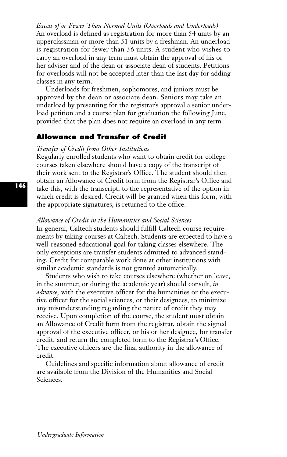*Excess of or Fewer Than Normal Units (Overloads and Underloads)* An overload is defined as registration for more than 54 units by an upperclassman or more than 51 units by a freshman. An underload is registration for fewer than 36 units. A student who wishes to carry an overload in any term must obtain the approval of his or her adviser and of the dean or associate dean of students. Petitions for overloads will not be accepted later than the last day for adding classes in any term.

Underloads for freshmen, sophomores, and juniors must be approved by the dean or associate dean. Seniors may take an underload by presenting for the registrar's approval a senior underload petition and a course plan for graduation the following June, provided that the plan does not require an overload in any term.

# **Allowance and Transfer of Credit**

#### *Transfer of Credit from Other Institutions*

Regularly enrolled students who want to obtain credit for college courses taken elsewhere should have a copy of the transcript of their work sent to the Registrar's Office. The student should then obtain an Allowance of Credit form from the Registrar's Office and take this, with the transcript, to the representative of the option in which credit is desired. Credit will be granted when this form, with the appropriate signatures, is returned to the office.

#### *Allowance of Credit in the Humanities and Social Sciences*

In general, Caltech students should fulfill Caltech course requirements by taking courses at Caltech. Students are expected to have a well-reasoned educational goal for taking classes elsewhere. The only exceptions are transfer students admitted to advanced standing. Credit for comparable work done at other institutions with similar academic standards is not granted automatically.

Students who wish to take courses elsewhere (whether on leave, in the summer, or during the academic year) should consult, *in advance,* with the executive officer for the humanities or the executive officer for the social sciences, or their designees, to minimize any misunderstanding regarding the nature of credit they may receive. Upon completion of the course, the student must obtain an Allowance of Credit form from the registrar, obtain the signed approval of the executive officer, or his or her designee, for transfer credit, and return the completed form to the Registrar's Office. The executive officers are the final authority in the allowance of credit.

Guidelines and specific information about allowance of credit are available from the Division of the Humanities and Social Sciences.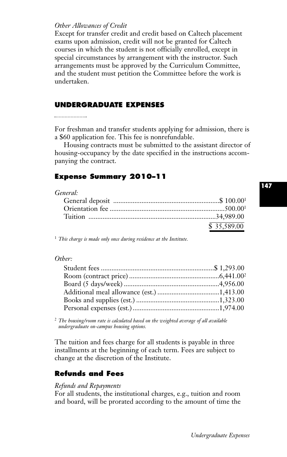#### *Other Allowances of Credit*

Except for transfer credit and credit based on Caltech placement exams upon admission, credit will not be granted for Caltech courses in which the student is not officially enrolled, except in special circumstances by arrangement with the instructor. Such arrangements must be approved by the Curriculum Committee, and the student must petition the Committee before the work is undertaken.

#### **UNDERGRADUATE EXPENSES**

For freshman and transfer students applying for admission, there is a \$60 application fee. This fee is nonrefundable.

Housing contracts must be submitted to the assistant director of housing-occupancy by the date specified in the instructions accompanying the contract.

# **Expense Summary 2010–11**

| ,,,,,,,,,,, |             |
|-------------|-------------|
|             |             |
|             |             |
|             |             |
|             | \$35,589.00 |

<sup>1</sup> *This charge is made only once during residence at the Institute.*

#### *Other:*

<sup>2</sup> *The housing/room rate is calculated based on the weighted average of all available undergraduate on-campus housing options.*

The tuition and fees charge for all students is payable in three installments at the beginning of each term. Fees are subject to change at the discretion of the Institute.

# **Refunds and Fees**

#### *Refunds and Repayments*

For all students, the institutional charges, e.g., tuition and room and board, will be prorated according to the amount of time the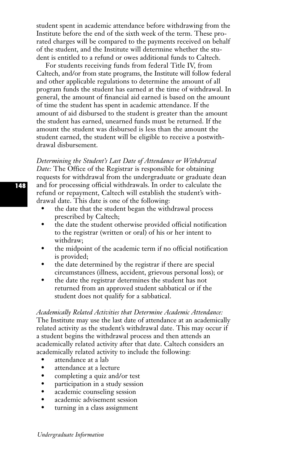student spent in academic attendance before withdrawing from the Institute before the end of the sixth week of the term. These prorated charges will be compared to the payments received on behalf of the student, and the Institute will determine whether the student is entitled to a refund or owes additional funds to Caltech.

For students receiving funds from federal Title IV, from Caltech, and/or from state programs, the Institute will follow federal and other applicable regulations to determine the amount of all program funds the student has earned at the time of withdrawal. In general, the amount of financial aid earned is based on the amount of time the student has spent in academic attendance. If the amount of aid disbursed to the student is greater than the amount the student has earned, unearned funds must be returned. If the amount the student was disbursed is less than the amount the student earned, the student will be eligible to receive a postwithdrawal disbursement.

*Determining the Student's Last Date of Attendance or Withdrawal Date:* The Office of the Registrar is responsible for obtaining requests for withdrawal from the undergraduate or graduate dean and for processing official withdrawals. In order to calculate the refund or repayment, Caltech will establish the student's withdrawal date. This date is one of the following:

- the date that the student began the withdrawal process prescribed by Caltech;
- the date the student otherwise provided official notification to the registrar (written or oral) of his or her intent to withdraw;
- the midpoint of the academic term if no official notification is provided;
- the date determined by the registrar if there are special circumstances (illness, accident, grievous personal loss); or
- the date the registrar determines the student has not returned from an approved student sabbatical or if the student does not qualify for a sabbatical.

*Academically Related Activities that Determine Academic Attendance:* The Institute may use the last date of attendance at an academically related activity as the student's withdrawal date. This may occur if a student begins the withdrawal process and then attends an academically related activity after that date. Caltech considers an academically related activity to include the following:

- attendance at a lab
- attendance at a lecture
- completing a quiz and/or test
- participation in a study session
- academic counseling session
- academic advisement session
- turning in a class assignment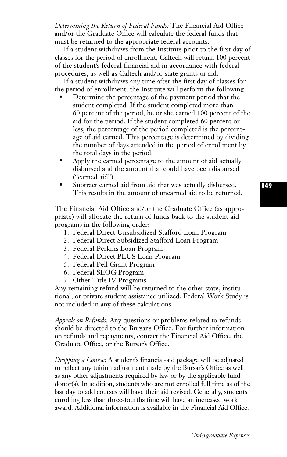*Determining the Return of Federal Funds:* The Financial Aid Office and/or the Graduate Office will calculate the federal funds that must be returned to the appropriate federal accounts.

If a student withdraws from the Institute prior to the first day of classes for the period of enrollment, Caltech will return 100 percent of the student's federal financial aid in accordance with federal procedures, as well as Caltech and/or state grants or aid.

If a student withdraws any time after the first day of classes for the period of enrollment, the Institute will perform the following:

- Determine the percentage of the payment period that the student completed. If the student completed more than 60 percent of the period, he or she earned 100 percent of the aid for the period. If the student completed 60 percent or less, the percentage of the period completed is the percentage of aid earned. This percentage is determined by dividing the number of days attended in the period of enrollment by the total days in the period.
- Apply the earned percentage to the amount of aid actually disbursed and the amount that could have been disbursed ("earned aid").
- Subtract earned aid from aid that was actually disbursed. This results in the amount of unearned aid to be returned.

The Financial Aid Office and/or the Graduate Office (as appropriate) will allocate the return of funds back to the student aid programs in the following order:

- 1. Federal Direct Unsubsidized Stafford Loan Program
- 2. Federal Direct Subsidized Stafford Loan Program
- 3. Federal Perkins Loan Program
- 4. Federal Direct PLUS Loan Program
- 5. Federal Pell Grant Program
- 6. Federal SEOG Program
- 7. Other Title IV Programs

Any remaining refund will be returned to the other state, institutional, or private student assistance utilized. Federal Work Study is not included in any of these calculations.

*Appeals on Refunds:* Any questions or problems related to refunds should be directed to the Bursar's Office. For further information on refunds and repayments, contact the Financial Aid Office, the Graduate Office, or the Bursar's Office.

*Dropping a Course:* A student's financial-aid package will be adjusted to reflect any tuition adjustment made by the Bursar's Office as well as any other adjustments required by law or by the applicable fund donor(s). In addition, students who are not enrolled full time as of the last day to add courses will have their aid revised. Generally, students enrolling less than three-fourths time will have an increased work award. Additional information is available in the Financial Aid Office.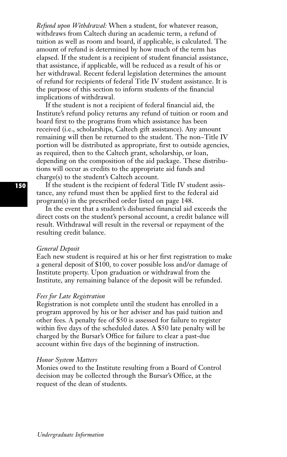*Refund upon Withdrawal:* When a student, for whatever reason, withdraws from Caltech during an academic term, a refund of tuition as well as room and board, if applicable, is calculated. The amount of refund is determined by how much of the term has elapsed. If the student is a recipient of student financial assistance, that assistance, if applicable, will be reduced as a result of his or her withdrawal. Recent federal legislation determines the amount of refund for recipients of federal Title IV student assistance. It is the purpose of this section to inform students of the financial implications of withdrawal.

If the student is not a recipient of federal financial aid, the Institute's refund policy returns any refund of tuition or room and board first to the programs from which assistance has been received (i.e., scholarships, Caltech gift assistance). Any amount remaining will then be returned to the student. The non–Title IV portion will be distributed as appropriate, first to outside agencies, as required, then to the Caltech grant, scholarship, or loan, depending on the composition of the aid package. These distributions will occur as credits to the appropriate aid funds and charge(s) to the student's Caltech account.

If the student is the recipient of federal Title IV student assistance, any refund must then be applied first to the federal aid program(s) in the prescribed order listed on page 148.

In the event that a student's disbursed financial aid exceeds the direct costs on the student's personal account, a credit balance will result. Withdrawal will result in the reversal or repayment of the resulting credit balance.

#### *General Deposit*

Each new student is required at his or her first registration to make a general deposit of \$100, to cover possible loss and/or damage of Institute property. Upon graduation or withdrawal from the Institute, any remaining balance of the deposit will be refunded.

#### *Fees for Late Registration*

Registration is not complete until the student has enrolled in a program approved by his or her adviser and has paid tuition and other fees. A penalty fee of \$50 is assessed for failure to register within five days of the scheduled dates. A \$50 late penalty will be charged by the Bursar's Office for failure to clear a past-due account within five days of the beginning of instruction.

#### *Honor System Matters*

Monies owed to the Institute resulting from a Board of Control decision may be collected through the Bursar's Office, at the request of the dean of students.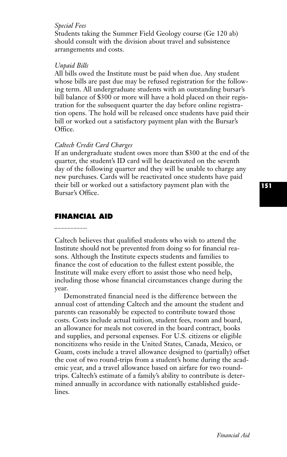#### *Special Fees*

Students taking the Summer Field Geology course (Ge 120 ab) should consult with the division about travel and subsistence arrangements and costs.

#### *Unpaid Bills*

All bills owed the Institute must be paid when due. Any student whose bills are past due may be refused registration for the following term. All undergraduate students with an outstanding bursar's bill balance of \$300 or more will have a hold placed on their registration for the subsequent quarter the day before online registration opens. The hold will be released once students have paid their bill or worked out a satisfactory payment plan with the Bursar's Office.

#### *Caltech Credit Card Charges*

If an undergraduate student owes more than \$300 at the end of the quarter, the student's ID card will be deactivated on the seventh day of the following quarter and they will be unable to charge any new purchases. Cards will be reactivated once students have paid their bill or worked out a satisfactory payment plan with the Bursar's Office.

# **FINANCIAL AID**

#### 

Caltech believes that qualified students who wish to attend the Institute should not be prevented from doing so for financial reasons. Although the Institute expects students and families to finance the cost of education to the fullest extent possible, the Institute will make every effort to assist those who need help, including those whose financial circumstances change during the year.

Demonstrated financial need is the difference between the annual cost of attending Caltech and the amount the student and parents can reasonably be expected to contribute toward those costs. Costs include actual tuition, student fees, room and board, an allowance for meals not covered in the board contract, books and supplies, and personal expenses. For U.S. citizens or eligible noncitizens who reside in the United States, Canada, Mexico, or Guam, costs include a travel allowance designed to (partially) offset the cost of two round-trips from a student's home during the academic year, and a travel allowance based on airfare for two roundtrips. Caltech's estimate of a family's ability to contribute is determined annually in accordance with nationally established guidelines.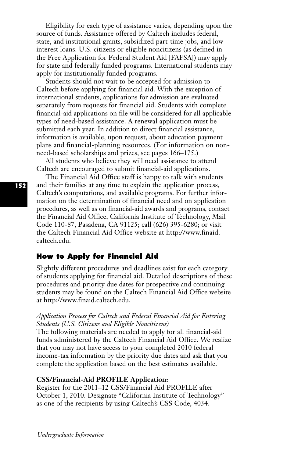Eligibility for each type of assistance varies, depending upon the source of funds. Assistance offered by Caltech includes federal, state, and institutional grants, subsidized part-time jobs, and lowinterest loans. U.S. citizens or eligible noncitizens (as defined in the Free Application for Federal Student Aid [FAFSA]) may apply for state and federally funded programs. International students may apply for institutionally funded programs.

Students should not wait to be accepted for admission to Caltech before applying for financial aid. With the exception of international students, applications for admission are evaluated separately from requests for financial aid. Students with complete financial-aid applications on file will be considered for all applicable types of need-based assistance. A renewal application must be submitted each year. In addition to direct financial assistance, information is available, upon request, about education payment plans and financial-planning resources. (For information on nonneed-based scholarships and prizes, see pages 166–175.)

All students who believe they will need assistance to attend Caltech are encouraged to submit financial-aid applications.

The Financial Aid Office staff is happy to talk with students and their families at any time to explain the application process, Caltech's computations, and available programs. For further information on the determination of financial need and on application procedures, as well as on financial-aid awards and programs, contact the Financial Aid Office, California Institute of Technology, Mail Code 110-87, Pasadena, CA 91125; call (626) 395-6280; or visit the Caltech Financial Aid Office website at http://www.finaid. caltech.edu.

# **How to Apply for Financial Aid**

Slightly different procedures and deadlines exist for each category of students applying for financial aid. Detailed descriptions of these procedures and priority due dates for prospective and continuing students may be found on the Caltech Financial Aid Office website at http://www.finaid.caltech.edu.

## *Application Process for Caltech and Federal Financial Aid for Entering Students (U.S. Citizens and Eligible Noncitizens)*

The following materials are needed to apply for all financial-aid funds administered by the Caltech Financial Aid Office. We realize that you may not have access to your completed 2010 federal income-tax information by the priority due dates and ask that you complete the application based on the best estimates available.

#### **CSS/Financial-Aid PROFILE Application:**

Register for the 2011–12 CSS/Financial Aid PROFILE after October 1, 2010. Designate "California Institute of Technology" as one of the recipients by using Caltech's CSS Code, 4034.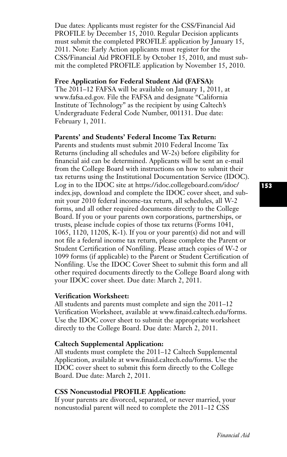Due dates: Applicants must register for the CSS/Financial Aid PROFILE by December 15, 2010. Regular Decision applicants must submit the completed PROFILE application by January 15, 2011. Note: Early Action applicants must register for the CSS/Financial Aid PROFILE by October 15, 2010, and must submit the completed PROFILE application by November 15, 2010.

#### **Free Application for Federal Student Aid (FAFSA):**

The 2011–12 FAFSA will be available on January 1, 2011, at www.fafsa.ed.gov. File the FAFSA and designate "California Institute of Technology" as the recipient by using Caltech's Undergraduate Federal Code Number, 001131. Due date: February 1, 2011.

# **Parents' and Students' Federal Income Tax Return:**

Parents and students must submit 2010 Federal Income Tax Returns (including all schedules and W-2s) before eligibility for financial aid can be determined. Applicants will be sent an e-mail from the College Board with instructions on how to submit their tax returns using the Institutional Documentation Service (IDOC). Log in to the IDOC site at https://idoc.collegeboard.com/idoc/ index.jsp, download and complete the IDOC cover sheet, and submit your 2010 federal income-tax return, all schedules, all W-2 forms, and all other required documents directly to the College Board. If you or your parents own corporations, partnerships, or trusts, please include copies of those tax returns (Forms 1041, 1065, 1120, 1120S, K-1). If you or your parent(s) did not and will not file a federal income tax return, please complete the Parent or Student Certification of Nonfiling. Please attach copies of W-2 or 1099 forms (if applicable) to the Parent or Student Certification of Nonfiling. Use the IDOC Cover Sheet to submit this form and all other required documents directly to the College Board along with your IDOC cover sheet. Due date: March 2, 2011.

# **Verification Worksheet:**

All students and parents must complete and sign the 2011–12 Verification Worksheet, available at www.finaid.caltech.edu/forms. Use the IDOC cover sheet to submit the appropriate worksheet directly to the College Board. Due date: March 2, 2011.

# **Caltech Supplemental Application:**

All students must complete the 2011–12 Caltech Supplemental Application, available at www.finaid.caltech.edu/forms. Use the IDOC cover sheet to submit this form directly to the College Board. Due date: March 2, 2011.

## **CSS Noncustodial PROFILE Application:**

If your parents are divorced, separated, or never married, your noncustodial parent will need to complete the 2011–12 CSS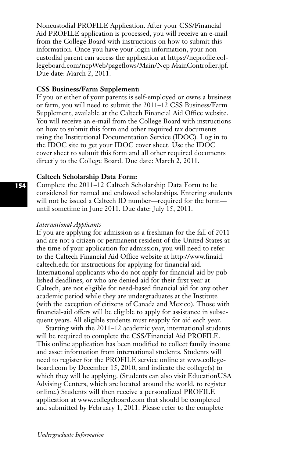Noncustodial PROFILE Application. After your CSS/Financial Aid PROFILE application is processed, you will receive an e-mail from the College Board with instructions on how to submit this information. Once you have your login information, your noncustodial parent can access the application at https://ncprofile.collegeboard.com/ncpWeb/pageflows/Main/Ncp MainController.jpf. Due date: March 2, 2011.

#### **CSS Business/Farm Supplement:**

If you or either of your parents is self-employed or owns a business or farm, you will need to submit the 2011–12 CSS Business/Farm Supplement, available at the Caltech Financial Aid Office website. You will receive an e-mail from the College Board with instructions on how to submit this form and other required tax documents using the Institutional Documentation Service (IDOC). Log in to the IDOC site to get your IDOC cover sheet. Use the IDOC cover sheet to submit this form and all other required documents directly to the College Board. Due date: March 2, 2011.

#### **Caltech Scholarship Data Form:**

Complete the 2011–12 Caltech Scholarship Data Form to be considered for named and endowed scholarships. Entering students will not be issued a Caltech ID number—required for the form until sometime in June 2011. Due date: July 15, 2011.

#### *International Applicants*

If you are applying for admission as a freshman for the fall of 2011 and are not a citizen or permanent resident of the United States at the time of your application for admission, you will need to refer to the Caltech Financial Aid Office website at http://www.finaid. caltech.edu for instructions for applying for financial aid. International applicants who do not apply for financial aid by published deadlines, or who are denied aid for their first year at Caltech, are not eligible for need-based financial aid for any other academic period while they are undergraduates at the Institute (with the exception of citizens of Canada and Mexico). Those with financial-aid offers will be eligible to apply for assistance in subsequent years. All eligible students must reapply for aid each year.

Starting with the 2011–12 academic year, international students will be required to complete the CSS/Financial Aid PROFILE. This online application has been modified to collect family income and asset information from international students. Students will need to register for the PROFILE service online at www.collegeboard.com by December 15, 2010, and indicate the college(s) to which they will be applying. (Students can also visit EducationUSA Advising Centers, which are located around the world, to register online.) Students will then receive a personalized PROFILE application at www.collegeboard.com that should be completed and submitted by February 1, 2011. Please refer to the complete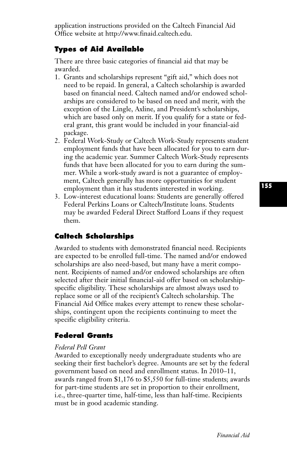application instructions provided on the Caltech Financial Aid Office website at http://www.finaid.caltech.edu.

# **Types of Aid Available**

There are three basic categories of financial aid that may be awarded.

- 1. Grants and scholarships represent "gift aid," which does not need to be repaid. In general, a Caltech scholarship is awarded based on financial need. Caltech named and/or endowed scholarships are considered to be based on need and merit, with the exception of the Lingle, Axline, and President's scholarships, which are based only on merit. If you qualify for a state or federal grant, this grant would be included in your financial-aid package.
- 2. Federal Work-Study or Caltech Work-Study represents student employment funds that have been allocated for you to earn during the academic year. Summer Caltech Work-Study represents funds that have been allocated for you to earn during the summer. While a work-study award is not a guarantee of employment, Caltech generally has more opportunities for student employment than it has students interested in working.
- 3. Low-interest educational loans: Students are generally offered Federal Perkins Loans or Caltech/Institute loans. Students may be awarded Federal Direct Stafford Loans if they request them.

# **Caltech Scholarships**

Awarded to students with demonstrated financial need. Recipients are expected to be enrolled full-time. The named and/or endowed scholarships are also need-based, but many have a merit component. Recipients of named and/or endowed scholarships are often selected after their initial financial-aid offer based on scholarshipspecific eligibility. These scholarships are almost always used to replace some or all of the recipient's Caltech scholarship. The Financial Aid Office makes every attempt to renew these scholarships, contingent upon the recipients continuing to meet the specific eligibility criteria.

# **Federal Grants**

#### *Federal Pell Grant*

Awarded to exceptionally needy undergraduate students who are seeking their first bachelor's degree. Amounts are set by the federal government based on need and enrollment status. In 2010–11, awards ranged from \$1,176 to \$5,550 for full-time students; awards for part-time students are set in proportion to their enrollment, i.e., three-quarter time, half-time, less than half-time. Recipients must be in good academic standing.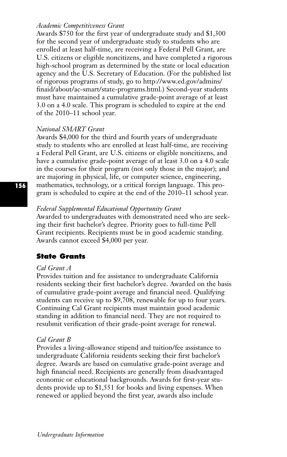## *Academic Competitiveness Grant*

Awards \$750 for the first year of undergraduate study and \$1,300 for the second year of undergraduate study to students who are enrolled at least half-time, are receiving a Federal Pell Grant, are U.S. citizens or eligible noncitizens, and have completed a rigorous high-school program as determined by the state or local education agency and the U.S. Secretary of Education. (For the published list of rigorous programs of study, go to http://www.ed.gov/admins/ finaid/about/ac-smart/state-programs.html.) Second-year students must have maintained a cumulative grade-point average of at least 3.0 on a 4.0 scale. This program is scheduled to expire at the end of the 2010–11 school year.

## *National SMART Grant*

Awards \$4,000 for the third and fourth years of undergraduate study to students who are enrolled at least half-time, are receiving a Federal Pell Grant, are U.S. citizens or eligible noncitizens, and have a cumulative grade-point average of at least 3.0 on a 4.0 scale in the courses for their program (not only those in the major); and are majoring in physical, life, or computer science, engineering, mathematics, technology, or a critical foreign language. This program is scheduled to expire at the end of the 2010–11 school year.

#### *Federal Supplemental Educational Opportunity Grant*

Awarded to undergraduates with demonstrated need who are seeking their first bachelor's degree. Priority goes to full-time Pell Grant recipients. Recipients must be in good academic standing. Awards cannot exceed \$4,000 per year.

# **State Grants**

#### *Cal Grant A*

Provides tuition and fee assistance to undergraduate California residents seeking their first bachelor's degree. Awarded on the basis of cumulative grade-point average and financial need. Qualifying students can receive up to \$9,708, renewable for up to four years. Continuing Cal Grant recipients must maintain good academic standing in addition to financial need. They are not required to resubmit verification of their grade-point average for renewal.

## *Cal Grant B*

Provides a living-allowance stipend and tuition/fee assistance to undergraduate California residents seeking their first bachelor's degree. Awards are based on cumulative grade-point average and high financial need. Recipients are generally from disadvantaged economic or educational backgrounds. Awards for first-year students provide up to \$1,551 for books and living expenses. When renewed or applied beyond the first year, awards also include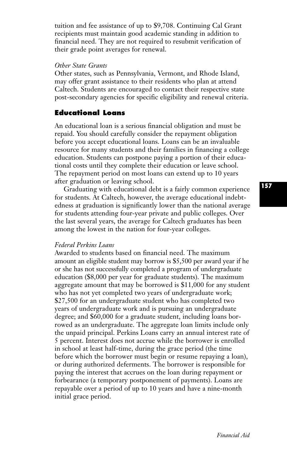tuition and fee assistance of up to \$9,708. Continuing Cal Grant recipients must maintain good academic standing in addition to financial need. They are not required to resubmit verification of their grade point averages for renewal.

#### *Other State Grants*

Other states, such as Pennsylvania, Vermont, and Rhode Island, may offer grant assistance to their residents who plan at attend Caltech. Students are encouraged to contact their respective state post-secondary agencies for specific eligibility and renewal criteria.

# **Educational Loans**

An educational loan is a serious financial obligation and must be repaid. You should carefully consider the repayment obligation before you accept educational loans. Loans can be an invaluable resource for many students and their families in financing a college education. Students can postpone paying a portion of their educational costs until they complete their education or leave school. The repayment period on most loans can extend up to 10 years after graduation or leaving school.

Graduating with educational debt is a fairly common experience for students. At Caltech, however, the average educational indebtedness at graduation is significantly lower than the national average for students attending four-year private and public colleges. Over the last several years, the average for Caltech graduates has been among the lowest in the nation for four-year colleges.

#### *Federal Perkins Loans*

Awarded to students based on financial need. The maximum amount an eligible student may borrow is \$5,500 per award year if he or she has not successfully completed a program of undergraduate education (\$8,000 per year for graduate students). The maximum aggregate amount that may be borrowed is \$11,000 for any student who has not yet completed two years of undergraduate work; \$27,500 for an undergraduate student who has completed two years of undergraduate work and is pursuing an undergraduate degree; and \$60,000 for a graduate student, including loans borrowed as an undergraduate. The aggregate loan limits include only the unpaid principal. Perkins Loans carry an annual interest rate of 5 percent. Interest does not accrue while the borrower is enrolled in school at least half-time, during the grace period (the time before which the borrower must begin or resume repaying a loan), or during authorized deferments. The borrower is responsible for paying the interest that accrues on the loan during repayment or forbearance (a temporary postponement of payments). Loans are repayable over a period of up to 10 years and have a nine-month initial grace period.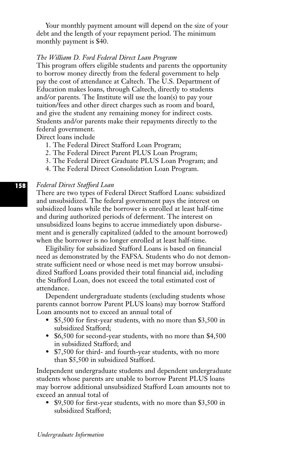Your monthly payment amount will depend on the size of your debt and the length of your repayment period. The minimum monthly payment is \$40.

#### *The William D. Ford Federal Direct Loan Program*

This program offers eligible students and parents the opportunity to borrow money directly from the federal government to help pay the cost of attendance at Caltech. The U.S. Department of Education makes loans, through Caltech, directly to students and/or parents. The Institute will use the loan(s) to pay your tuition/fees and other direct charges such as room and board, and give the student any remaining money for indirect costs. Students and/or parents make their repayments directly to the federal government.

Direct loans include

- 1. The Federal Direct Stafford Loan Program;
- 2. The Federal Direct Parent PLUS Loan Program;
- 3. The Federal Direct Graduate PLUS Loan Program; and
- 4. The Federal Direct Consolidation Loan Program.

#### *Federal Direct Stafford Loan*

There are two types of Federal Direct Stafford Loans: subsidized and unsubsidized. The federal government pays the interest on subsidized loans while the borrower is enrolled at least half-time and during authorized periods of deferment. The interest on unsubsidized loans begins to accrue immediately upon disbursement and is generally capitalized (added to the amount borrowed) when the borrower is no longer enrolled at least half-time.

Eligibility for subsidized Stafford Loans is based on financial need as demonstrated by the FAFSA. Students who do not demonstrate sufficient need or whose need is met may borrow unsubsidized Stafford Loans provided their total financial aid, including the Stafford Loan, does not exceed the total estimated cost of attendance.

Dependent undergraduate students (excluding students whose parents cannot borrow Parent PLUS loans) may borrow Stafford Loan amounts not to exceed an annual total of

- \$5,500 for first-year students, with no more than \$3,500 in subsidized Stafford;
- \$6,500 for second-year students, with no more than \$4,500 in subsidized Stafford; and
- \$7,500 for third- and fourth-year students, with no more than \$5,500 in subsidized Stafford.

Independent undergraduate students and dependent undergraduate students whose parents are unable to borrow Parent PLUS loans may borrow additional unsubsidized Stafford Loan amounts not to exceed an annual total of

• \$9,500 for first-year students, with no more than \$3,500 in subsidized Stafford;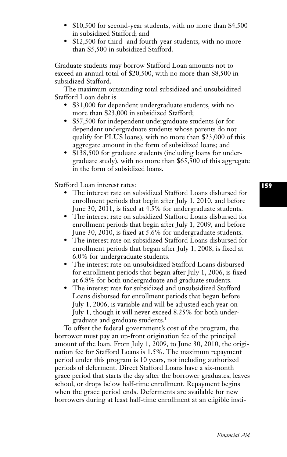- \$10,500 for second-year students, with no more than \$4,500 in subsidized Stafford; and
- \$12,500 for third- and fourth-year students, with no more than \$5,500 in subsidized Stafford.

Graduate students may borrow Stafford Loan amounts not to exceed an annual total of \$20,500, with no more than \$8,500 in subsidized Stafford.

The maximum outstanding total subsidized and unsubsidized Stafford Loan debt is

- \$31,000 for dependent undergraduate students, with no more than \$23,000 in subsidized Stafford;
- \$57,500 for independent undergraduate students (or for dependent undergraduate students whose parents do not qualify for PLUS loans), with no more than \$23,000 of this aggregate amount in the form of subsidized loans; and
- \$138,500 for graduate students (including loans for undergraduate study), with no more than \$65,500 of this aggregate in the form of subsidized loans.

Stafford Loan interest rates:

- The interest rate on subsidized Stafford Loans disbursed for enrollment periods that begin after July 1, 2010, and before June 30, 2011, is fixed at 4.5% for undergraduate students.
- The interest rate on subsidized Stafford Loans disbursed for enrollment periods that begin after July 1, 2009, and before June 30, 2010, is fixed at 5.6% for undergraduate students.
- The interest rate on subsidized Stafford Loans disbursed for enrollment periods that began after July 1, 2008, is fixed at 6.0% for undergraduate students.
- The interest rate on unsubsidized Stafford Loans disbursed for enrollment periods that began after July 1, 2006, is fixed at 6.8% for both undergraduate and graduate students.
- The interest rate for subsidized and unsubsidized Stafford Loans disbursed for enrollment periods that began before July 1, 2006, is variable and will be adjusted each year on July 1, though it will never exceed 8.25% for both undergraduate and graduate students.1

To offset the federal government's cost of the program, the borrower must pay an up-front origination fee of the principal amount of the loan. From July 1, 2009, to June 30, 2010, the origination fee for Stafford Loans is 1.5%. The maximum repayment period under this program is 10 years, not including authorized periods of deferment. Direct Stafford Loans have a six-month grace period that starts the day after the borrower graduates, leaves school, or drops below half-time enrollment. Repayment begins when the grace period ends. Deferments are available for new borrowers during at least half-time enrollment at an eligible insti-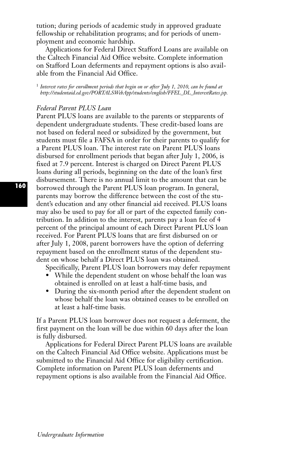tution; during periods of academic study in approved graduate fellowship or rehabilitation programs; and for periods of unemployment and economic hardship.

Applications for Federal Direct Stafford Loans are available on the Caltech Financial Aid Office website. Complete information on Stafford Loan deferments and repayment options is also available from the Financial Aid Office.

<sup>1</sup> *Interest rates for enrollment periods that begin on or after July 1, 2010, can be found at http://studentaid.ed.gov/PORTALSWebApp/students/english/FFEL\_DL\_InterestRates.jsp.*

### *Federal Parent PLUS Loan*

Parent PLUS loans are available to the parents or stepparents of dependent undergraduate students. These credit-based loans are not based on federal need or subsidized by the government, but students must file a FAFSA in order for their parents to qualify for a Parent PLUS loan. The interest rate on Parent PLUS loans disbursed for enrollment periods that began after July 1, 2006, is fixed at 7.9 percent. Interest is charged on Direct Parent PLUS loans during all periods, beginning on the date of the loan's first disbursement. There is no annual limit to the amount that can be borrowed through the Parent PLUS loan program. In general, parents may borrow the difference between the cost of the student's education and any other financial aid received. PLUS loans may also be used to pay for all or part of the expected family contribution. In addition to the interest, parents pay a loan fee of 4 percent of the principal amount of each Direct Parent PLUS loan received. For Parent PLUS loans that are first disbursed on or after July 1, 2008, parent borrowers have the option of deferring repayment based on the enrollment status of the dependent student on whose behalf a Direct PLUS loan was obtained.

Specifically, Parent PLUS loan borrowers may defer repayment

- While the dependent student on whose behalf the loan was obtained is enrolled on at least a half-time basis, and
- During the six-month period after the dependent student on whose behalf the loan was obtained ceases to be enrolled on at least a half-time basis.

If a Parent PLUS loan borrower does not request a deferment, the first payment on the loan will be due within 60 days after the loan is fully disbursed.

Applications for Federal Direct Parent PLUS loans are available on the Caltech Financial Aid Office website. Applications must be submitted to the Financial Aid Office for eligibility certification. Complete information on Parent PLUS loan deferments and repayment options is also available from the Financial Aid Office.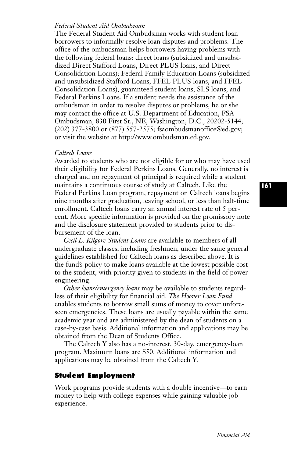### *Federal Student Aid Ombudsman*

The Federal Student Aid Ombudsman works with student loan borrowers to informally resolve loan disputes and problems. The office of the ombudsman helps borrowers having problems with the following federal loans: direct loans (subsidized and unsubsidized Direct Stafford Loans, Direct PLUS loans, and Direct Consolidation Loans); Federal Family Education Loans (subsidized and unsubsidized Stafford Loans, FFEL PLUS loans, and FFEL Consolidation Loans); guaranteed student loans, SLS loans, and Federal Perkins Loans. If a student needs the assistance of the ombudsman in order to resolve disputes or problems, he or she may contact the office at U.S. Department of Education, FSA Ombudsman, 830 First St., NE, Washington, D.C., 20202-5144; (202) 377-3800 or (877) 557-2575; fsaombudsmanoffice@ed.gov; or visit the website at http://www.ombudsman.ed.gov.

### *Caltech Loans*

Awarded to students who are not eligible for or who may have used their eligibility for Federal Perkins Loans. Generally, no interest is charged and no repayment of principal is required while a student maintains a continuous course of study at Caltech. Like the Federal Perkins Loan program, repayment on Caltech loans begins nine months after graduation, leaving school, or less than half-time enrollment. Caltech loans carry an annual interest rate of 5 percent. More specific information is provided on the promissory note and the disclosure statement provided to students prior to disbursement of the loan.

*Cecil L. Kilgore Student Loans* are available to members of all undergraduate classes, including freshmen, under the same general guidelines established for Caltech loans as described above. It is the fund's policy to make loans available at the lowest possible cost to the student, with priority given to students in the field of power engineering.

*Other loans/emergency loans* may be available to students regardless of their eligibility for financial aid. *The Hoover Loan Fund* enables students to borrow small sums of money to cover unforeseen emergencies. These loans are usually payable within the same academic year and are administered by the dean of students on a case-by-case basis. Additional information and applications may be obtained from the Dean of Students Office.

The Caltech Y also has a no-interest, 30-day, emergency-loan program. Maximum loans are \$50. Additional information and applications may be obtained from the Caltech Y.

# **Student Employment**

Work programs provide students with a double incentive—to earn money to help with college expenses while gaining valuable job experience.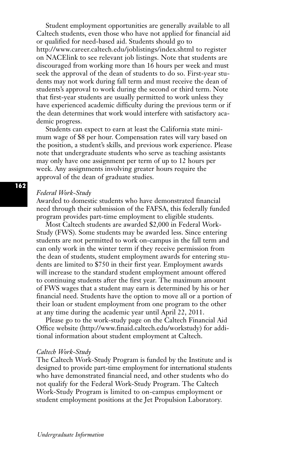Student employment opportunities are generally available to all Caltech students, even those who have not applied for financial aid or qualified for need-based aid. Students should go to http://www.career.caltech.edu/joblistings/index.shtml to register on NACElink to see relevant job listings. Note that students are discouraged from working more than 16 hours per week and must seek the approval of the dean of students to do so. First-year students may not work during fall term and must receive the dean of students's approval to work during the second or third term. Note that first-year students are usually permitted to work unless they have experienced academic difficulty during the previous term or if the dean determines that work would interfere with satisfactory academic progress.

Students can expect to earn at least the California state minimum wage of \$8 per hour. Compensation rates will vary based on the position, a student's skills, and previous work experience. Please note that undergraduate students who serve as teaching assistants may only have one assignment per term of up to 12 hours per week. Any assignments involving greater hours require the approval of the dean of graduate studies.

#### *Federal Work-Study*

Awarded to domestic students who have demonstrated financial need through their submission of the FAFSA, this federally funded program provides part-time employment to eligible students.

Most Caltech students are awarded \$2,000 in Federal Work-Study (FWS). Some students may be awarded less. Since entering students are not permitted to work on-campus in the fall term and can only work in the winter term if they receive permission from the dean of students, student employment awards for entering students are limited to \$750 in their first year. Employment awards will increase to the standard student employment amount offered to continuing students after the first year. The maximum amount of FWS wages that a student may earn is determined by his or her financial need. Students have the option to move all or a portion of their loan or student employment from one program to the other at any time during the academic year until April 22, 2011.

Please go to the work-study page on the Caltech Financial Aid Office website (http://www.finaid.caltech.edu/workstudy) for additional information about student employment at Caltech.

#### *Caltech Work-Study*

The Caltech Work-Study Program is funded by the Institute and is designed to provide part-time employment for international students who have demonstrated financial need, and other students who do not qualify for the Federal Work-Study Program. The Caltech Work-Study Program is limited to on-campus employment or student employment positions at the Jet Propulsion Laboratory.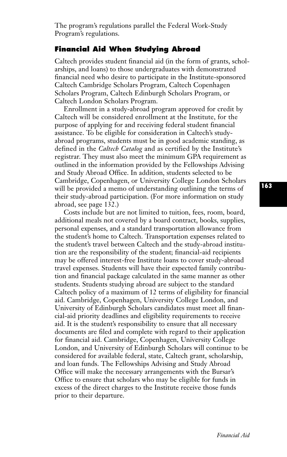The program's regulations parallel the Federal Work-Study Program's regulations.

# **Financial Aid When Studying Abroad**

Caltech provides student financial aid (in the form of grants, scholarships, and loans) to those undergraduates with demonstrated financial need who desire to participate in the Institute-sponsored Caltech Cambridge Scholars Program, Caltech Copenhagen Scholars Program, Caltech Edinburgh Scholars Program, or Caltech London Scholars Program.

Enrollment in a study-abroad program approved for credit by Caltech will be considered enrollment at the Institute, for the purpose of applying for and receiving federal student financial assistance. To be eligible for consideration in Caltech's studyabroad programs, students must be in good academic standing, as defined in the *Caltech Catalog* and as certified by the Institute's registrar. They must also meet the minimum GPA requirement as outlined in the information provided by the Fellowships Advising and Study Abroad Office. In addition, students selected to be Cambridge, Copenhagen, or University College London Scholars will be provided a memo of understanding outlining the terms of their study-abroad participation. (For more information on study abroad, see page 132.)

Costs include but are not limited to tuition, fees, room, board, additional meals not covered by a board contract, books, supplies, personal expenses, and a standard transportation allowance from the student's home to Caltech. Transportation expenses related to the student's travel between Caltech and the study-abroad institution are the responsibility of the student; financial-aid recipients may be offered interest-free Institute loans to cover study-abroad travel expenses. Students will have their expected family contribution and financial package calculated in the same manner as other students. Students studying abroad are subject to the standard Caltech policy of a maximum of 12 terms of eligibility for financial aid. Cambridge, Copenhagen, University College London, and University of Edinburgh Scholars candidates must meet all financial-aid priority deadlines and eligibility requirements to receive aid. It is the student's responsibility to ensure that all necessary documents are filed and complete with regard to their application for financial aid. Cambridge, Copenhagen, University College London, and University of Edinburgh Scholars will continue to be considered for available federal, state, Caltech grant, scholarship, and loan funds. The Fellowships Advising and Study Abroad Office will make the necessary arrangements with the Bursar's Office to ensure that scholars who may be eligible for funds in excess of the direct charges to the Institute receive those funds prior to their departure.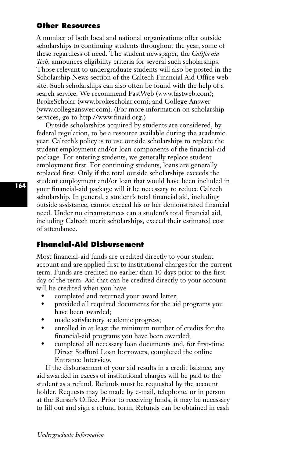# **Other Resources**

A number of both local and national organizations offer outside scholarships to continuing students throughout the year, some of these regardless of need. The student newspaper, the *California Tech*, announces eligibility criteria for several such scholarships. Those relevant to undergraduate students will also be posted in the Scholarship News section of the Caltech Financial Aid Office website. Such scholarships can also often be found with the help of a search service. We recommend FastWeb (www.fastweb.com); BrokeScholar (www.brokescholar.com); and College Answer (www.collegeanswer.com). (For more information on scholarship services, go to http://www.finaid.org.)

Outside scholarships acquired by students are considered, by federal regulation, to be a resource available during the academic year. Caltech's policy is to use outside scholarships to replace the student employment and/or loan components of the financial-aid package. For entering students, we generally replace student employment first. For continuing students, loans are generally replaced first. Only if the total outside scholarships exceeds the student employment and/or loan that would have been included in your financial-aid package will it be necessary to reduce Caltech scholarship. In general, a student's total financial aid, including outside assistance, cannot exceed his or her demonstrated financial need. Under no circumstances can a student's total financial aid, including Caltech merit scholarships, exceed their estimated cost of attendance.

# **Financial-Aid Disbursement**

Most financial-aid funds are credited directly to your student account and are applied first to institutional charges for the current term. Funds are credited no earlier than 10 days prior to the first day of the term. Aid that can be credited directly to your account will be credited when you have

- completed and returned your award letter;
- provided all required documents for the aid programs you have been awarded;
- made satisfactory academic progress;
- enrolled in at least the minimum number of credits for the financial-aid programs you have been awarded;
- completed all necessary loan documents and, for first-time Direct Stafford Loan borrowers, completed the online Entrance Interview.

If the disbursement of your aid results in a credit balance, any aid awarded in excess of institutional charges will be paid to the student as a refund. Refunds must be requested by the account holder. Requests may be made by e-mail, telephone, or in person at the Bursar's Office. Prior to receiving funds, it may be necessary to fill out and sign a refund form. Refunds can be obtained in cash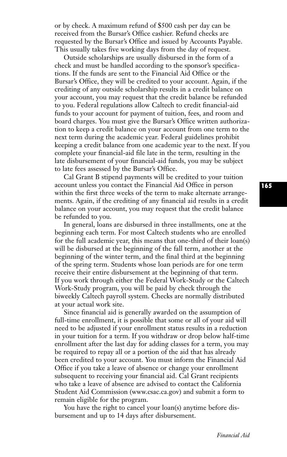or by check. A maximum refund of \$500 cash per day can be received from the Bursar's Office cashier. Refund checks are requested by the Bursar's Office and issued by Accounts Payable. This usually takes five working days from the day of request.

Outside scholarships are usually disbursed in the form of a check and must be handled according to the sponsor's specifications. If the funds are sent to the Financial Aid Office or the Bursar's Office, they will be credited to your account. Again, if the crediting of any outside scholarship results in a credit balance on your account, you may request that the credit balance be refunded to you. Federal regulations allow Caltech to credit financial-aid funds to your account for payment of tuition, fees, and room and board charges. You must give the Bursar's Office written authorization to keep a credit balance on your account from one term to the next term during the academic year. Federal guidelines prohibit keeping a credit balance from one academic year to the next. If you complete your financial-aid file late in the term, resulting in the late disbursement of your financial-aid funds, you may be subject to late fees assessed by the Bursar's Office.

Cal Grant B stipend payments will be credited to your tuition account unless you contact the Financial Aid Office in person within the first three weeks of the term to make alternate arrangements. Again, if the crediting of any financial aid results in a credit balance on your account, you may request that the credit balance be refunded to you.

In general, loans are disbursed in three installments, one at the beginning each term. For most Caltech students who are enrolled for the full academic year, this means that one-third of their loan(s) will be disbursed at the beginning of the fall term, another at the beginning of the winter term, and the final third at the beginning of the spring term. Students whose loan periods are for one term receive their entire disbursement at the beginning of that term. If you work through either the Federal Work-Study or the Caltech Work-Study program, you will be paid by check through the biweekly Caltech payroll system. Checks are normally distributed at your actual work site.

Since financial aid is generally awarded on the assumption of full-time enrollment, it is possible that some or all of your aid will need to be adjusted if your enrollment status results in a reduction in your tuition for a term. If you withdraw or drop below half-time enrollment after the last day for adding classes for a term, you may be required to repay all or a portion of the aid that has already been credited to your account. You must inform the Financial Aid Office if you take a leave of absence or change your enrollment subsequent to receiving your financial aid. Cal Grant recipients who take a leave of absence are advised to contact the California Student Aid Commission (www.csac.ca.gov) and submit a form to remain eligible for the program.

You have the right to cancel your loan(s) anytime before disbursement and up to 14 days after disbursement.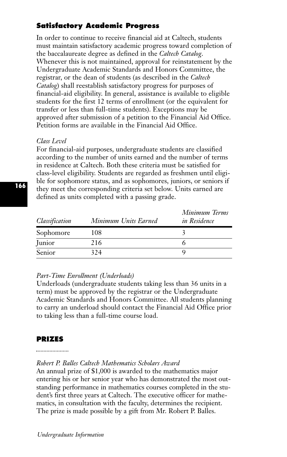# **Satisfactory Academic Progress**

In order to continue to receive financial aid at Caltech, students must maintain satisfactory academic progress toward completion of the baccalaureate degree as defined in the *Caltech Catalog*. Whenever this is not maintained, approval for reinstatement by the Undergraduate Academic Standards and Honors Committee, the registrar, or the dean of students (as described in the *Caltech Catalog*) shall reestablish satisfactory progress for purposes of financial-aid eligibility. In general, assistance is available to eligible students for the first 12 terms of enrollment (or the equivalent for transfer or less than full-time students). Exceptions may be approved after submission of a petition to the Financial Aid Office. Petition forms are available in the Financial Aid Office.

# *Class Level*

For financial-aid purposes, undergraduate students are classified according to the number of units earned and the number of terms in residence at Caltech. Both these criteria must be satisfied for class-level eligibility. Students are regarded as freshmen until eligible for sophomore status, and as sophomores, juniors, or seniors if they meet the corresponding criteria set below. Units earned are defined as units completed with a passing grade.

| Classification | Minimum Units Earned | Minimum Terms<br>in Residence |
|----------------|----------------------|-------------------------------|
| Sophomore      | 108                  |                               |
| <b>Junior</b>  | 216                  |                               |
| Senior         | 324                  |                               |

# *Part-Time Enrollment (Underloads)*

Underloads (undergraduate students taking less than 36 units in a term) must be approved by the registrar or the Undergraduate Academic Standards and Honors Committee. All students planning to carry an underload should contact the Financial Aid Office prior to taking less than a full-time course load.

# **PRIZES**

# *Robert P. Balles Caltech Mathematics Scholars Award*

An annual prize of \$1,000 is awarded to the mathematics major entering his or her senior year who has demonstrated the most outstanding performance in mathematics courses completed in the student's first three years at Caltech. The executive officer for mathematics, in consultation with the faculty, determines the recipient. The prize is made possible by a gift from Mr. Robert P. Balles.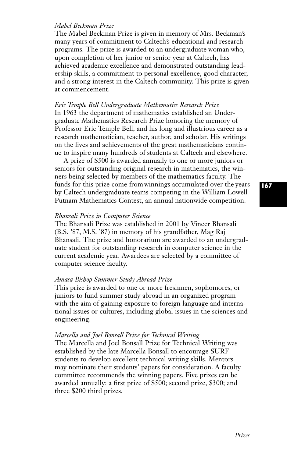#### *Mabel Beckman Prize*

The Mabel Beckman Prize is given in memory of Mrs. Beckman's many years of commitment to Caltech's educational and research programs. The prize is awarded to an undergraduate woman who, upon completion of her junior or senior year at Caltech, has achieved academic excellence and demonstrated outstanding leadership skills, a commitment to personal excellence, good character, and a strong interest in the Caltech community. This prize is given at commencement.

# *Eric Temple Bell Undergraduate Mathematics Research Prize*  In 1963 the department of mathematics established an Undergraduate Mathematics Research Prize honoring the memory of Professor Eric Temple Bell, and his long and illustrious career as a research mathematician, teacher, author, and scholar. His writings on the lives and achievements of the great mathematicians continue to inspire many hundreds of students at Caltech and elsewhere.

A prize of \$500 is awarded annually to one or more juniors or seniors for outstanding original research in mathematics, the winners being selected by members of the mathematics faculty. The funds for this prize come fromwinnings accumulated over the years by Caltech undergraduate teams competing in the William Lowell Putnam Mathematics Contest, an annual nationwide competition.

#### *Bhansali Prize in Computer Science*

The Bhansali Prize was established in 2001 by Vineer Bhansali (B.S. '87, M.S. '87) in memory of his grandfather, Mag Raj Bhansali. The prize and honorarium are awarded to an undergraduate student for outstanding research in computer science in the current academic year. Awardees are selected by a committee of computer science faculty.

#### *Amasa Bishop Summer Study Abroad Prize*

This prize is awarded to one or more freshmen, sophomores, or juniors to fund summer study abroad in an organized program with the aim of gaining exposure to foreign language and international issues or cultures, including global issues in the sciences and engineering.

#### *Marcella and Joel Bonsall Prize for Technical Writing*

The Marcella and Joel Bonsall Prize for Technical Writing was established by the late Marcella Bonsall to encourage SURF students to develop excellent technical writing skills. Mentors may nominate their students' papers for consideration. A faculty committee recommends the winning papers. Five prizes can be awarded annually: a first prize of \$500; second prize, \$300; and three \$200 third prizes.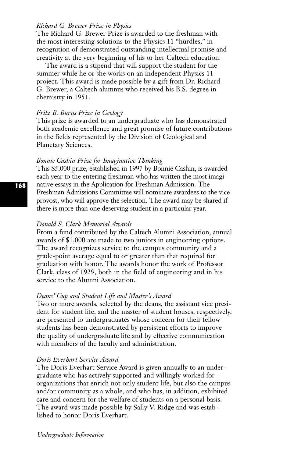#### *Richard G. Brewer Prize in Physics*

The Richard G. Brewer Prize is awarded to the freshman with the most interesting solutions to the Physics 11 "hurdles," in recognition of demonstrated outstanding intellectual promise and creativity at the very beginning of his or her Caltech education.

The award is a stipend that will support the student for the summer while he or she works on an independent Physics 11 project. This award is made possible by a gift from Dr. Richard G. Brewer, a Caltech alumnus who received his B.S. degree in chemistry in 1951.

#### *Fritz B. Burns Prize in Geology*

This prize is awarded to an undergraduate who has demonstrated both academic excellence and great promise of future contributions in the fields represented by the Division of Geological and Planetary Sciences.

#### *Bonnie Cashin Prize for Imaginative Thinking*

This \$5,000 prize, established in 1997 by Bonnie Cashin, is awarded each year to the entering freshman who has written the most imaginative essays in the Application for Freshman Admission. The Freshman Admissions Committee will nominate awardees to the vice provost, who will approve the selection. The award may be shared if there is more than one deserving student in a particular year.

#### *Donald S. Clark Memorial Awards*

From a fund contributed by the Caltech Alumni Association, annual awards of \$1,000 are made to two juniors in engineering options. The award recognizes service to the campus community and a grade-point average equal to or greater than that required for graduation with honor. The awards honor the work of Professor Clark, class of 1929, both in the field of engineering and in his service to the Alumni Association.

#### *Deans' Cup and Student Life and Master's Award*

Two or more awards, selected by the deans, the assistant vice president for student life, and the master of student houses, respectively, are presented to undergraduates whose concern for their fellow students has been demonstrated by persistent efforts to improve the quality of undergraduate life and by effective communication with members of the faculty and administration.

#### *Doris Everhart Service Award*

The Doris Everhart Service Award is given annually to an undergraduate who has actively supported and willingly worked for organizations that enrich not only student life, but also the campus and/or community as a whole, and who has, in addition, exhibited care and concern for the welfare of students on a personal basis. The award was made possible by Sally V. Ridge and was established to honor Doris Everhart.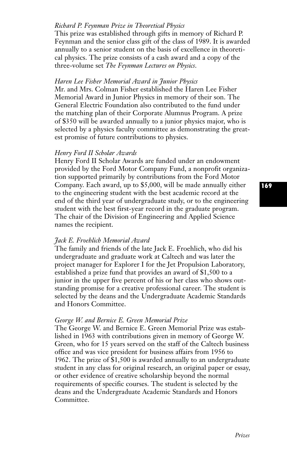# *Richard P. Feynman Prize in Theoretical Physics*

This prize was established through gifts in memory of Richard P. Feynman and the senior class gift of the class of 1989. It is awarded annually to a senior student on the basis of excellence in theoretical physics. The prize consists of a cash award and a copy of the three-volume set *The Feynman Lectures on Physics*.

#### *Haren Lee Fisher Memorial Award in Junior Physics*

Mr. and Mrs. Colman Fisher established the Haren Lee Fisher Memorial Award in Junior Physics in memory of their son. The General Electric Foundation also contributed to the fund under the matching plan of their Corporate Alumnus Program. A prize of \$350 will be awarded annually to a junior physics major, who is selected by a physics faculty committee as demonstrating the greatest promise of future contributions to physics.

#### *Henry Ford II Scholar Awards*

Henry Ford II Scholar Awards are funded under an endowment provided by the Ford Motor Company Fund, a nonprofit organization supported primarily by contributions from the Ford Motor Company. Each award, up to \$5,000, will be made annually either to the engineering student with the best academic record at the end of the third year of undergraduate study, or to the engineering student with the best first-year record in the graduate program. The chair of the Division of Engineering and Applied Science names the recipient.

### *Jack E. Froehlich Memorial Award*

The family and friends of the late Jack E. Froehlich, who did his undergraduate and graduate work at Caltech and was later the project manager for Explorer I for the Jet Propulsion Laboratory, established a prize fund that provides an award of \$1,500 to a junior in the upper five percent of his or her class who shows outstanding promise for a creative professional career. The student is selected by the deans and the Undergraduate Academic Standards and Honors Committee.

#### *George W. and Bernice E. Green Memorial Prize*

The George W. and Bernice E. Green Memorial Prize was established in 1963 with contributions given in memory of George W. Green, who for 15 years served on the staff of the Caltech business office and was vice president for business affairs from 1956 to 1962. The prize of \$1,500 is awarded annually to an undergraduate student in any class for original research, an original paper or essay, or other evidence of creative scholarship beyond the normal requirements of specific courses. The student is selected by the deans and the Undergraduate Academic Standards and Honors Committee.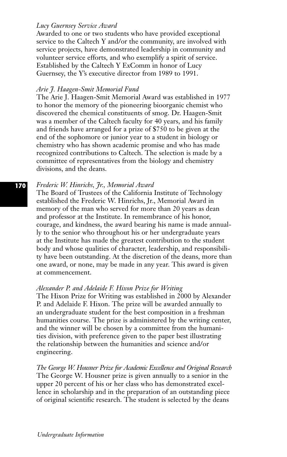### *Lucy Guernsey Service Award*

Awarded to one or two students who have provided exceptional service to the Caltech Y and/or the community, are involved with service projects, have demonstrated leadership in community and volunteer service efforts, and who exemplify a spirit of service. Established by the Caltech Y ExComm in honor of Lucy Guernsey, the Y's executive director from 1989 to 1991.

#### *Arie J. Haagen-Smit Memorial Fund*

The Arie J. Haagen-Smit Memorial Award was established in 1977 to honor the memory of the pioneering bioorganic chemist who discovered the chemical constituents of smog. Dr. Haagen-Smit was a member of the Caltech faculty for 40 years, and his family and friends have arranged for a prize of \$750 to be given at the end of the sophomore or junior year to a student in biology or chemistry who has shown academic promise and who has made recognized contributions to Caltech. The selection is made by a committee of representatives from the biology and chemistry divisions, and the deans.

#### *Frederic W. Hinrichs, Jr., Memorial Award*

The Board of Trustees of the California Institute of Technology established the Frederic W. Hinrichs, Jr., Memorial Award in memory of the man who served for more than 20 years as dean and professor at the Institute. In remembrance of his honor, courage, and kindness, the award bearing his name is made annually to the senior who throughout his or her undergraduate years at the Institute has made the greatest contribution to the student body and whose qualities of character, leadership, and responsibility have been outstanding. At the discretion of the deans, more than one award, or none, may be made in any year. This award is given at commencement.

#### *Alexander P. and Adelaide F. Hixon Prize for Writing*

The Hixon Prize for Writing was established in 2000 by Alexander P. and Adelaide F. Hixon. The prize will be awarded annually to an undergraduate student for the best composition in a freshman humanities course. The prize is administered by the writing center, and the winner will be chosen by a committee from the humanities division, with preference given to the paper best illustrating the relationship between the humanities and science and/or engineering.

*The George W. Housner Prize for Academic Excellence and Original Research* The George W. Housner prize is given annually to a senior in the upper 20 percent of his or her class who has demonstrated excellence in scholarship and in the preparation of an outstanding piece of original scientific research. The student is selected by the deans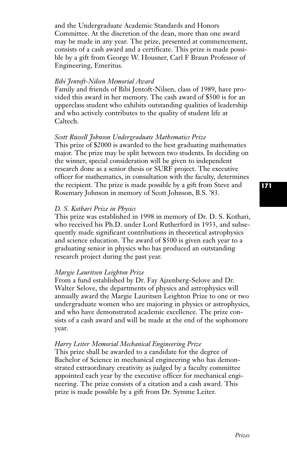and the Undergraduate Academic Standards and Honors Committee. At the discretion of the dean, more than one award may be made in any year. The prize, presented at commencement, consists of a cash award and a certificate. This prize is made possible by a gift from George W. Housner, Carl F Braun Professor of Engineering, Emeritus.

#### *Bibi Jentoft-Nilsen Memorial Award*

Family and friends of Bibi Jentoft-Nilsen, class of 1989, have provided this award in her memory. The cash award of \$500 is for an upperclass student who exhibits outstanding qualities of leadership and who actively contributes to the quality of student life at Caltech.

#### *Scott Russell Johnson Undergraduate Mathematics Prize*

This prize of \$2000 is awarded to the best graduating mathematics major. The prize may be split between two students. In deciding on the winner, special consideration will be given to independent research done as a senior thesis or SURF project. The executive officer for mathematics, in consultation with the faculty, determines the recipient. The prize is made possible by a gift from Steve and Rosemary Johnson in memory of Scott Johnson, B.S. '83.

#### *D. S. Kothari Prize in Physics*

This prize was established in 1998 in memory of Dr. D. S. Kothari, who received his Ph.D. under Lord Rutherford in 1933, and subsequently made significant contributions in theoretical astrophysics and science education. The award of \$500 is given each year to a graduating senior in physics who has produced an outstanding research project during the past year.

#### *Margie Lauritsen Leighton Prize*

From a fund established by Dr. Fay Ajzenberg-Selove and Dr. Walter Selove, the departments of physics and astrophysics will annually award the Margie Lauritsen Leighton Prize to one or two undergraduate women who are majoring in physics or astrophysics, and who have demonstrated academic excellence. The prize consists of a cash award and will be made at the end of the sophomore year.

#### *Harry Leiter Memorial Mechanical Engineering Prize*

This prize shall be awarded to a candidate for the degree of Bachelor of Science in mechanical engineering who has demonstrated extraordinary creativity as judged by a faculty committee appointed each year by the executive officer for mechanical engineering. The prize consists of a citation and a cash award. This prize is made possible by a gift from Dr. Symme Leiter.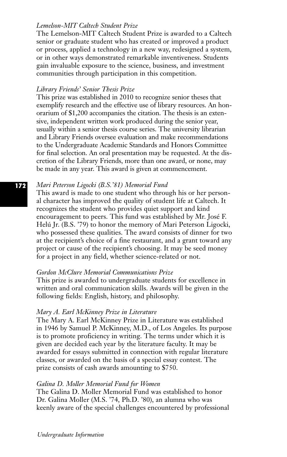# *Lemelson-MIT Caltech Student Prize*

The Lemelson-MIT Caltech Student Prize is awarded to a Caltech senior or graduate student who has created or improved a product or process, applied a technology in a new way, redesigned a system, or in other ways demonstrated remarkable inventiveness. Students gain invaluable exposure to the science, business, and investment communities through participation in this competition.

#### *Library Friends' Senior Thesis Prize*

This prize was established in 2010 to recognize senior theses that exemplify research and the effective use of library resources. An honorarium of \$1,200 accompanies the citation. The thesis is an extensive, independent written work produced during the senior year, usually within a senior thesis course series. The university librarian and Library Friends oversee evaluation and make recommendations to the Undergraduate Academic Standards and Honors Committee for final selection. An oral presentation may be requested. At the discretion of the Library Friends, more than one award, or none, may be made in any year. This award is given at commencement.

#### *Mari Peterson Ligocki (B.S.'81) Memorial Fund*

This award is made to one student who through his or her personal character has improved the quality of student life at Caltech. It recognizes the student who provides quiet support and kind encouragement to peers. This fund was established by Mr. José F. Helú Jr. (B.S. '79) to honor the memory of Mari Peterson Ligocki, who possessed these qualities. The award consists of dinner for two at the recipient's choice of a fine restaurant, and a grant toward any project or cause of the recipient's choosing. It may be seed money for a project in any field, whether science-related or not.

# *Gordon McClure Memorial Communications Prize*

This prize is awarded to undergraduate students for excellence in written and oral communication skills. Awards will be given in the following fields: English, history, and philosophy.

### *Mary A. Earl McKinney Prize in Literature*

The Mary A. Earl McKinney Prize in Literature was established in 1946 by Samuel P. McKinney, M.D., of Los Angeles. Its purpose is to promote proficiency in writing. The terms under which it is given are decided each year by the literature faculty. It may be awarded for essays submitted in connection with regular literature classes, or awarded on the basis of a special essay contest. The prize consists of cash awards amounting to \$750.

#### *Galina D. Moller Memorial Fund for Women*

The Galina D. Moller Memorial Fund was established to honor Dr. Galina Moller (M.S. '74, Ph.D. '80), an alumna who was keenly aware of the special challenges encountered by professional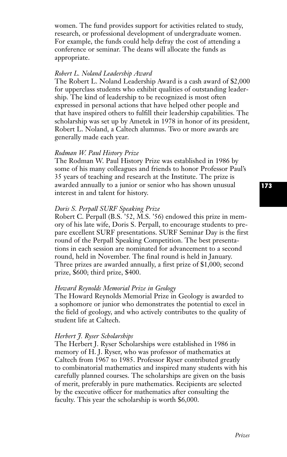women. The fund provides support for activities related to study, research, or professional development of undergraduate women. For example, the funds could help defray the cost of attending a conference or seminar. The deans will allocate the funds as appropriate.

#### *Robert L. Noland Leadership Award*

The Robert L. Noland Leadership Award is a cash award of \$2,000 for upperclass students who exhibit qualities of outstanding leadership. The kind of leadership to be recognized is most often expressed in personal actions that have helped other people and that have inspired others to fulfill their leadership capabilities. The scholarship was set up by Ametek in 1978 in honor of its president, Robert L. Noland, a Caltech alumnus. Two or more awards are generally made each year.

### *Rodman W. Paul History Prize*

The Rodman W. Paul History Prize was established in 1986 by some of his many colleagues and friends to honor Professor Paul's 35 years of teaching and research at the Institute. The prize is awarded annually to a junior or senior who has shown unusual interest in and talent for history.

#### *Doris S. Perpall SURF Speaking Prize*

Robert C. Perpall (B.S. '52, M.S. '56) endowed this prize in memory of his late wife, Doris S. Perpall, to encourage students to prepare excellent SURF presentations. SURF Seminar Day is the first round of the Perpall Speaking Competition. The best presentations in each session are nominated for advancement to a second round, held in November. The final round is held in January. Three prizes are awarded annually, a first prize of \$1,000; second prize, \$600; third prize, \$400.

#### *Howard Reynolds Memorial Prize in Geology*

The Howard Reynolds Memorial Prize in Geology is awarded to a sophomore or junior who demonstrates the potential to excel in the field of geology, and who actively contributes to the quality of student life at Caltech.

#### *Herbert J. Ryser Scholarships*

The Herbert J. Ryser Scholarships were established in 1986 in memory of H. J. Ryser, who was professor of mathematics at Caltech from 1967 to 1985. Professor Ryser contributed greatly to combinatorial mathematics and inspired many students with his carefully planned courses. The scholarships are given on the basis of merit, preferably in pure mathematics. Recipients are selected by the executive officer for mathematics after consulting the faculty. This year the scholarship is worth \$6,000.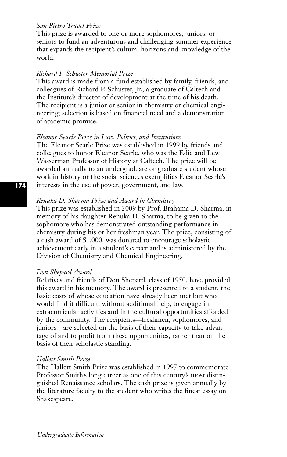### *San Pietro Travel Prize*

This prize is awarded to one or more sophomores, juniors, or seniors to fund an adventurous and challenging summer experience that expands the recipient's cultural horizons and knowledge of the world.

# *Richard P. Schuster Memorial Prize*

This award is made from a fund established by family, friends, and colleagues of Richard P. Schuster, Jr., a graduate of Caltech and the Institute's director of development at the time of his death. The recipient is a junior or senior in chemistry or chemical engineering; selection is based on financial need and a demonstration of academic promise.

#### *Eleanor Searle Prize in Law, Politics, and Institutions*

The Eleanor Searle Prize was established in 1999 by friends and colleagues to honor Eleanor Searle, who was the Edie and Lew Wasserman Professor of History at Caltech. The prize will be awarded annually to an undergraduate or graduate student whose work in history or the social sciences exemplifies Eleanor Searle's interests in the use of power, government, and law.

#### *Renuka D. Sharma Prize and Award in Chemistry*

This prize was established in 2009 by Prof. Brahama D. Sharma, in memory of his daughter Renuka D. Sharma, to be given to the sophomore who has demonstrated outstanding performance in chemistry during his or her freshman year. The prize, consisting of a cash award of \$1,000, was donated to encourage scholastic achievement early in a student's career and is administered by the Division of Chemistry and Chemical Engineering.

#### *Don Shepard Award*

Relatives and friends of Don Shepard, class of 1950, have provided this award in his memory. The award is presented to a student, the basic costs of whose education have already been met but who would find it difficult, without additional help, to engage in extracurricular activities and in the cultural opportunities afforded by the community. The recipients—freshmen, sophomores, and juniors—are selected on the basis of their capacity to take advantage of and to profit from these opportunities, rather than on the basis of their scholastic standing.

#### *Hallett Smith Prize*

The Hallett Smith Prize was established in 1997 to commemorate Professor Smith's long career as one of this century's most distinguished Renaissance scholars. The cash prize is given annually by the literature faculty to the student who writes the finest essay on Shakespeare.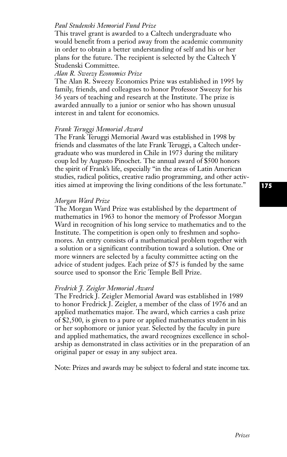# *Paul Studenski Memorial Fund Prize*

This travel grant is awarded to a Caltech undergraduate who would benefit from a period away from the academic community in order to obtain a better understanding of self and his or her plans for the future. The recipient is selected by the Caltech Y Studenski Committee.

#### *Alan R. Sweezy Economics Prize*

The Alan R. Sweezy Economics Prize was established in 1995 by family, friends, and colleagues to honor Professor Sweezy for his 36 years of teaching and research at the Institute. The prize is awarded annually to a junior or senior who has shown unusual interest in and talent for economics.

#### *Frank Teruggi Memorial Award*

The Frank Teruggi Memorial Award was established in 1998 by friends and classmates of the late Frank Teruggi, a Caltech undergraduate who was murdered in Chile in 1973 during the military coup led by Augusto Pinochet. The annual award of \$500 honors the spirit of Frank's life, especially "in the areas of Latin American studies, radical politics, creative radio programming, and other activities aimed at improving the living conditions of the less fortunate."

#### *Morgan Ward Prize*

The Morgan Ward Prize was established by the department of mathematics in 1963 to honor the memory of Professor Morgan Ward in recognition of his long service to mathematics and to the Institute. The competition is open only to freshmen and sophomores. An entry consists of a mathematical problem together with a solution or a significant contribution toward a solution. One or more winners are selected by a faculty committee acting on the advice of student judges. Each prize of \$75 is funded by the same source used to sponsor the Eric Temple Bell Prize.

#### *Fredrick J. Zeigler Memorial Award*

The Fredrick J. Zeigler Memorial Award was established in 1989 to honor Fredrick J. Zeigler, a member of the class of 1976 and an applied mathematics major. The award, which carries a cash prize of \$2,500, is given to a pure or applied mathematics student in his or her sophomore or junior year. Selected by the faculty in pure and applied mathematics, the award recognizes excellence in scholarship as demonstrated in class activities or in the preparation of an original paper or essay in any subject area.

Note: Prizes and awards may be subject to federal and state income tax.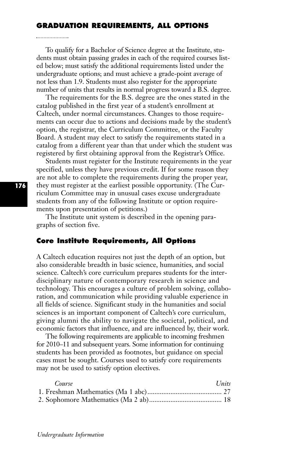#### **GRADUATION REQUIREMENTS, ALL OPTIONS**

To qualify for a Bachelor of Science degree at the Institute, students must obtain passing grades in each of the required courses listed below; must satisfy the additional requirements listed under the undergraduate options; and must achieve a grade-point average of not less than 1.9. Students must also register for the appropriate number of units that results in normal progress toward a B.S. degree.

The requirements for the B.S. degree are the ones stated in the catalog published in the first year of a student's enrollment at Caltech, under normal circumstances. Changes to those requirements can occur due to actions and decisions made by the student's option, the registrar, the Curriculum Committee, or the Faculty Board. A student may elect to satisfy the requirements stated in a catalog from a different year than that under which the student was registered by first obtaining approval from the Registrar's Office.

Students must register for the Institute requirements in the year specified, unless they have previous credit. If for some reason they are not able to complete the requirements during the proper year, they must register at the earliest possible opportunity. (The Curriculum Committee may in unusual cases excuse undergraduate students from any of the following Institute or option requirements upon presentation of petitions.)

The Institute unit system is described in the opening paragraphs of section five.

# **Core Institute Requirements, All Options**

A Caltech education requires not just the depth of an option, but also considerable breadth in basic science, humanities, and social science. Caltech's core curriculum prepares students for the interdisciplinary nature of contemporary research in science and technology. This encourages a culture of problem solving, collaboration, and communication while providing valuable experience in all fields of science. Significant study in the humanities and social sciences is an important component of Caltech's core curriculum, giving alumni the ability to navigate the societal, political, and economic factors that influence, and are influenced by, their work.

The following requirements are applicable to incoming freshmen for 2010–11 and subsequent years. Some information for continuing students has been provided as footnotes, but guidance on special cases must be sought. Courses used to satisfy core requirements may not be used to satisfy option electives.

| Course | Units |
|--------|-------|
|        |       |
|        |       |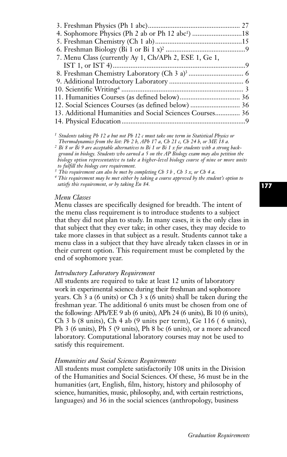| 4. Sophomore Physics (Ph 2 ab or Ph 12 abc <sup>1</sup> ) 18 |  |
|--------------------------------------------------------------|--|
|                                                              |  |
|                                                              |  |
| 7. Menu Class (currently Ay 1, Ch/APh 2, ESE 1, Ge 1,        |  |
|                                                              |  |
|                                                              |  |
|                                                              |  |
|                                                              |  |
|                                                              |  |
|                                                              |  |
| 13. Additional Humanities and Social Sciences Courses 36     |  |
|                                                              |  |
|                                                              |  |

*<sup>1</sup> Students taking Ph 12 a but not Ph 12 c must take one term in Statistical Physics or Thermodynamics from the list: Ph 2 b, APh 17 a, Ch 21 c, Ch 24 b, or ME 18 a.*

*<sup>2</sup> Bi 8 or Bi 9 are acceptable alternatives to Bi 1 or Bi 1 x for students with a strong background in biology. Students who earned a 5 on the AP Biology exam may also petition the biology option representative to take a higher-level biology course of nine or more units to fulfill the biology core requirement.*

*<sup>3</sup> This requirement can also be met by completing Ch 3 b , Ch 3 x, or Ch 4 a.* 

*<sup>4</sup> This requirement may be met either by taking a course approved by the student's option to satisfy this requirement, or by taking En 84.*

#### *Menu Classes*

Menu classes are specifically designed for breadth. The intent of the menu class requirement is to introduce students to a subject that they did not plan to study. In many cases, it is the only class in that subject that they ever take; in other cases, they may decide to take more classes in that subject as a result. Students cannot take a menu class in a subject that they have already taken classes in or in their current option. This requirement must be completed by the end of sophomore year.

#### *Introductory Laboratory Requirement*

All students are required to take at least 12 units of laboratory work in experimental science during their freshman and sophomore years. Ch 3 a (6 units) or Ch 3 x (6 units) shall be taken during the freshman year. The additional 6 units must be chosen from one of the following: APh/EE 9 ab (6 units), APh 24 (6 units), Bi 10 (6 units), Ch 3 b (8 units), Ch 4 ab (9 units per term), Ge 116 ( 6 units), Ph 3 (6 units), Ph 5 (9 units), Ph 8 bc (6 units), or a more advanced laboratory. Computational laboratory courses may not be used to satisfy this requirement.

#### *Humanities and Social Sciences Requirements*

All students must complete satisfactorily 108 units in the Division of the Humanities and Social Sciences. Of these, 36 must be in the humanities (art, English, film, history, history and philosophy of science, humanities, music, philosophy, and, with certain restrictions, languages) and 36 in the social sciences (anthropology, business

### **177**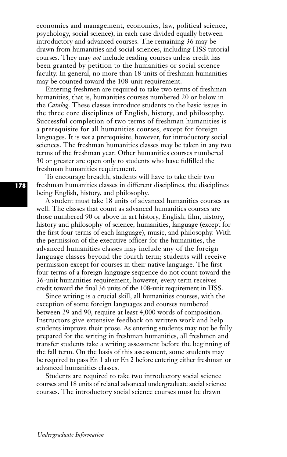economics and management, economics, law, political science, psychology, social science), in each case divided equally between introductory and advanced courses. The remaining 36 may be drawn from humanities and social sciences, including HSS tutorial courses. They may *not* include reading courses unless credit has been granted by petition to the humanities or social science faculty. In general, no more than 18 units of freshman humanities may be counted toward the 108-unit requirement.

Entering freshmen are required to take two terms of freshman humanities; that is, humanities courses numbered 20 or below in the *Catalog*. These classes introduce students to the basic issues in the three core disciplines of English, history, and philosophy. Successful completion of two terms of freshman humanities is a prerequisite for all humanities courses, except for foreign languages. It is *not* a prerequisite, however, for introductory social sciences. The freshman humanities classes may be taken in any two terms of the freshman year. Other humanities courses numbered 30 or greater are open only to students who have fulfilled the freshman humanities requirement.

To encourage breadth, students will have to take their two freshman humanities classes in different disciplines, the disciplines being English, history, and philosophy.

A student must take 18 units of advanced humanities courses as well. The classes that count as advanced humanities courses are those numbered 90 or above in art history, English, film, history, history and philosophy of science, humanities, language (except for the first four terms of each language), music, and philosophy. With the permission of the executive officer for the humanities, the advanced humanities classes may include any of the foreign language classes beyond the fourth term; students will receive permission except for courses in their native language. The first four terms of a foreign language sequence do not count toward the 36-unit humanities requirement; however, every term receives credit toward the final 36 units of the 108-unit requirement in HSS.

Since writing is a crucial skill, all humanities courses, with the exception of some foreign languages and courses numbered between 29 and 90, require at least 4,000 words of composition. Instructors give extensive feedback on written work and help students improve their prose. As entering students may not be fully prepared for the writing in freshman humanities, all freshmen and transfer students take a writing assessment before the beginning of the fall term. On the basis of this assessment, some students may be required to pass En 1 ab or En 2 before entering either freshman or advanced humanities classes.

Students are required to take two introductory social science courses and 18 units of related advanced undergraduate social science courses. The introductory social science courses must be drawn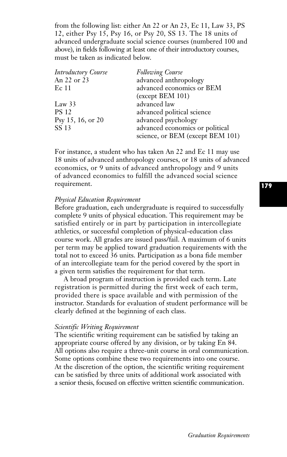from the following list: either An 22 or An 23, Ec 11, Law 33, PS 12, either Psy 15, Psy 16, or Psy 20, SS 13. The 18 units of advanced undergraduate social science courses (numbered 100 and above), in fields following at least one of their introductory courses, must be taken as indicated below.

| <b>Introductory Course</b> | <b>Following Course</b>          |
|----------------------------|----------------------------------|
| An 22 or 23                | advanced anthropology            |
| Ec <sub>11</sub>           | advanced economics or BEM        |
|                            | (except BEM 101)                 |
| Law $33$                   | advanced law                     |
| <b>PS 12</b>               | advanced political science       |
| Psy 15, 16, or 20          | advanced psychology              |
| SS 13                      | advanced economics or political  |
|                            | science, or BEM (except BEM 101) |

For instance, a student who has taken An 22 and Ec 11 may use 18 units of advanced anthropology courses, or 18 units of advanced economics, or 9 units of advanced anthropology and 9 units of advanced economics to fulfill the advanced social science requirement.

#### *Physical Education Requirement*

Before graduation, each undergraduate is required to successfully complete 9 units of physical education. This requirement may be satisfied entirely or in part by participation in intercollegiate athletics, or successful completion of physical-education class course work. All grades are issued pass/fail. A maximum of 6 units per term may be applied toward graduation requirements with the total not to exceed 36 units. Participation as a bona fide member of an intercollegiate team for the period covered by the sport in a given term satisfies the requirement for that term.

A broad program of instruction is provided each term. Late registration is permitted during the first week of each term, provided there is space available and with permission of the instructor. Standards for evaluation of student performance will be clearly defined at the beginning of each class.

#### *Scientific Writing Requirement*

The scientific writing requirement can be satisfied by taking an appropriate course offered by any division, or by taking En 84. All options also require a three-unit course in oral communication. Some options combine these two requirements into one course. At the discretion of the option, the scientific writing requirement can be satisfied by three units of additional work associated with a senior thesis, focused on effective written scientific communication.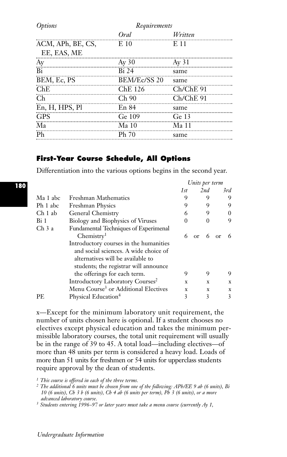| <i>Options</i>    | Requirements |                  |  |
|-------------------|--------------|------------------|--|
|                   | Oral         | Written          |  |
| ACM, APh, BE, CS, | E 10         | E 11             |  |
| EE, EAS, ME       |              |                  |  |
| Äy                | $Ay\,30$     | Ay 31            |  |
| ΪË                | <b>Bi</b> 24 | same             |  |
| BEM, Ec, PS       | BEM/Ec/SS 20 | same             |  |
| ChE               | ChE 126      | $Ch/ChE$ 91      |  |
| Ch                | Ch90         | $Ch/ChE$ 91      |  |
| En, H, HPS, Pl    | En 84        | same             |  |
| <b>GPS</b>        | Ge 109       | Ge <sub>13</sub> |  |
| Ma                | Ma 10        | Ma 11            |  |
| Ph                | Ph 70        | same             |  |
|                   |              |                  |  |

# **First-Year Course Schedule, All Options**

Differentiation into the various options begins in the second year.

|                    |                                                                                                                                                               | Units per term |                 |             |
|--------------------|---------------------------------------------------------------------------------------------------------------------------------------------------------------|----------------|-----------------|-------------|
|                    |                                                                                                                                                               | 1st            | 2nd             | 3rd         |
| Ma 1 abc           | Freshman Mathematics                                                                                                                                          | 9              | 9               | 9           |
| Ph 1 abc           | <b>Freshman Physics</b>                                                                                                                                       | 9              | 9               | 9           |
| Ch <sub>1</sub> ab | General Chemistry                                                                                                                                             | 6              | 9               | 0           |
| Bi 1               | Biology and Biophysics of Viruses                                                                                                                             | $\theta$       | $\Omega$        | 9           |
| Ch <sub>3</sub> a  | Fundamental Techniques of Experimenal<br>Chemistry <sup>1</sup>                                                                                               | 6              | 6<br>$\alpha$ r | 6<br>or     |
|                    | Introductory courses in the humanities<br>and social sciences. A wide choice of<br>alternatives will be available to<br>students; the registrar will announce | 9              | 9               | 9           |
|                    | the offerings for each term.                                                                                                                                  |                |                 |             |
|                    | Introductory Laboratory Courses <sup>2</sup>                                                                                                                  | X              | X               | $\mathbf x$ |
|                    | Menu Course <sup>3</sup> or Additional Electives                                                                                                              | X              | X               | X           |
| PE.                | Physical Education <sup>4</sup>                                                                                                                               | 3              | 3               | 3           |

x—Except for the minimum laboratory unit requirement, the number of units chosen here is optional. If a student chooses no electives except physical education and takes the minimum permissible laboratory courses, the total unit requirement will usually be in the range of 39 to 45. A total load—including electives—of more than 48 units per term is considered a heavy load. Loads of more than 51 units for freshmen or 54 units for upperclass students require approval by the dean of students.

*<sup>1</sup> This course is offered in each of the three terms. <sup>2</sup> The additional 6 units must be chosen from one of the following: APh/EE 9 ab (6 units), Bi 10 (6 units), Ch 3 b (6 units), Ch 4 ab (6 units per term), Ph 3 (6 units), or a more*

*advanced laboratory course. <sup>3</sup> Students entering 1996–97 or later years must take a menu course (currently Ay 1,*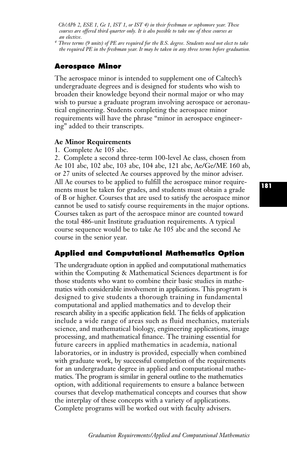*Ch/APh 2, ESE 1, Ge 1, IST 1, or IST 4) in their freshman or sophomore year. These courses are offered third quarter only. It is also possible to take one of these courses as an elective.*

*<sup>4</sup> Three terms (9 units) of PE are required for the B.S. degree. Students need not elect to take the required PE in the freshman year. It may be taken in any three terms before graduation.*

# **Aerospace Minor**

The aerospace minor is intended to supplement one of Caltech's undergraduate degrees and is designed for students who wish to broaden their knowledge beyond their normal major or who may wish to pursue a graduate program involving aerospace or aeronautical engineering. Students completing the aerospace minor requirements will have the phrase "minor in aerospace engineering" added to their transcripts.

### **Ae Minor Requirements**

1. Complete Ae 105 abc.

2. Complete a second three-term 100-level Ae class, chosen from Ae 101 abc, 102 abc, 103 abc, 104 abc, 121 abc, Ae/Ge/ME 160 ab, or 27 units of selected Ae courses approved by the minor adviser. All Ae courses to be applied to fulfill the aerospace minor requirements must be taken for grades, and students must obtain a grade of B or higher. Courses that are used to satisfy the aerospace minor cannot be used to satisfy course requirements in the major options. Courses taken as part of the aerospace minor are counted toward the total 486-unit Institute graduation requirements. A typical course sequence would be to take Ae 105 abc and the second Ae course in the senior year.

# **Applied and Computational Mathematics Option**

The undergraduate option in applied and computational mathematics within the Computing & Mathematical Sciences department is for those students who want to combine their basic studies in mathematics with considerable involvement in applications. This program is designed to give students a thorough training in fundamental computational and applied mathematics and to develop their research ability in a specific application field. The fields of application include a wide range of areas such as fluid mechanics, materials science, and mathematical biology, engineering applications, image processing, and mathematical finance. The training essential for future careers in applied mathematics in academia, national laboratories, or in industry is provided, especially when combined with graduate work, by successful completion of the requirements for an undergraduate degree in applied and computational mathematics. The program is similar in general outline to the mathematics option, with additional requirements to ensure a balance between courses that develop mathematical concepts and courses that show the interplay of these concepts with a variety of applications. Complete programs will be worked out with faculty advisers.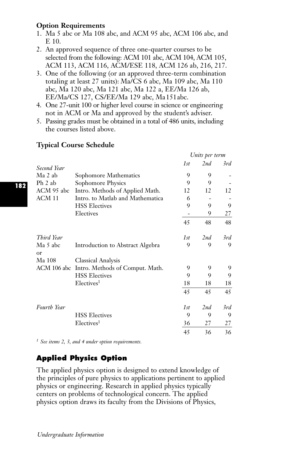# **Option Requirements**

- 1. Ma 5 abc or Ma 108 abc, and ACM 95 abc, ACM 106 abc, and E 10.
- 2. An approved sequence of three one-quarter courses to be selected from the following: ACM 101 abc, ACM 104, ACM 105, ACM 113, ACM 116, ACM/ESE 118, ACM 126 ab, 216, 217.
- 3. One of the following (or an approved three-term combination totaling at least 27 units): Ma/CS 6 abc, Ma 109 abc, Ma 110 abc, Ma 120 abc, Ma 121 abc, Ma 122 a, EE/Ma 126 ab, EE/Ma/CS 127, CS/EE/Ma 129 abc, Ma151abc.
- 4. One 27-unit 100 or higher level course in science or engineering not in ACM or Ma and approved by the student's adviser.
- 5. Passing grades must be obtained in a total of 486 units, including the courses listed above.

|                        |                                  |     | Units per term |     |
|------------------------|----------------------------------|-----|----------------|-----|
| Second Year            |                                  | 1st | 2nd            | 3rd |
| Ma 2 ab                | Sophomore Mathematics            | 9   | 9              |     |
| Ph 2 ab                | Sophomore Physics                | 9   | 9              |     |
| ACM 95 abc             | Intro. Methods of Applied Math.  | 12  | 12             | 12  |
| ACM 11                 | Intro. to Matlab and Mathematica | 6   |                |     |
|                        | <b>HSS Electives</b>             | 9   | 9              | 9   |
|                        | Electives                        |     | 9              | 27  |
|                        |                                  | 45  | 48             | 48  |
| Third Year             |                                  | 1st | 2nd            | 3rd |
| Ma 5 abc<br>$\alpha$ r | Introduction to Abstract Algebra | 9   | 9              | 9   |
| Ma 108                 | Classical Analysis               |     |                |     |
| ACM 106 abc            | Intro. Methods of Comput. Math.  | 9   | 9              | 9   |
|                        | <b>HSS Electives</b>             | 9   | 9              | 9   |
|                        | Electives <sup>1</sup>           | 18  | 18             | 18  |
|                        |                                  | 45  | 45             | 45  |
| Fourth Year            |                                  | 1st | 2nd            | 3rd |
|                        | <b>HSS Electives</b>             | 9   | 9              | 9   |
|                        | Electives <sup>1</sup>           | 36  | 27             | 27  |
|                        |                                  | 45  | 36             | 36  |

# **Typical Course Schedule**

*<sup>1</sup> See items 2, 3, and 4 under option requirements.*

# **Applied Physics Option**

The applied physics option is designed to extend knowledge of the principles of pure physics to applications pertinent to applied physics or engineering. Research in applied physics typically centers on problems of technological concern. The applied physics option draws its faculty from the Divisions of Physics,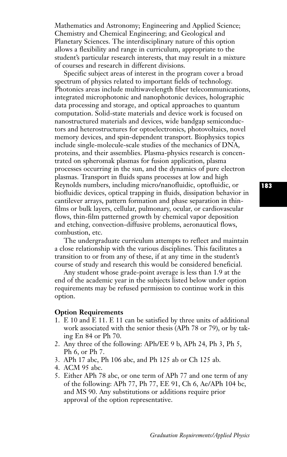Mathematics and Astronomy; Engineering and Applied Science; Chemistry and Chemical Engineering; and Geological and Planetary Sciences. The interdisciplinary nature of this option allows a flexibility and range in curriculum, appropriate to the student's particular research interests, that may result in a mixture of courses and research in different divisions.

Specific subject areas of interest in the program cover a broad spectrum of physics related to important fields of technology. Photonics areas include multiwavelength fiber telecommunications, integrated microphotonic and nanophotonic devices, holographic data processing and storage, and optical approaches to quantum computation. Solid-state materials and device work is focused on nanostructured materials and devices, wide bandgap semiconductors and heterostructures for optoelectronics, photovoltaics, novel memory devices, and spin-dependent transport. Biophysics topics include single-molecule-scale studies of the mechanics of DNA, proteins, and their assemblies. Plasma-physics research is concentrated on spheromak plasmas for fusion application, plasma processes occurring in the sun, and the dynamics of pure electron plasmas. Transport in fluids spans processes at low and high Reynolds numbers, including micro/nanofluidic, optofluidic, or biofluidic devices, optical trapping in fluids, dissipation behavior in cantilever arrays, pattern formation and phase separation in thinfilms or bulk layers, cellular, pulmonary, ocular, or cardiovascular flows, thin-film patterned growth by chemical vapor deposition and etching, convection-diffusive problems, aeronautical flows, combustion, etc.

The undergraduate curriculum attempts to reflect and maintain a close relationship with the various disciplines. This facilitates a transition to or from any of these, if at any time in the student's course of study and research this would be considered beneficial.

Any student whose grade-point average is less than 1.9 at the end of the academic year in the subjects listed below under option requirements may be refused permission to continue work in this option.

### **Option Requirements**

- 1. E 10 and E 11. E 11 can be satisfied by three units of additional work associated with the senior thesis (APh 78 or 79), or by taking En 84 or Ph 70.
- 2. Any three of the following: APh/EE 9 b, APh 24, Ph 3, Ph 5, Ph 6, or Ph 7.
- 3. APh 17 abc, Ph 106 abc, and Ph 125 ab or Ch 125 ab.
- 4. ACM 95 abc.
- 5. Either APh 78 abc, or one term of APh 77 and one term of any of the following: APh 77, Ph 77, EE 91, Ch 6, Ae/APh 104 bc, and MS 90. Any substitutions or additions require prior approval of the option representative.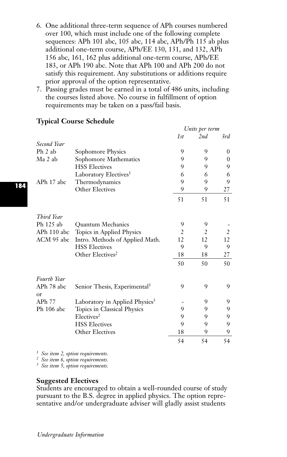- 6. One additional three-term sequence of APh courses numbered over 100, which must include one of the following complete sequences: APh 101 abc, 105 abc, 114 abc, APh/Ph 115 ab plus additional one-term course, APh/EE 130, 131, and 132, APh 156 abc, 161, 162 plus additional one-term course, APh/EE 183, or APh 190 abc. Note that APh 100 and APh 200 do not satisfy this requirement. Any substitutions or additions require prior approval of the option representative.
- 7. Passing grades must be earned in a total of 486 units, including the courses listed above. No course in fulfillment of option requirements may be taken on a pass/fail basis.

|                  |                                            | Units per term |     |                |
|------------------|--------------------------------------------|----------------|-----|----------------|
|                  |                                            | 1st            | 2nd | 3rd            |
| Second Year      |                                            |                |     |                |
| $Ph$ 2 ab        | Sophomore Physics                          | 9              | 9   | $\Omega$       |
| Ma 2 ab          | Sophomore Mathematics                      | 9              | 9   | 0              |
|                  | <b>HSS Electives</b>                       | 9              | 9   | 9              |
|                  | Laboratory Electives <sup>1</sup>          | 6              | 6   | 6              |
| APh 17 abc       | Thermodynamics                             | 9              | 9   | 9              |
|                  | Other Electives                            | 9              | 9   | 27             |
|                  |                                            | 51             | 51  | 51             |
| Third Year       |                                            |                |     |                |
| Ph 125 ab        | Quantum Mechanics                          | 9              | 9   |                |
| APh 110 abc      | Topics in Applied Physics                  | $\overline{2}$ | 2   | $\overline{2}$ |
| ACM 95 abc       | Intro. Methods of Applied Math.            | 12             | 12  | 12             |
|                  | <b>HSS Electives</b>                       | 9              | 9   | 9              |
|                  | Other Electives <sup>2</sup>               | 18             | 18  | 27             |
|                  |                                            | 50             | 50  | 50             |
| Fourth Year      |                                            |                |     |                |
| APh 78 abc<br>or | Senior Thesis, Experimental <sup>3</sup>   | 9              | 9   | 9              |
| APh 77           | Laboratory in Applied Physics <sup>3</sup> |                | 9   | 9              |
| Ph 106 abc       | Topics in Classical Physics                | 9              | 9   | 9              |
|                  | Electives <sup>2</sup>                     | 9              | 9   | 9              |
|                  | <b>HSS Electives</b>                       | 9              | 9   | 9              |
|                  | Other Electives                            | 18             | 9   | 9              |
|                  |                                            | 54             | 54  | 54             |

# **Typical Course Schedule**

*<sup>1</sup> See item 2, option requirements.*

*<sup>2</sup> See item 6, option requirements.*

*<sup>3</sup> See item 5, option requirements.*

# **Suggested Electives**

Students are encouraged to obtain a well-rounded course of study pursuant to the B.S. degree in applied physics. The option representative and/or undergraduate adviser will gladly assist students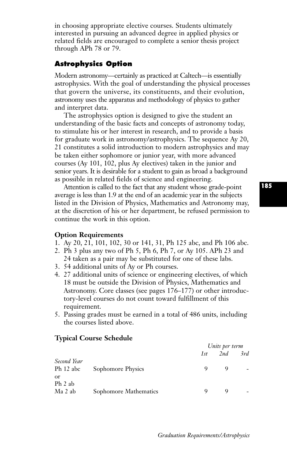in choosing appropriate elective courses. Students ultimately interested in pursuing an advanced degree in applied physics or related fields are encouraged to complete a senior thesis project through APh 78 or 79.

# **Astrophysics Option**

Modern astronomy—certainly as practiced at Caltech—is essentially astrophysics. With the goal of understanding the physical processes that govern the universe, its constituents, and their evolution, astronomy uses the apparatus and methodology of physics to gather and interpret data.

The astrophysics option is designed to give the student an understanding of the basic facts and concepts of astronomy today, to stimulate his or her interest in research, and to provide a basis for graduate work in astronomy/astrophysics. The sequence Ay 20, 21 constitutes a solid introduction to modern astrophysics and may be taken either sophomore or junior year, with more advanced courses (Ay 101, 102, plus Ay electives) taken in the junior and senior years. It is desirable for a student to gain as broad a background as possible in related fields of science and engineering.

Attention is called to the fact that any student whose grade-point average is less than 1.9 at the end of an academic year in the subjects listed in the Division of Physics, Mathematics and Astronomy may, at the discretion of his or her department, be refused permission to continue the work in this option.

### **Option Requirements**

1. Ay 20, 21, 101, 102, 30 or 141, 31, Ph 125 abc, and Ph 106 abc.

- 2. Ph 3 plus any two of Ph 5, Ph 6, Ph 7, or Ay 105. APh 23 and 24 taken as a pair may be substituted for one of these labs.
- 3. 54 additional units of Ay or Ph courses.
- 4. 27 additional units of science or engineering electives, of which 18 must be outside the Division of Physics, Mathematics and Astronomy. Core classes (see pages 176–177) or other introductory-level courses do not count toward fulfillment of this requirement.
- 5. Passing grades must be earned in a total of 486 units, including the courses listed above.

# *Units per term 1st 2nd 3rd Second Year* Ph 12 abc Sophomore Physics 9 9 9 or Ph 2 ab Ma 2 ab Sophomore Mathematics 9 9 9

#### **Typical Course Schedule**

**185**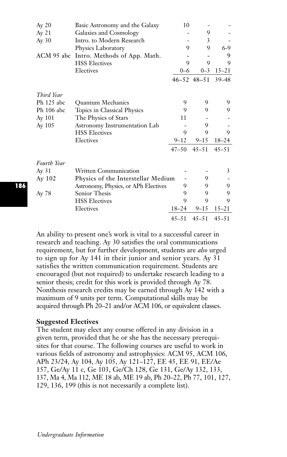| Ay 20       | Basic Astronomy and the Galaxy       | 10        |                     |           |
|-------------|--------------------------------------|-----------|---------------------|-----------|
| Ay 21       | Galaxies and Cosmology               |           | 9                   |           |
| Ay 30       | Intro. to Modern Research            |           | 3                   |           |
|             | Physics Laboratory                   | 9         | 9                   | $6-9$     |
| ACM 95 abc  | Intro. Methods of App. Math.         |           |                     | 9         |
|             | <b>HSS Electives</b>                 | 9         | 9                   | 9         |
|             | Electives                            | $0 - 6$   | $0 - 3$             | $15 - 21$ |
|             |                                      |           | $46 - 52$ $48 - 51$ | $39 - 48$ |
| Third Year  |                                      |           |                     |           |
| Ph 125 abc  | <b>Ouantum Mechanics</b>             | 9         | 9                   | 9         |
| Ph 106 abc  | Topics in Classical Physics          | 9         | 9                   | 9         |
| Ay 101      | The Physics of Stars                 | 11        |                     |           |
| Ay 105      | Astronomy Instrumentation Lab        |           | 9                   |           |
|             | <b>HSS Electives</b>                 | 9         | 9                   | 9         |
|             | Electives                            | $9 - 12$  | $9 - 15$            | 18–24     |
|             |                                      | $47 - 50$ | $45 - 51$           | $45 - 51$ |
| Fourth Year |                                      |           |                     |           |
| Ay 31       | <b>Written Communication</b>         |           |                     | 3         |
| Ay 102      | Physics of the Interstellar Medium   |           | 9                   |           |
|             | Astronomy, Physics, or APh Electives | 9         | 9                   | 9         |
| Ay 78       | Senior Thesis                        | 9         | 9                   | 9         |
|             | <b>HSS Electives</b>                 | 9         | 9                   | 9         |
|             | Electives                            | $18 - 24$ | $9 - 15$            | $15 - 21$ |
|             |                                      | $45 - 51$ | $45 - 51$           | $45 - 51$ |

An ability to present one's work is vital to a successful career in research and teaching. Ay 30 satisfies the oral communications requirement, but for further development, students are *also* urged to sign up for Ay 141 in their junior and senior years. Ay 31 satisfies the written communication requirement. Students are encouraged (but not required) to undertake research leading to a senior thesis; credit for this work is provided through Ay 78. Nonthesis research credits may be earned through Ay 142 with a maximum of 9 units per term. Computational skills may be acquired through Ph 20–21 and/or ACM 106, or equivalent classes.

### **Suggested Electives**

The student may elect any course offered in any division in a given term, provided that he or she has the necessary prerequisites for that course. The following courses are useful to work in various fields of astronomy and astrophysics: ACM 95, ACM 106, APh 23/24, Ay 104, Ay 105, Ay 121–127, EE 45, EE 91, EE/Ae 157, Ge/Ay 11 c, Ge 103, Ge/Ch 128, Ge 131, Ge/Ay 132, 133, 137, Ma 4, Ma 112, ME 18 ab, ME 19 ab, Ph 20–22, Ph 77, 101, 127, 129, 136, 199 (this is not necessarily a complete list).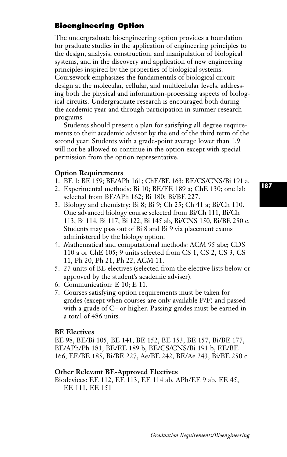# **Bioengineering Option**

The undergraduate bioengineering option provides a foundation for graduate studies in the application of engineering principles to the design, analysis, construction, and manipulation of biological systems, and in the discovery and application of new engineering principles inspired by the properties of biological systems. Coursework emphasizes the fundamentals of biological circuit design at the molecular, cellular, and multicellular levels, addressing both the physical and information-processing aspects of biological circuits. Undergraduate research is encouraged both during the academic year and through participation in summer research programs.

Students should present a plan for satisfying all degree requirements to their academic advisor by the end of the third term of the second year. Students with a grade-point average lower than 1.9 will not be allowed to continue in the option except with special permission from the option representative.

### **Option Requirements**

- 1. BE 1; BE 159; BE/APh 161; ChE/BE 163; BE/CS/CNS/Bi 191 a.
- 2. Experimental methods: Bi 10; BE/EE 189 a; ChE 130; one lab selected from BE/APh 162; Bi 180; Bi/BE 227.
- 3. Biology and chemistry: Bi 8; Bi 9; Ch 25; Ch 41 a; Bi/Ch 110. One advanced biology course selected from Bi/Ch 111, Bi/Ch 113, Bi 114, Bi 117, Bi 122, Bi 145 ab, Bi/CNS 150, Bi/BE 250 c. Students may pass out of Bi 8 and Bi 9 via placement exams administered by the biology option.
- 4. Mathematical and computational methods: ACM 95 abc; CDS 110 a or ChE 105; 9 units selected from CS 1, CS 2, CS 3, CS 11, Ph 20, Ph 21, Ph 22, ACM 11.
- 5. 27 units of BE electives (selected from the elective lists below or approved by the student's academic adviser).
- 6. Communication: E 10; E 11.
- 7. Courses satisfying option requirements must be taken for grades (except when courses are only available P/F) and passed with a grade of C– or higher. Passing grades must be earned in a total of 486 units.

### **BE Electives**

BE 98, BE/Bi 105, BE 141, BE 152, BE 153, BE 157, Bi/BE 177, BE/APh/Ph 181, BE/EE 189 b, BE/CS/CNS/Bi 191 b, EE/BE 166, EE/BE 185, Bi/BE 227, Ae/BE 242, BE/Ae 243, Bi/BE 250 c

# **Other Relevant BE-Approved Electives**

Biodevices: EE 112, EE 113, EE 114 ab, APh/EE 9 ab, EE 45, EE 111, EE 151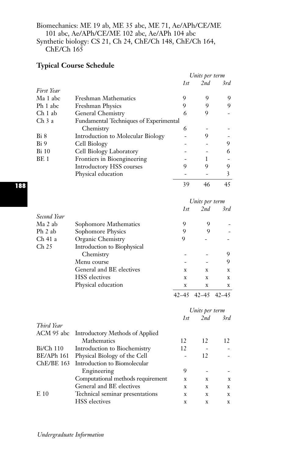# Biomechanics: ME 19 ab, ME 35 abc, ME 71, Ae/APh/CE/ME 101 abc, Ae/APh/CE/ME 102 abc, Ae/APh 104 abc Synthetic biology: CS 21, Ch 24, ChE/Ch 148, ChE/Ch 164, Ch<sub>E</sub>/C<sub>h</sub> 165

# **Typical Course Schedule**

|                   |                                                       |                | Units per term |             |
|-------------------|-------------------------------------------------------|----------------|----------------|-------------|
|                   |                                                       | 1st            | 2nd            | 3rd         |
| First Year        |                                                       |                |                |             |
| Ma 1 abc          | <b>Freshman Mathematics</b>                           | 9              | 9              | 9           |
| Ph 1 abc          | <b>Freshman Physics</b>                               | 9              | 9              | 9           |
| Ch 1 ab           | General Chemistry                                     | 6              | 9              |             |
| Ch <sub>3</sub> a | Fundamental Techniques of Experimental                |                |                |             |
|                   | Chemistry                                             | 6              |                |             |
| Bi 8              | Introduction to Molecular Biology                     | L              | 9              |             |
| Bi 9              | Cell Biology                                          |                |                | 9           |
| <b>Bi</b> 10      | Cell Biology Laboratory                               |                | ÷,             | 6           |
| BE 1              | Frontiers in Bioengineering                           |                | 1              |             |
|                   | <b>Introductory HSS courses</b>                       | 9              | 9              | 9           |
|                   | Physical education                                    | $\overline{a}$ | Ĭ.             | 3           |
|                   |                                                       | 39             | 46             | 45          |
|                   |                                                       |                | Units per term |             |
|                   |                                                       | 1st            | 2nd            | 3rd         |
| Second Year       |                                                       |                |                |             |
| Ma 2 ab           | Sophomore Mathematics                                 | 9              | 9              |             |
| Ph 2 ab           | Sophomore Physics                                     | 9              | 9              |             |
| Ch 41 a           | Organic Chemistry                                     | 9              |                |             |
| Ch <sub>25</sub>  | Introduction to Biophysical                           |                |                |             |
|                   | Chemistry                                             |                |                | 9           |
|                   | Menu course                                           |                |                | 9           |
|                   | General and BE electives                              | X              | X              | x           |
|                   | <b>HSS</b> electives                                  | $\mathbf x$    | X              | x           |
|                   | Physical education                                    | $\mathbf X$    | $\mathbf X$    | $\mathbf X$ |
|                   |                                                       | $42 - 45$      | $42 - 45$      | $42 - 45$   |
|                   |                                                       |                | Units per term |             |
|                   |                                                       | 1st            | 2nd            | 3rd         |
| Third Year        |                                                       |                |                |             |
| ACM 95 abc        | <b>Introductory Methods of Applied</b><br>Mathematics | 12             | 12             | 12          |
| Bi/Ch 110         | Introduction to Biochemistry                          | 12             | $\overline{a}$ |             |
| BE/APh 161        | Physical Biology of the Cell                          |                | 12             |             |
| ChE/BE 163        | Introduction to Biomolecular                          |                |                |             |
|                   | Engineering                                           | 9              | ÷              |             |
|                   | Computational methods requirement                     | x              | x              | x           |
|                   | General and BE electives                              | $\mathbf x$    | $\mathbf x$    | $\mathbf x$ |
| E 10              | Technical seminar presentations                       | X              | X              | X           |
|                   | <b>HSS</b> electives                                  | $\mathbf x$    | $\mathbf x$    | $\mathbf x$ |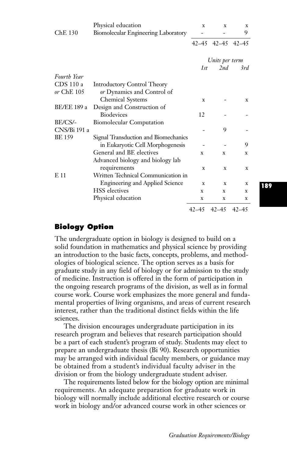|                    | Physical education                     | X         | x              | x         |
|--------------------|----------------------------------------|-----------|----------------|-----------|
| $Che$ 130          | Biomolecular Engineering Laboratory    |           |                | 9         |
|                    |                                        |           | 42–45 42–45    | $42 - 45$ |
|                    |                                        |           | Units per term |           |
|                    |                                        | 1st       | 2nd            | 3rd       |
| <b>Fourth Year</b> |                                        |           |                |           |
| CDS 110 a          | <b>Introductory Control Theory</b>     |           |                |           |
| $or$ ChE $105$     | or Dynamics and Control of             |           |                |           |
|                    | <b>Chemical Systems</b>                | X         |                | x         |
| <b>BE/EE 189 a</b> | Design and Construction of             |           |                |           |
|                    | <b>Biodevices</b>                      | 12        |                |           |
| BE/CS/-            | <b>Biomolecular Computation</b>        |           |                |           |
| CNS/Bi 191 a       |                                        |           | 9              |           |
| <b>BE 159</b>      | Signal Transduction and Biomechanics   |           |                |           |
|                    | in Eukaryotic Cell Morphogenesis       |           |                | 9         |
|                    | General and BE electives               | X         | $\mathbf x$    | x         |
|                    | Advanced biology and biology lab       |           |                |           |
|                    | requirements                           | X         | X              | x         |
| E11                | Written Technical Communication in     |           |                |           |
|                    | <b>Engineering and Applied Science</b> | X         | x              | X         |
|                    | <b>HSS</b> electives                   | X         | X              | x         |
|                    | Physical education                     | X         | X              | x         |
|                    |                                        | $42 - 45$ | $42 - 45$      | $42 - 45$ |

# **Biology Option**

The undergraduate option in biology is designed to build on a solid foundation in mathematics and physical science by providing an introduction to the basic facts, concepts, problems, and methodologies of biological science. The option serves as a basis for graduate study in any field of biology or for admission to the study of medicine. Instruction is offered in the form of participation in the ongoing research programs of the division, as well as in formal course work. Course work emphasizes the more general and fundamental properties of living organisms, and areas of current research interest, rather than the traditional distinct fields within the life sciences.

The division encourages undergraduate participation in its research program and believes that research participation should be a part of each student's program of study. Students may elect to prepare an undergraduate thesis (Bi 90). Research opportunities may be arranged with individual faculty members, or guidance may be obtained from a student's individual faculty adviser in the division or from the biology undergraduate student adviser.

The requirements listed below for the biology option are minimal requirements. An adequate preparation for graduate work in biology will normally include additional elective research or course work in biology and/or advanced course work in other sciences or

**189**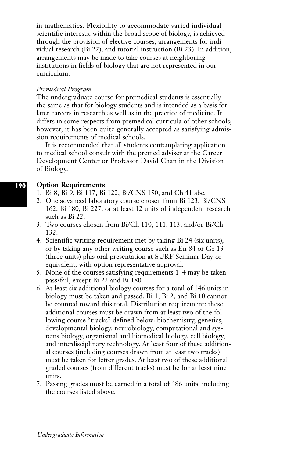in mathematics. Flexibility to accommodate varied individual scientific interests, within the broad scope of biology, is achieved through the provision of elective courses, arrangements for individual research (Bi 22), and tutorial instruction (Bi 23). In addition, arrangements may be made to take courses at neighboring institutions in fields of biology that are not represented in our curriculum.

### *Premedical Program*

The undergraduate course for premedical students is essentially the same as that for biology students and is intended as a basis for later careers in research as well as in the practice of medicine. It differs in some respects from premedical curricula of other schools; however, it has been quite generally accepted as satisfying admission requirements of medical schools.

It is recommended that all students contemplating application to medical school consult with the premed adviser at the Career Development Center or Professor David Chan in the Division of Biology.

#### **Option Requirements 190**

- 1. Bi 8, Bi 9, Bi 117, Bi 122, Bi/CNS 150, and Ch 41 abc.
- 2. One advanced laboratory course chosen from Bi 123, Bi/CNS 162, Bi 180, Bi 227, or at least 12 units of independent research such as Bi 22.
- 3. Two courses chosen from Bi/Ch 110, 111, 113, and/or Bi/Ch 132.
- 4. Scientific writing requirement met by taking Bi 24 (six units), or by taking any other writing course such as En 84 or Ge 13 (three units) plus oral presentation at SURF Seminar Day or equivalent, with option representative approval.
- 5. None of the courses satisfying requirements 1–4 may be taken pass/fail, except Bi 22 and Bi 180.
- 6. At least six additional biology courses for a total of 146 units in biology must be taken and passed. Bi 1, Bi 2, and Bi 10 cannot be counted toward this total. Distribution requirement: these additional courses must be drawn from at least two of the following course "tracks" defined below: biochemistry, genetics, developmental biology, neurobiology, computational and systems biology, organismal and biomedical biology, cell biology, and interdisciplinary technology. At least four of these additional courses (including courses drawn from at least two tracks) must be taken for letter grades. At least two of these additional graded courses (from different tracks) must be for at least nine units.
- 7. Passing grades must be earned in a total of 486 units, including the courses listed above.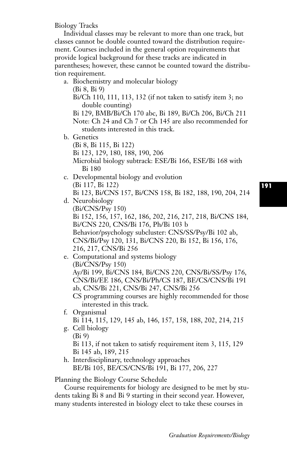Biology Tracks

Individual classes may be relevant to more than one track, but classes cannot be double counted toward the distribution requirement. Courses included in the general option requirements that provide logical background for these tracks are indicated in parentheses; however, these cannot be counted toward the distribution requirement.

a. Biochemistry and molecular biology

(Bi 8, Bi 9)

Bi/Ch 110, 111, 113, 132 (if not taken to satisfy item 3; no double counting)

Bi 129, BMB/Bi/Ch 170 abc, Bi 189, Bi/Ch 206, Bi/Ch 211 Note: Ch 24 and Ch 7 or Ch 145 are also recommended for students interested in this track.

b. Genetics

(Bi 8, Bi 115, Bi 122)

Bi 123, 129, 180, 188, 190, 206

Microbial biology subtrack: ESE/Bi 166, ESE/Bi 168 with Bi 180

- c. Developmental biology and evolution (Bi 117, Bi 122) Bi 123, Bi/CNS 157, Bi/CNS 158, Bi 182, 188, 190, 204, 214
- **191**
- d. Neurobiology (Bi/CNS/Psy 150) Bi 152, 156, 157, 162, 186, 202, 216, 217, 218, Bi/CNS 184, Bi/CNS 220, CNS/Bi 176, Ph/Bi 103 b Behavior/psychology subcluster: CNS/SS/Psy/Bi 102 ab, CNS/Bi/Psy 120, 131, Bi/CNS 220, Bi 152, Bi 156, 176, 216, 217, CNS/Bi 256

e. Computational and systems biology (Bi/CNS/Psy 150) Ay/Bi 199, Bi/CNS 184, Bi/CNS 220, CNS/Bi/SS/Psy 176, CNS/Bi/EE 186, CNS/Bi/Ph/CS 187, BE/CS/CNS/Bi 191 ab, CNS/Bi 221, CNS/Bi 247, CNS/Bi 256 CS programming courses are highly recommended for those

- interested in this track. f. Organismal
- Bi 114, 115, 129, 145 ab, 146, 157, 158, 188, 202, 214, 215 g. Cell biology
- (Bi 9)

Bi 113, if not taken to satisfy requirement item 3, 115, 129 Bi 145 ab, 189, 215

h. Interdisciplinary, technology approaches BE/Bi 105, BE/CS/CNS/Bi 191, Bi 177, 206, 227

Planning the Biology Course Schedule

Course requirements for biology are designed to be met by students taking Bi 8 and Bi 9 starting in their second year. However, many students interested in biology elect to take these courses in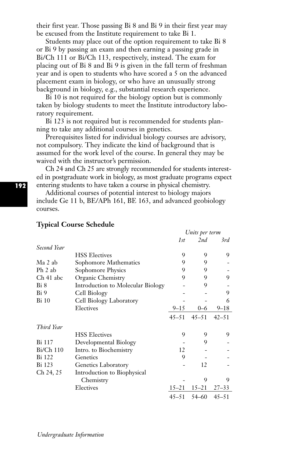their first year. Those passing Bi 8 and Bi 9 in their first year may be excused from the Institute requirement to take Bi 1.

Students may place out of the option requirement to take Bi 8 or Bi 9 by passing an exam and then earning a passing grade in Bi/Ch 111 or Bi/Ch 113, respectively, instead. The exam for placing out of Bi 8 and Bi 9 is given in the fall term of freshman year and is open to students who have scored a 5 on the advanced placement exam in biology, or who have an unusually strong background in biology, e.g., substantial research experience.

Bi 10 is not required for the biology option but is commonly taken by biology students to meet the Institute introductory laboratory requirement.

Bi 123 is not required but is recommended for students planning to take any additional courses in genetics.

Prerequisites listed for individual biology courses are advisory, not compulsory. They indicate the kind of background that is assumed for the work level of the course. In general they may be waived with the instructor's permission.

Ch 24 and Ch 25 are strongly recommended for students interested in postgraduate work in biology, as most graduate programs expect entering students to have taken a course in physical chemistry.

Additional courses of potential interest to biology majors include Ge 11 b, BE/APh 161, BE 163, and advanced geobiology courses.

*Units per term*

|             |                                   | 1st       | 2nd       | 3rd       |
|-------------|-----------------------------------|-----------|-----------|-----------|
| Second Year |                                   |           |           |           |
|             | <b>HSS Electives</b>              | 9         | 9         | 9         |
| Ma 2 ab     | Sophomore Mathematics             | 9         | 9         |           |
| Ph 2 ab     | Sophomore Physics                 | 9         | 9         |           |
| Ch 41 abc   | Organic Chemistry                 | 9         | 9         | 9         |
| Bi 8        | Introduction to Molecular Biology |           | 9         |           |
| Bi 9        | Cell Biology                      |           |           | 9         |
| Bi 10       | Cell Biology Laboratory           |           |           | 6         |
|             | Electives                         | $9 - 15$  | $0 - 6$   | $9 - 18$  |
|             |                                   | $45 - 51$ | $45 - 51$ | $42 - 51$ |
| Third Year  |                                   |           |           |           |
|             | <b>HSS Electives</b>              | 9         | 9         | 9         |
| Bi 117      | Developmental Biology             |           | 9         |           |
| $Bi/Ch$ 110 | Intro. to Biochemistry            | 12        |           |           |
| Bi 122      | Genetics                          | 9         |           |           |
| Bi 123      | <b>Genetics Laboratory</b>        |           | 12        |           |
| Ch 24, 25   | Introduction to Biophysical       |           |           |           |
|             | Chemistry                         |           | 9         | 9         |
|             | Electives                         | $15 - 21$ | $15 - 21$ | $27 - 33$ |
|             |                                   | $45 - 51$ | 54–60     | $45 - 51$ |

# **Typical Course Schedule**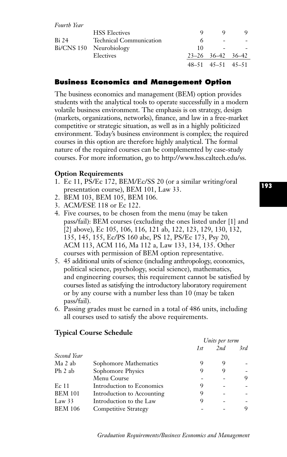*Fourth Year*

| Bi 24 | <b>HSS</b> Electives    | O  |                          |  |
|-------|-------------------------|----|--------------------------|--|
|       | Technical Communication | 6  | $\overline{\phantom{a}}$ |  |
|       | Bi/CNS 150 Neurobiology | 10 |                          |  |
|       | Electives               |    | $23 - 26$ 36-42 36-42    |  |
|       |                         |    | $48-51$ $45-51$ $45-51$  |  |

# **Business Economics and Management Option**

The business economics and management (BEM) option provides students with the analytical tools to operate successfully in a modern volatile business environment. The emphasis is on strategy, design (markets, organizations, networks), finance, and law in a free-market competitive or strategic situation, as well as in a highly politicized environment. Today's business environment is complex; the required courses in this option are therefore highly analytical. The formal nature of the required courses can be complemented by case-study courses. For more information, go to http://www.hss.caltech.edu/ss.

### **Option Requirements**

- 1. Ec 11, PS/Ec 172, BEM/Ec/SS 20 (or a similar writing/oral presentation course), BEM 101, Law 33.
- 2. BEM 103, BEM 105, BEM 106.
- 3. ACM/ESE 118 or Ec 122.
- 4. Five courses, to be chosen from the menu (may be taken pass/fail): BEM courses (excluding the ones listed under [1] and [2] above), Ec 105, 106, 116, 121 ab, 122, 123, 129, 130, 132, 135, 145, 155, Ec/PS 160 abc, PS 12, PS/Ec 173, Psy 20, ACM 113, ACM 116, Ma 112 a, Law 133, 134, 135. Other courses with permission of BEM option representative.
- 5. 45 additional units of science (including anthropology, economics, political science, psychology, social science), mathematics, and engineering courses; this requirement cannot be satisfied by courses listed as satisfying the introductory laboratory requirement or by any course with a number less than 10 (may be taken pass/fail).
- 6. Passing grades must be earned in a total of 486 units, including all courses used to satisfy the above requirements.

# *Units per term 1st 2nd 3rd Second Year* Ma 2 ab Sophomore Mathematics 9 9 9 -Ph 2 ab Sophomore Physics 9 9 9  $M$ enu Course  $\qquad \qquad -$  9 Ec 11 Introduction to Economics 9 - -BEM 101 Introduction to Accounting 9 - -Law 33 Introduction to the Law 9<br>BFM 106 Competitive Strategy -Competitive Strategy **-** - 9

# **Typical Course Schedule**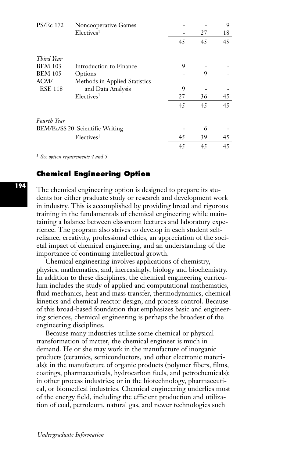| <b>PS/Ec 172</b>                | <b>Noncooperative Games</b>   |    |    | 9  |
|---------------------------------|-------------------------------|----|----|----|
|                                 | Electives <sup>1</sup>        |    | 27 | 18 |
|                                 |                               | 45 | 45 | 45 |
| Third Year                      |                               |    |    |    |
| <b>BEM 103</b>                  | Introduction to Finance       | 9  |    |    |
| <b>BEM 105</b>                  | Options                       |    | 9  |    |
| ACM/                            | Methods in Applied Statistics |    |    |    |
| <b>ESE 118</b>                  | and Data Analysis             | 9  |    |    |
|                                 | Electives <sup>1</sup>        | 27 | 36 | 45 |
|                                 |                               | 45 | 45 | 45 |
| <b>Fourth Year</b>              |                               |    |    |    |
| BEM/Ec/SS 20 Scientific Writing |                               |    | 6  |    |
|                                 | Electives <sup>1</sup>        | 45 | 39 | 45 |
|                                 |                               | 45 | 45 | 45 |

*<sup>1</sup> See option requirements 4 and 5.*

# **Chemical Engineering Option**

The chemical engineering option is designed to prepare its students for either graduate study or research and development work in industry. This is accomplished by providing broad and rigorous training in the fundamentals of chemical engineering while maintaining a balance between classroom lectures and laboratory experience. The program also strives to develop in each student selfreliance, creativity, professional ethics, an appreciation of the societal impact of chemical engineering, and an understanding of the importance of continuing intellectual growth.

Chemical engineering involves applications of chemistry, physics, mathematics, and, increasingly, biology and biochemistry. In addition to these disciplines, the chemical engineering curriculum includes the study of applied and computational mathematics, fluid mechanics, heat and mass transfer, thermodynamics, chemical kinetics and chemical reactor design, and process control. Because of this broad-based foundation that emphasizes basic and engineering sciences, chemical engineering is perhaps the broadest of the engineering disciplines.

Because many industries utilize some chemical or physical transformation of matter, the chemical engineer is much in demand. He or she may work in the manufacture of inorganic products (ceramics, semiconductors, and other electronic materials); in the manufacture of organic products (polymer fibers, films, coatings, pharmaceuticals, hydrocarbon fuels, and petrochemicals); in other process industries; or in the biotechnology, pharmaceutical, or biomedical industries. Chemical engineering underlies most of the energy field, including the efficient production and utilization of coal, petroleum, natural gas, and newer technologies such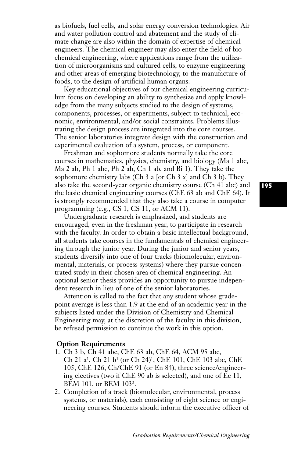as biofuels, fuel cells, and solar energy conversion technologies. Air and water pollution control and abatement and the study of climate change are also within the domain of expertise of chemical engineers. The chemical engineer may also enter the field of biochemical engineering, where applications range from the utilization of microorganisms and cultured cells, to enzyme engineering and other areas of emerging biotechnology, to the manufacture of foods, to the design of artificial human organs.

Key educational objectives of our chemical engineering curriculum focus on developing an ability to synthesize and apply knowledge from the many subjects studied to the design of systems, components, processes, or experiments, subject to technical, economic, environmental, and/or social constraints. Problems illustrating the design process are integrated into the core courses. The senior laboratories integrate design with the construction and experimental evaluation of a system, process, or component.

Freshman and sophomore students normally take the core courses in mathematics, physics, chemistry, and biology (Ma 1 abc, Ma 2 ab, Ph 1 abc, Ph 2 ab, Ch 1 ab, and Bi 1). They take the sophomore chemistry labs (Ch  $3a$  [or Ch  $3x$ ] and Ch  $3b$ ). They also take the second-year organic chemistry course (Ch 41 abc) and the basic chemical engineering courses (ChE 63 ab and ChE 64). It is strongly recommended that they also take a course in computer programming (e.g., CS 1, CS 11, or ACM 11).

Undergraduate research is emphasized, and students are encouraged, even in the freshman year, to participate in research with the faculty. In order to obtain a basic intellectual background, all students take courses in the fundamentals of chemical engineering through the junior year. During the junior and senior years, students diversify into one of four tracks (biomolecular, environmental, materials, or process systems) where they pursue concentrated study in their chosen area of chemical engineering. An optional senior thesis provides an opportunity to pursue independent research in lieu of one of the senior laboratories.

Attention is called to the fact that any student whose gradepoint average is less than 1.9 at the end of an academic year in the subjects listed under the Division of Chemistry and Chemical Engineering may, at the discretion of the faculty in this division, be refused permission to continue the work in this option.

#### **Option Requirements**

- 1. Ch 3 b, Ch 41 abc, ChE 63 ab, ChE 64, ACM 95 abc, Ch 21 a1, Ch 21 b1 (or Ch 24)1, ChE 101, ChE 103 abc, ChE 105, ChE 126, Ch/ChE 91 (or En 84), three science/engineering electives (two if ChE 90 ab is selected), and one of Ec 11, BEM 101, or BEM 1032.
- 2. Completion of a track (biomolecular, environmental, process systems, or materials), each consisting of eight science or engineering courses. Students should inform the executive officer of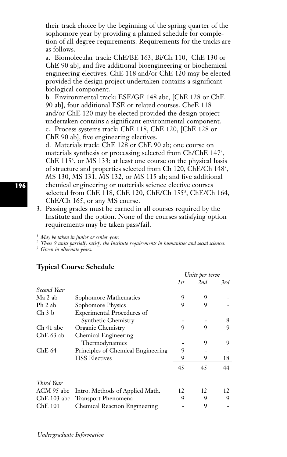their track choice by the beginning of the spring quarter of the sophomore year by providing a planned schedule for completion of all degree requirements. Requirements for the tracks are as follows.

a. Biomolecular track: ChE/BE 163, Bi/Ch 110, [ChE 130 or ChE 90 ab], and five additional bioengineering or biochemical engineering electives. ChE 118 and/or ChE 120 may be elected provided the design project undertaken contains a significant biological component.

b. Environmental track: ESE/GE 148 abc, [ChE 128 or ChE 90 ab], four additional ESE or related courses. CheE 118 and/or ChE 120 may be elected provided the design project undertaken contains a significant environmental component. c. Process systems track: ChE 118, ChE 120, [ChE 128 or ChE 90 ab], five engineering electives.

d. Materials track: ChE 128 or ChE 90 ab; one course on materials synthesis or processing selected from Ch/ChE 1473, ChE 1153, or MS 133; at least one course on the physical basis of structure and properties selected from Ch 120, ChE/Ch 1483, MS 130, MS 131, MS 132, or MS 115 ab; and five additional chemical engineering or materials science elective courses selected from ChE 118, ChE 120, ChE/Ch 1553, ChE/Ch 164, ChE/Ch 165, or any MS course.

3. Passing grades must be earned in all courses required by the Institute and the option. None of the courses satisfying option requirements may be taken pass/fail.

*<sup>1</sup> May be taken in junior or senior year.*

*<sup>2</sup> These 9 units partially satisfy the Institute requirements in humanities and social sciences.*

*<sup>3</sup> Given in alternate years.*

|                   |                                    | Units per term |     |     |
|-------------------|------------------------------------|----------------|-----|-----|
|                   |                                    | 1st            | 2nd | 3rd |
| Second Year       |                                    |                |     |     |
| Ma 2 ab           | Sophomore Mathematics              | 9              | 9   |     |
| Ph 2 ab           | Sophomore Physics                  | 9              | 9   |     |
| Ch <sub>3</sub> b | <b>Experimental Procedures of</b>  |                |     |     |
|                   | Synthetic Chemistry                |                |     | 8   |
| Ch 41 abc         | Organic Chemistry                  | 9              | 9   | 9   |
| ChE 63 ab         | Chemical Engineering               |                |     |     |
|                   | Thermodynamics                     |                | 9   | 9   |
| Che 64            | Principles of Chemical Engineering | 9              |     |     |
|                   | <b>HSS Electives</b>               | 9              | 9   | 18  |
|                   |                                    | 45             | 45  | 44  |
| Third Year        |                                    |                |     |     |
| ACM 95 abc        | Intro. Methods of Applied Math.    | 12             | 12  | 12  |
|                   | ChE 103 abc Transport Phenomena    | 9              | 9   | 9   |
| Che 101           | Chemical Reaction Engineering      |                | 9   |     |

### **Typical Course Schedule**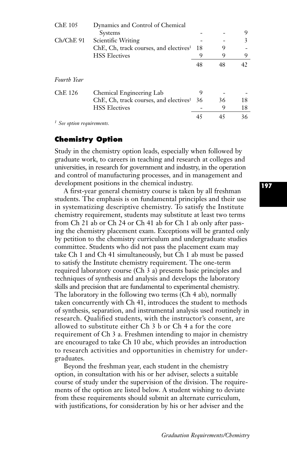| ChE 105                               | Dynamics and Control of Chemical                   |    |    |    |
|---------------------------------------|----------------------------------------------------|----|----|----|
|                                       | <b>Systems</b>                                     |    |    | 9  |
| $Ch/ChE$ 91                           | Scientific Writing                                 |    |    | 3  |
|                                       | ChE, Ch, track courses, and electives <sup>1</sup> | 18 |    |    |
|                                       | <b>HSS Electives</b>                               | 9  | 9  | 9  |
|                                       |                                                    | 48 | 48 | 42 |
| <b>Fourth Year</b>                    |                                                    |    |    |    |
| ChE 126                               | Chemical Engineering Lab                           | 9  |    |    |
|                                       | ChE, Ch, track courses, and electives <sup>1</sup> | 36 | 36 | 18 |
|                                       | <b>HSS Electives</b>                               |    | 9  | 18 |
|                                       |                                                    | 45 | 45 | 36 |
| <sup>1</sup> See option requirements. |                                                    |    |    |    |

## **Chemistry Option**

Study in the chemistry option leads, especially when followed by graduate work, to careers in teaching and research at colleges and universities, in research for government and industry, in the operation and control of manufacturing processes, and in management and development positions in the chemical industry.

A first-year general chemistry course is taken by all freshman students. The emphasis is on fundamental principles and their use in systematizing descriptive chemistry. To satisfy the Institute chemistry requirement, students may substitute at least two terms from Ch 21 ab or Ch 24 or Ch 41 ab for Ch 1 ab only after passing the chemistry placement exam. Exceptions will be granted only by petition to the chemistry curriculum and undergraduate studies committee. Students who did not pass the placement exam may take Ch 1 and Ch 41 simultaneously, but Ch 1 ab must be passed to satisfy the Institute chemistry requirement. The one-term required laboratory course (Ch 3 a) presents basic principles and techniques of synthesis and analysis and develops the laboratory skills and precision that are fundamental to experimental chemistry. The laboratory in the following two terms (Ch 4 ab), normally taken concurrently with Ch 41, introduces the student to methods of synthesis, separation, and instrumental analysis used routinely in research. Qualified students, with the instructor's consent, are allowed to substitute either Ch 3 b or Ch 4 a for the core requirement of Ch 3 a. Freshmen intending to major in chemistry are encouraged to take Ch 10 abc, which provides an introduction to research activities and opportunities in chemistry for undergraduates.

Beyond the freshman year, each student in the chemistry option, in consultation with his or her adviser, selects a suitable course of study under the supervision of the division. The requirements of the option are listed below. A student wishing to deviate from these requirements should submit an alternate curriculum, with justifications, for consideration by his or her adviser and the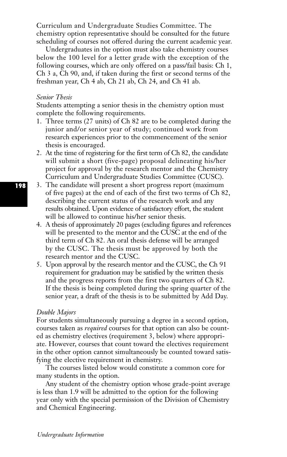Curriculum and Undergraduate Studies Committee. The chemistry option representative should be consulted for the future scheduling of courses not offered during the current academic year.

Undergraduates in the option must also take chemistry courses below the 100 level for a letter grade with the exception of the following courses, which are only offered on a pass/fail basis: Ch 1, Ch 3 a, Ch 90, and, if taken during the first or second terms of the freshman year, Ch 4 ab, Ch 21 ab, Ch 24, and Ch 41 ab.

#### *Senior Thesis*

Students attempting a senior thesis in the chemistry option must complete the following requirements.

- 1. Three terms (27 units) of Ch 82 are to be completed during the junior and/or senior year of study; continued work from research experiences prior to the commencement of the senior thesis is encouraged.
- 2. At the time of registering for the first term of Ch 82, the candidate will submit a short (five-page) proposal delineating his/her project for approval by the research mentor and the Chemistry Curriculum and Undergraduate Studies Committee (CUSC).
- 3. The candidate will present a short progress report (maximum of five pages) at the end of each of the first two terms of Ch 82, describing the current status of the research work and any results obtained. Upon evidence of satisfactory effort, the student will be allowed to continue his/her senior thesis.
- 4. A thesis of approximately 20 pages (excluding figures and references will be presented to the mentor and the CUSC at the end of the third term of Ch 82. An oral thesis defense will be arranged by the CUSC. The thesis must be approved by both the research mentor and the CUSC.
- 5. Upon approval by the research mentor and the CUSC, the Ch 91 requirement for graduation may be satisfied by the written thesis and the progress reports from the first two quarters of Ch 82. If the thesis is being completed during the spring quarter of the senior year, a draft of the thesis is to be submitted by Add Day.

### *Double Majors*

For students simultaneously pursuing a degree in a second option, courses taken as *required* courses for that option can also be counted as chemistry electives (requirement 3, below) where appropriate. However, courses that count toward the electives requirement in the other option cannot simultaneously be counted toward satisfying the elective requirement in chemistry.

The courses listed below would constitute a common core for many students in the option.

Any student of the chemistry option whose grade-point average is less than 1.9 will be admitted to the option for the following year only with the special permission of the Division of Chemistry and Chemical Engineering.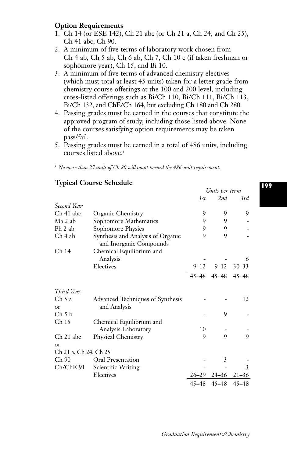## **Option Requirements**

- 1. Ch 14 (or ESE 142), Ch 21 abc (or Ch 21 a, Ch 24, and Ch 25), Ch 41 abc, Ch 90.
- 2. A minimum of five terms of laboratory work chosen from Ch 4 ab, Ch 5 ab, Ch 6 ab, Ch 7, Ch 10 c (if taken freshman or sophomore year), Ch 15, and Bi 10.
- 3. A minimum of five terms of advanced chemistry electives (which must total at least 45 units) taken for a letter grade from chemistry course offerings at the 100 and 200 level, including cross-listed offerings such as Bi/Ch 110, Bi/Ch 111, Bi/Ch 113, Bi/Ch 132, and ChE/Ch 164, but excluding Ch 180 and Ch 280.
- 4. Passing grades must be earned in the courses that constitute the approved program of study, including those listed above. None of the courses satisfying option requirements may be taken pass/fail.
- 5. Passing grades must be earned in a total of 486 units, including courses listed above.1

*<sup>1</sup> No more than 27 units of Ch 80 will count toward the 486-unit requirement.*

## *Units per term 1st 2nd 3rd Second Year* Ch 41 abc Organic Chemistry 9 9 9 9 Ma 2 ab Sophomore Mathematics 9 9 9 Ph 2 ab Sophomore Physics 9 9 9 -Ch 4 ab Synthesis and Analysis of Organic 9 9 9 and Inorganic Compounds Ch 14 Chemical Equilibrium and Analysis **5** - 6 Electives 9–12 9–12 30–33 45–48 45–48 45–48 *Third Year* Ch 5 a Advanced Techniques of Synthesis - - 12 or and Analysis  $\mathop{\mathrm{Ch}}\nolimits 5 \,\mathrm{b}$  - 9 -Ch 15 Chemical Equilibrium and Analysis Laboratory 10 Ch 21 abc Physical Chemistry 9 9 9 9 9 or Ch 21 a, Ch 24, Ch 25 Ch 90 Oral Presentation - 3 -Ch/ChE 91 Scientific Writing - - 3 Electives 26–29 24–36 21–36 45–48 45–48 45–48

## **Typical Course Schedule**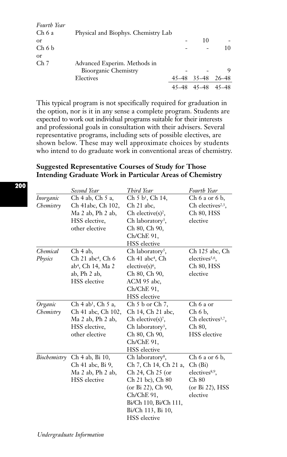| Fourth Year     |                                     |       |           |       |
|-----------------|-------------------------------------|-------|-----------|-------|
| Ch 6 a          | Physical and Biophys. Chemistry Lab |       |           |       |
| <sub>or</sub>   |                                     |       | 10        |       |
| Ch 6 b          |                                     |       |           | 10    |
| <sub>or</sub>   |                                     |       |           |       |
| Ch <sub>7</sub> | Advanced Experim. Methods in        |       |           |       |
|                 | <b>Bioorganic Chemistry</b>         |       |           |       |
|                 | Electives                           | 45–48 | $35 - 48$ | 26–48 |
|                 |                                     | 45–48 | 45–48     | 45–48 |

This typical program is not specifically required for graduation in the option, nor is it in any sense a complete program. Students are expected to work out individual programs suitable for their interests and professional goals in consultation with their advisers. Several representative programs, including sets of possible electives, are shown below. These may well approximate choices by students who intend to do graduate work in conventional areas of chemistry.

## **Suggested Representative Courses of Study for Those Intending Graduate Work in Particular Areas of Chemistry**

|                        | Second Year                                                                                                                     | Third Year                                                                                                                                                                                             | <b>Fourth Year</b>                                                                                  |
|------------------------|---------------------------------------------------------------------------------------------------------------------------------|--------------------------------------------------------------------------------------------------------------------------------------------------------------------------------------------------------|-----------------------------------------------------------------------------------------------------|
| Inorganic<br>Chemistry | Ch 4 ab, Ch 5 a,<br>Ch 41abc, Ch 102,<br>Ma 2 ab, Ph 2 ab,<br>HSS elective.<br>other elective                                   | Ch 5 b <sup>1</sup> , Ch 14,<br>Ch 21 abc,<br>Ch elective $(s)^2$ ,<br>Ch laboratory <sup>3</sup> ,<br>Ch 80, Ch 90,<br>Ch/ChE 91,<br><b>HSS</b> elective                                              | $Ch 6$ a or $6$ b,<br>Ch electives <sup>2,3</sup> ,<br>Ch 80, HSS<br>elective                       |
| Chemical<br>Physics    | Ch 4 ab,<br>$Ch$ 21 abc <sup>4</sup> , $Ch$ 6<br>ab <sup>4</sup> , Ch 14, Ma 2<br>$ab$ , $Ph$ $2$ $ab$ ,<br><b>HSS</b> elective | Ch laboratory <sup>5</sup> ,<br>Ch 41 abc <sup>4</sup> , Ch<br>$electric(s)6$ ,<br>Ch 80, Ch 90,<br>ACM 95 abc,<br>Ch/ChE 91,<br><b>HSS</b> elective                                                   | Ch 125 abc, Ch<br>electives <sup>5,6</sup> .<br>Ch 80, HSS<br>elective                              |
| Organic<br>Chemistry   | $Ch 4 ab1$ , $Ch 5 a$ ,<br>Ch 41 abc, Ch 102,<br>Ma 2 ab, Ph 2 ab,<br>HSS elective.<br>other elective                           | $Ch 5 b$ or $Ch 7$ ,<br>Ch 14, Ch 21 abc,<br>$Ch$ elective $(s)^7$ ,<br>Ch laboratory <sup>3</sup> ,<br>Ch 80, Ch 90,<br>Ch/ChE 91,<br><b>HSS</b> elective                                             | $Ch6a$ or<br>Ch 6 b,<br>Ch electives $3,7$ ,<br>Ch 80,<br><b>HSS</b> elective                       |
| Biochemistry           | Ch 4 ab, Bi 10,<br>Ch 41 abc, Bi 9,<br>Ma 2 ab, Ph 2 ab,<br><b>HSS</b> elective                                                 | Ch laboratory <sup>8</sup> ,<br>Ch 7, Ch 14, Ch 21 a,<br>Ch 24, Ch 25 (or<br>Ch 21 bc), Ch 80<br>(or Bi 22), Ch 90,<br>Ch/ChE 91,<br>Bi/Ch 110, Bi/Ch 111,<br>Bi/Ch 113, Bi 10,<br><b>HSS</b> elective | $Ch 6 a$ or $6 b$ ,<br>Ch(Bi)<br>electives <sup>8,9</sup> .<br>Ch 80<br>(or Bi 22), HSS<br>elective |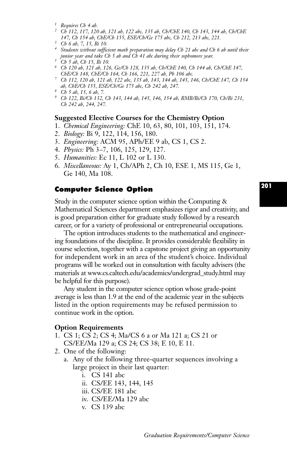- *<sup>1</sup> Requires Ch 4 ab.*
- *<sup>2</sup> Ch 112, 117, 120 ab, 121 ab, 122 abc, 135 ab, Ch/ChE 140, Ch 143, 144 ab, Ch/ChE 147, Ch 154 ab, ChE/Ch 155, ESE/Ch/Ge 175 abc, Ch 212, 213 abc, 221.*
- *<sup>3</sup> Ch 6 ab, 7, 15, Bi 10.*
- *<sup>4</sup> Students without sufficient math preparation may delay Ch 21 abc and Ch 6 ab until their junior year and take Ch 5 ab and Ch 41 abc during their sophomore year. <sup>5</sup> Ch 5 ab, Ch 15, Bi 10.*
- 
- *<sup>6</sup> Ch 120 ab, 121 ab, 126, Ge/Ch 128, 135 ab, Ch/ChE 140, Ch 144 ab, Ch/ChE 147, ChE/Ch 148, ChE/Ch 164, Ch 166, 221, 227 ab, Ph 106 abc.*
- *<sup>7</sup> Ch 112, 120 ab, 121 ab, 122 abc, 135 ab, 143, 144 ab, 145, 146, Ch/ChE 147, Ch 154 ab, ChE/Ch 155, ESE/Ch/Ge 175 abc, Ch 242 ab, 247.*
- *<sup>8</sup> Ch 5 ab, 15, 6 ab, 7.*
- *<sup>9</sup> Ch 122, Bi/Ch 132, Ch 143, 144 ab, 145, 146, 154 ab, BMB/Bi/Ch 170, Ch/Bi 231, Ch 242 ab, 244, 247.*

### **Suggested Elective Courses for the Chemistry Option**

- 1. *Chemical Engineering:* ChE 10, 63, 80, 101, 103, 151, 174.
- 2. *Biology:* Bi 9, 122, 114, 156, 180.
- 3. *Engineering:* ACM 95, APh/EE 9 ab, CS 1, CS 2.
- 4. *Physics:* Ph 3–7, 106, 125, 129, 127.
- 5. *Humanities:* Ec 11, L 102 or L 130.
- 6. *Miscellaneous:* Ay 1, Ch/APh 2, Ch 10, ESE 1, MS 115, Ge 1, Ge 140, Ma 108.

### **Computer Science Option**

Study in the computer science option within the Computing & Mathematical Sciences department emphasizes rigor and creativity, and is good preparation either for graduate study followed by a research career, or for a variety of professional or entrepreneurial occupations.

The option introduces students to the mathematical and engineering foundations of the discipline. It provides considerable flexibility in course selection, together with a capstone project giving an opportunity for independent work in an area of the student's choice. Individual programs will be worked out in consultation with faculty advisers (the materials at www.cs.caltech.edu/academics/undergrad\_study.html may be helpful for this purpose).

Any student in the computer science option whose grade-point average is less than 1.9 at the end of the academic year in the subjects listed in the option requirements may be refused permission to continue work in the option.

#### **Option Requirements**

- 1. CS 1; CS 2; CS 4; Ma/CS 6 a or Ma 121 a; CS 21 or CS/EE/Ma 129 a; CS 24; CS 38; E 10, E 11.
- 2. One of the following:
	- a. Any of the following three-quarter sequences involving a large project in their last quarter:
		- i. CS 141 abc
		- ii. CS/EE 143, 144, 145
		- iii. CS/EE 181 abc
		- iv. CS/EE/Ma 129 abc
		- v. CS 139 abc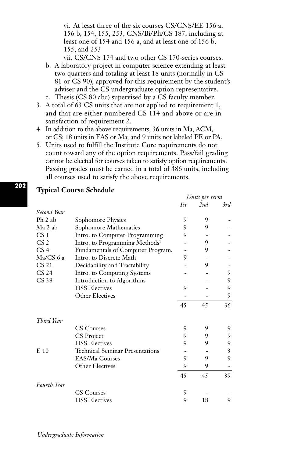vi. At least three of the six courses CS/CNS/EE 156 a, 156 b, 154, 155, 253, CNS/Bi/Ph/CS 187, including at least one of 154 and 156 a, and at least one of 156 b, 155, and 253

vii. CS/CNS 174 and two other CS 170-series courses.

- b. A laboratory project in computer science extending at least two quarters and totaling at least 18 units (normally in CS 81 or CS 90), approved for this requirement by the student's adviser and the CS undergraduate option representative. c. Thesis (CS 80 abc) supervised by a CS faculty member.
- 
- 3. A total of 63 CS units that are not applied to requirement 1, and that are either numbered CS 114 and above or are in satisfaction of requirement 2.
- 4. In addition to the above requirements, 36 units in Ma, ACM, or CS; 18 units in EAS or Ma; and 9 units not labeled PE or PA.
- 5. Units used to fulfill the Institute Core requirements do not count toward any of the option requirements. Pass/fail grading cannot be elected for courses taken to satisfy option requirements. Passing grades must be earned in a total of 486 units, including all courses used to satisfy the above requirements.

|                  |                                             | Units per term |     |     |
|------------------|---------------------------------------------|----------------|-----|-----|
|                  |                                             | 1st            | 2nd | 3rd |
| Second Year      |                                             |                |     |     |
| Ph 2 ab          | Sophomore Physics                           | 9              | 9   |     |
| Ma 2 ab          | Sophomore Mathematics                       | 9              | 9   |     |
| CS <sub>1</sub>  | Intro. to Computer Programming <sup>1</sup> | 9              |     |     |
| CS 2             | Intro. to Programming Methods <sup>1</sup>  |                | 9   |     |
| CS 4             | Fundamentals of Computer Program.           |                | 9   |     |
| $Ma/CS$ 6 a      | Intro. to Discrete Math                     | 9              |     |     |
| CS <sub>21</sub> | Decidability and Tractability               |                | 9   |     |
| CS 24            | Intro. to Computing Systems                 |                |     | 9   |
| CS 38            | Introduction to Algorithms                  |                |     | 9   |
|                  | <b>HSS Electives</b>                        | 9              |     | 9   |
|                  | <b>Other Electives</b>                      |                |     | 9   |
|                  |                                             | 45             | 45  | 36  |
| Third Year       |                                             |                |     |     |
|                  | <b>CS Courses</b>                           | 9              | 9   | 9   |
|                  | CS Project                                  | 9              | 9   | 9   |
|                  | <b>HSS Electives</b>                        | 9              | 9   | 9   |
| $E_{10}$         | <b>Technical Seminar Presentations</b>      |                |     | 3   |
|                  | EAS/Ma Courses                              | 9              | 9   | 9   |
|                  | Other Electives                             | 9              | 9   |     |
|                  |                                             | 45             | 45  | 39  |
| Fourth Year      |                                             |                |     |     |
|                  | <b>CS</b> Courses                           | 9<br>9         |     |     |
|                  | <b>HSS Electives</b>                        |                | 18  | 9   |

## **Typical Course Schedule**

**202**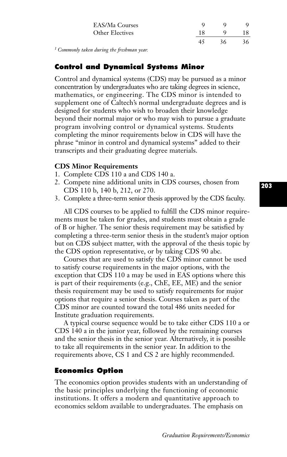| EAS/Ma Courses  |    | O  |     |
|-----------------|----|----|-----|
| Other Electives |    |    | 18. |
|                 | 45 | 36 | 36. |
|                 |    |    |     |

*<sup>1</sup> Commonly taken during the freshman year.*

## **Control and Dynamical Systems Minor**

Control and dynamical systems (CDS) may be pursued as a minor concentration by undergraduates who are taking degrees in science, mathematics, or engineering. The CDS minor is intended to supplement one of Caltech's normal undergraduate degrees and is designed for students who wish to broaden their knowledge beyond their normal major or who may wish to pursue a graduate program involving control or dynamical systems. Students completing the minor requirements below in CDS will have the phrase "minor in control and dynamical systems" added to their transcripts and their graduating degree materials.

## **CDS Minor Requirements**

- 1. Complete CDS 110 a and CDS 140 a.
- 2. Compete nine additional units in CDS courses, chosen from CDS 110 b, 140 b, 212, or 270.
- 3. Complete a three-term senior thesis approved by the CDS faculty.

All CDS courses to be applied to fulfill the CDS minor requirements must be taken for grades, and students must obtain a grade of B or higher. The senior thesis requirement may be satisfied by completing a three-term senior thesis in the student's major option but on CDS subject matter, with the approval of the thesis topic by the CDS option representative, or by taking CDS 90 abc.

Courses that are used to satisfy the CDS minor cannot be used to satisfy course requirements in the major options, with the exception that CDS 110 a may be used in EAS options where this is part of their requirements (e.g., ChE, EE, ME) and the senior thesis requirement may be used to satisfy requirements for major options that require a senior thesis. Courses taken as part of the CDS minor are counted toward the total 486 units needed for Institute graduation requirements.

A typical course sequence would be to take either CDS 110 a or CDS 140 a in the junior year, followed by the remaining courses and the senior thesis in the senior year. Alternatively, it is possible to take all requirements in the senior year. In addition to the requirements above, CS 1 and CS 2 are highly recommended.

## **Economics Option**

The economics option provides students with an understanding of the basic principles underlying the functioning of economic institutions. It offers a modern and quantitative approach to economics seldom available to undergraduates. The emphasis on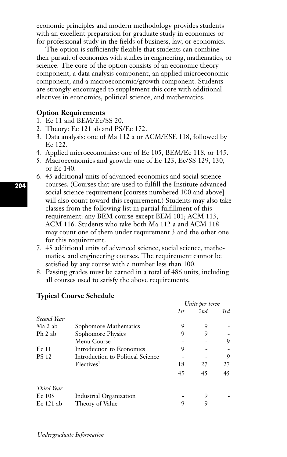economic principles and modern methodology provides students with an excellent preparation for graduate study in economics or for professional study in the fields of business, law, or economics.

The option is sufficiently flexible that students can combine their pursuit of economics with studies in engineering, mathematics, or science. The core of the option consists of an economic theory component, a data analysis component, an applied microeconomic component, and a macroeconomic/growth component. Students are strongly encouraged to supplement this core with additional electives in economics, political science, and mathematics.

### **Option Requirements**

- 1. Ec 11 and BEM/Ec/SS 20.
- 2. Theory: Ec 121 ab and PS/Ec 172.
- 3. Data analysis: one of Ma 112 a or ACM/ESE 118, followed by Ec 122.
- 4. Applied microeconomics: one of Ec 105, BEM/Ec 118, or 145.
- 5. Macroeconomics and growth: one of Ec 123, Ec/SS 129, 130, or Ec 140.
- 6. 45 additional units of advanced economics and social science courses. (Courses that are used to fulfill the Institute advanced social science requirement [courses numbered 100 and above] will also count toward this requirement.) Students may also take classes from the following list in partial fulfillment of this requirement: any BEM course except BEM 101; ACM 113, ACM 116. Students who take both Ma 112 a and ACM 118 may count one of them under requirement 3 and the other one for this requirement.
- 7. 45 additional units of advanced science, social science, mathematics, and engineering courses. The requirement cannot be satisfied by any course with a number less than 100.
- 8. Passing grades must be earned in a total of 486 units, including all courses used to satisfy the above requirements.

|              |                                   | Units per term |     |     |
|--------------|-----------------------------------|----------------|-----|-----|
|              |                                   | 1st            | 2nd | 3rd |
| Second Year  |                                   |                |     |     |
| Ma 2 ab      | Sophomore Mathematics             | 9              | 9   |     |
| Ph 2 ab      | Sophomore Physics                 | 9              | 9   |     |
|              | Menu Course                       |                |     | 9   |
| Ec 11        | Introduction to Economics         | 9              |     |     |
| <b>PS 12</b> | Introduction to Political Science |                |     | 9   |
|              | Electives <sup>1</sup>            | 18             | 27  | 27  |
|              |                                   | 45             | 45  | 45  |
| Third Year   |                                   |                |     |     |
| $Ec$ 105     | Industrial Organization           |                | 9   |     |
| $Ec 121$ ab  | Theory of Value                   | 9              | 9   |     |

### **Typical Course Schedule**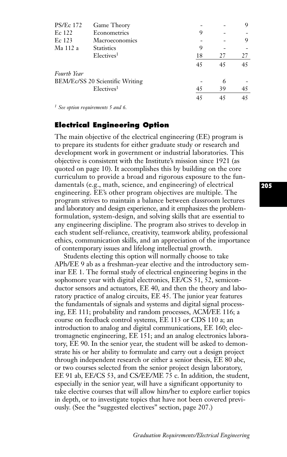| <b>PS/Ec 172</b> | Game Theory                     |    |    | 9  |
|------------------|---------------------------------|----|----|----|
| Ec 122           | Econometrics                    | 9  |    |    |
| Ec 123           | Macroeconomics                  |    |    | 9  |
| Ma 112 a         | <b>Statistics</b>               | 9  |    |    |
|                  | Electives <sup>1</sup>          | 18 | 27 | 27 |
|                  |                                 | 45 | 45 | 45 |
| Fourth Year      |                                 |    |    |    |
|                  | BEM/Ec/SS 20 Scientific Writing |    | 6  |    |
|                  | Electives <sup>1</sup>          | 45 | 39 | 45 |
|                  |                                 | 45 | 45 | 45 |
|                  |                                 |    |    |    |

*<sup>1</sup> See option requirements 5 and 6.*

### **Electrical Engineering Option**

The main objective of the electrical engineering (EE) program is to prepare its students for either graduate study or research and development work in government or industrial laboratories. This objective is consistent with the Institute's mission since 1921 (as quoted on page 10). It accomplishes this by building on the core curriculum to provide a broad and rigorous exposure to the fundamentals (e.g., math, science, and engineering) of electrical engineering. EE's other program objectives are multiple. The program strives to maintain a balance between classroom lectures and laboratory and design experience, and it emphasizes the problemformulation, system-design, and solving skills that are essential to any engineering discipline. The program also strives to develop in each student self-reliance, creativity, teamwork ability, professional ethics, communication skills, and an appreciation of the importance of contemporary issues and lifelong intellectual growth.

Students electing this option will normally choose to take APh/EE 9 ab as a freshman-year elective and the introductory seminar EE 1. The formal study of electrical engineering begins in the sophomore year with digital electronics, EE/CS 51, 52, semiconductor sensors and actuators, EE 40, and then the theory and laboratory practice of analog circuits, EE 45. The junior year features the fundamentals of signals and systems and digital signal processing, EE 111; probability and random processes, ACM/EE 116; a course on feedback control systems, EE 113 or CDS 110 a; an introduction to analog and digital communications, EE 160; electromagnetic engineering, EE 151; and an analog electronics laboratory, EE 90. In the senior year, the student will be asked to demonstrate his or her ability to formulate and carry out a design project through independent research or either a senior thesis, EE 80 abc, or two courses selected from the senior project design laboratory, EE 91 ab, EE/CS 53, and CS/EE/ME 75 c. In addition, the student, especially in the senior year, will have a significant opportunity to take elective courses that will allow him/her to explore earlier topics in depth, or to investigate topics that have not been covered previously. (See the "suggested electives" section, page 207.)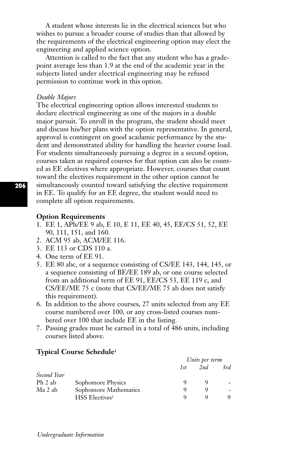A student whose interests lie in the electrical sciences but who wishes to pursue a broader course of studies than that allowed by the requirements of the electrical engineering option may elect the engineering and applied science option.

Attention is called to the fact that any student who has a gradepoint average less than 1.9 at the end of the academic year in the subjects listed under electrical engineering may be refused permission to continue work in this option.

#### *Double Majors*

The electrical engineering option allows interested students to declare electrical engineering as one of the majors in a double major pursuit. To enroll in the program, the student should meet and discuss his/her plans with the option representative. In general, approval is contingent on good acadamic performance by the student and demonstrated ability for handling the heavier course load. For students simultaneously pursuing a degree in a second option, courses taken as required courses for that option can also be counted as EE electives where appropriate. However, courses that count toward the electives requirement in the other option cannot be simultaneously counted toward satisfying the elective requirement in EE. To qualify for an EE degree, the student would need to complete all option requirements.

### **Option Requirements**

- 1. EE 1, APh/EE 9 ab, E 10, E 11, EE 40, 45, EE/CS 51, 52, EE 90, 111, 151, and 160.
- 2. ACM 95 ab, ACM/EE 116.
- 3. EE 113 or CDS 110 a.
- 4. One term of EE 91.
- 5. EE 80 abc, or a sequence consisting of CS/EE 143, 144, 145, or a sequence consisting of BE/EE 189 ab, or one course selected from an additional term of EE 91, EE/CS 53, EE 119 c, and CS/EE/ME 75 c (note that CS/EE/ME 75 ab does not satisfy this requirement).
- 6. In addition to the above courses, 27 units selected from any EE course numbered over 100, or any cross-listed courses numbered over 100 that include EE in the listing.
- 7. Passing grades must be earned in a total of 486 units, including courses listed above.

#### **Typical Course Schedule1**

|             |                            | Units per term |     |     |
|-------------|----------------------------|----------------|-----|-----|
|             |                            | 1st            | 2nd | 3rd |
| Second Year |                            |                |     |     |
| Ph 2 ab     | Sophomore Physics          |                |     |     |
| Ma 2 ab     | Sophomore Mathematics      |                |     | -   |
|             | HSS Electives <sup>1</sup> |                |     |     |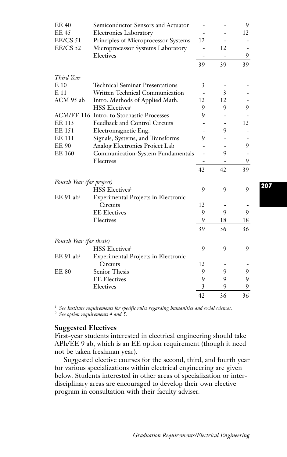| <b>EE 40</b>              | Semiconductor Sensors and Actuator        |    |                          | 9  |
|---------------------------|-------------------------------------------|----|--------------------------|----|
| <b>EE 45</b>              | <b>Electronics Laboratory</b>             |    |                          | 12 |
| EE/CS 51                  | Principles of Microprocessor Systems      | 12 |                          |    |
| <b>EE/CS 52</b>           | Microprocessor Systems Laboratory         |    | 12                       |    |
|                           | Electives                                 | -  | $\overline{\phantom{a}}$ | 9  |
|                           |                                           | 39 | 39                       | 39 |
| Third Year                |                                           |    |                          |    |
| $E_{10}$                  | <b>Technical Seminar Presentations</b>    | 3  |                          |    |
| E 11                      | Written Technical Communication           |    | 3                        |    |
| ACM 95 ab                 | Intro. Methods of Applied Math.           | 12 | 12                       |    |
|                           | HSS Electives <sup>1</sup>                | 9  | 9                        | 9  |
|                           | ACM/EE 116 Intro. to Stochastic Processes | 9  |                          |    |
| EE 113                    | Feedback and Control Circuits             |    |                          | 12 |
| <b>EE 151</b>             | Electromagnetic Eng.                      |    | 9                        |    |
| <b>EE 111</b>             | Signals, Systems, and Transforms          | 9  |                          |    |
| <b>EE 90</b>              | Analog Electronics Project Lab            |    |                          | 9  |
| <b>EE 160</b>             | Communication-System Fundamentals         |    | 9                        |    |
|                           | Electives                                 |    |                          | 9  |
|                           |                                           | 42 | 42                       | 39 |
| Fourth Year (for project) |                                           |    |                          |    |
|                           | HSS Electives <sup>1</sup>                | 9  | 9                        | 9  |
| $EE$ 91 ab <sup>2</sup>   | Experimental Projects in Electronic       |    |                          |    |
|                           | Circuits                                  | 12 |                          |    |
|                           | <b>EE</b> Electives                       | 9  | 9                        | 9  |
|                           | Electives                                 | 9  | 18                       | 18 |
|                           |                                           | 39 | 36                       | 36 |
| Fourth Year (for thesis)  |                                           |    |                          |    |
|                           | <b>HSS</b> Electives <sup>1</sup>         | 9  | 9                        | 9  |
| $EE$ 91 ab <sup>2</sup>   | Experimental Projects in Electronic       |    |                          |    |
|                           | <b>Circuits</b>                           | 12 |                          |    |
| <b>EE 80</b>              | Senior Thesis                             | 9  | 9                        | 9  |
|                           | <b>EE</b> Electives                       | 9  | 9                        | 9  |
|                           | Electives                                 | 3  | 9                        | 9  |
|                           |                                           | 42 | 36                       | 36 |

*<sup>1</sup> See Institute requirements for specific rules regarding humanities and social sciences.*

*<sup>2</sup> See option requirements 4 and 5.*

### **Suggested Electives**

First-year students interested in electrical engineering should take APh/EE 9 ab, which is an EE option requirement (though it need not be taken freshman year).

Suggested elective courses for the second, third, and fourth year for various specializations within electrical engineering are given below. Students interested in other areas of specialization or interdisciplinary areas are encouraged to develop their own elective program in consultation with their faculty adviser.

**207**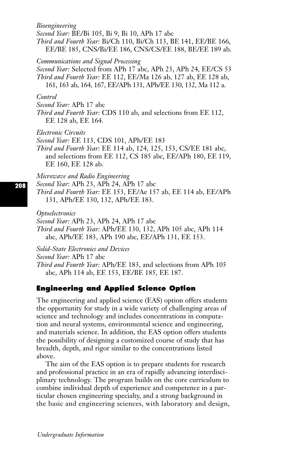### *Bioengineering*

*Second Year:* BE/Bi 105, Bi 9, Bi 10, APh 17 abc

*Third and Fourth Year:* Bi/Ch 110, Bi/Ch 113, BE 141, EE/BE 166, EE/BE 185, CNS/Bi/EE 186, CNS/CS/EE 188, BE/EE 189 ab.

### *Communications and Signal Processing*

*Second Year:* Selected from APh 17 abc, APh 23, APh 24, EE/CS 53 *Third and Fourth Year:* EE 112, EE/Ma 126 ab, 127 ab, EE 128 ab, 161, 163 ab, 164, 167, EE/APh 131, APh/EE 130, 132, Ma 112 a.

#### *Control*

*Second Year:* APh 17 abc

*Third and Fourth Year:* CDS 110 ab, and selections from EE 112, EE 128 ab, EE 164.

*Electronic Circuits*

*Second Year:* EE 113, CDS 101, APh/EE 183

*Third and Fourth Year:* EE 114 ab, 124, 125, 153, CS/EE 181 abc, and selections from EE 112, CS 185 abc, EE/APh 180, EE 119, EE 160, EE 128 ab.

### *Microwave and Radio Engineering*

*Second Year:* APh 23, APh 24, APh 17 abc

*Third and Fourth Year:* EE 153, EE/Ae 157 ab, EE 114 ab, EE/APh 131, APh/EE 130, 132, APh/EE 183.

*Optoelectronics*

*Second Year:* APh 23, APh 24, APh 17 abc

*Third and Fourth Year:* APh/EE 130, 132, APh 105 abc, APh 114 abc, APh/EE 183, APh 190 abc, EE/APh 131, EE 153.

*Solid-State Electronics and Devices*

*Second Year:* APh 17 abc

*Third and Fourth Year:* APh/EE 183, and selections from APh 105 abc, APh 114 ab, EE 153, EE/BE 185, EE 187.

## **Engineering and Applied Science Option**

The engineering and applied science (EAS) option offers students the opportunity for study in a wide variety of challenging areas of science and technology and includes concentrations in computation and neural systems, environmental science and engineering, and materials science. In addition, the EAS option offers students the possibility of designing a customized course of study that has breadth, depth, and rigor similar to the concentrations listed above.

The aim of the EAS option is to prepare students for research and professional practice in an era of rapidly advancing interdisciplinary technology. The program builds on the core curriculum to combine individual depth of experience and competence in a particular chosen engineering specialty, and a strong background in the basic and engineering sciences, with laboratory and design,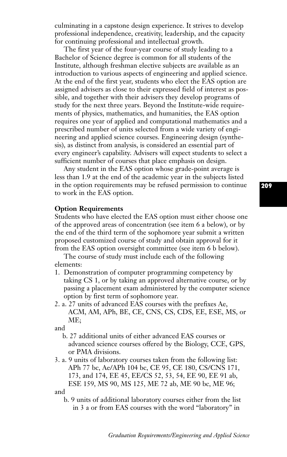culminating in a capstone design experience. It strives to develop professional independence, creativity, leadership, and the capacity for continuing professional and intellectual growth.

The first year of the four-year course of study leading to a Bachelor of Science degree is common for all students of the Institute, although freshman elective subjects are available as an introduction to various aspects of engineering and applied science. At the end of the first year, students who elect the EAS option are assigned advisers as close to their expressed field of interest as possible, and together with their advisers they develop programs of study for the next three years. Beyond the Institute-wide requirements of physics, mathematics, and humanities, the EAS option requires one year of applied and computational mathematics and a prescribed number of units selected from a wide variety of engineering and applied science courses. Engineering design (synthesis), as distinct from analysis, is considered an essential part of every engineer's capability. Advisers will expect students to select a sufficient number of courses that place emphasis on design.

Any student in the EAS option whose grade-point average is less than 1.9 at the end of the academic year in the subjects listed in the option requirements may be refused permission to continue to work in the EAS option.

### **Option Requirements**

Students who have elected the EAS option must either choose one of the approved areas of concentration (see item 6 a below), or by the end of the third term of the sophomore year submit a written proposed customized course of study and obtain approval for it from the EAS option oversight committee (see item 6 b below).

The course of study must include each of the following elements:

- 1. Demonstration of computer programming competency by taking CS 1, or by taking an approved alternative course, or by passing a placement exam administered by the computer science option by first term of sophomore year.
- 2. a. 27 units of advanced EAS courses with the prefixes Ae, ACM, AM, APh, BE, CE, CNS, CS, CDS, EE, ESE, MS, or ME;

and

- b. 27 additional units of either advanced EAS courses or advanced science courses offered by the Biology, CCE, GPS, or PMA divisions.
- 3. a. 9 units of laboratory courses taken from the following list: APh 77 bc, Ae/APh 104 bc, CE 95, CE 180, CS/CNS 171, 173, and 174, EE 45, EE/CS 52, 53, 54, EE 90, EE 91 ab, ESE 159, MS 90, MS 125, ME 72 ab, ME 90 bc, ME 96; and

b. 9 units of additional laboratory courses either from the list in 3 a or from EAS courses with the word "laboratory" in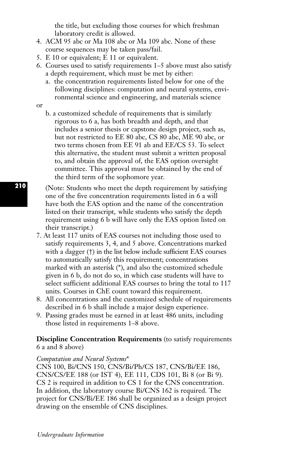the title, but excluding those courses for which freshman laboratory credit is allowed.

- 4. ACM 95 abc or Ma 108 abc or Ma 109 abc. None of these course sequences may be taken pass/fail.
- 5. E 10 or equivalent; E 11 or equivalent.
- 6. Courses used to satisfy requirements 1–5 above must also satisfy a depth requirement, which must be met by either:
	- a. the concentration requirements listed below for one of the following disciplines: computation and neural systems, environmental science and engineering, and materials science
- or
- b. a customized schedule of requirements that is similarly rigorous to 6 a, has both breadth and depth, and that includes a senior thesis or capstone design project, such as, but not restricted to EE 80 abc, CS 80 abc, ME 90 abc, or two terms chosen from EE 91 ab and EE/CS 53. To select this alternative, the student must submit a written proposal to, and obtain the approval of, the EAS option oversight committee. This approval must be obtained by the end of the third term of the sophomore year.
- (Note: Students who meet the depth requirement by satisfying one of the five concentration requirements listed in 6 a will have both the EAS option and the name of the concentration listed on their transcript, while students who satisfy the depth requirement using 6 b will have only the EAS option listed on their transcript.)
- 7. At least 117 units of EAS courses not including those used to satisfy requirements 3, 4, and 5 above. Concentrations marked with a dagger (†) in the list below include sufficient EAS courses to automatically satisfy this requirement; concentrations marked with an asterisk (\*), and also the customized schedule given in 6 b, do not do so, in which case students will have to select sufficient additional EAS courses to bring the total to 117 units. Courses in ChE count toward this requirement.
- 8. All concentrations and the customized schedule of requirements described in 6 b shall include a major design experience.
- 9. Passing grades must be earned in at least 486 units, including those listed in requirements 1–8 above.

## **Discipline Concentration Requirements** (to satisfy requirements 6 a and 8 above)

### *Computation and Neural Systems*\*

CNS 100, Bi/CNS 150, CNS/Bi/Ph/CS 187, CNS/Bi/EE 186, CNS/CS/EE 188 (or IST 4), EE 111, CDS 101, Bi 8 (or Bi 9). CS 2 is required in addition to CS 1 for the CNS concentration. In addition, the laboratory course Bi/CNS 162 is required. The project for CNS/Bi/EE 186 shall be organized as a design project drawing on the ensemble of CNS disciplines.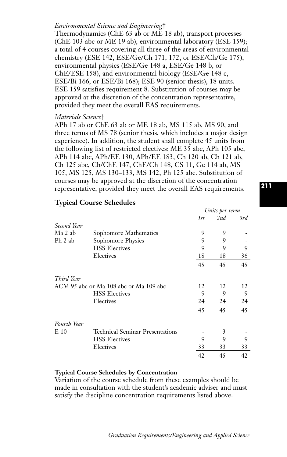## *Environmental Science and Engineering*†

Thermodynamics (ChE 63 ab or ME 18 ab), transport processes (ChE 103 abc or ME 19 ab), environmental laboratory (ESE 159); a total of 4 courses covering all three of the areas of environmental chemistry (ESE 142, ESE/Ge/Ch 171, 172, or ESE/Ch/Ge 175), environmental physics (ESE/Ge 148 a, ESE/Ge 148 b, or ChE/ESE 158), and environmental biology (ESE/Ge 148 c, ESE/Bi 166, or ESE/Bi 168); ESE 90 (senior thesis), 18 units. ESE 159 satisfies requirement 8. Substitution of courses may be approved at the discretion of the concentration representative, provided they meet the overall EAS requirements.

#### *Materials Science*†

APh 17 ab or ChE 63 ab or ME 18 ab, MS 115 ab, MS 90, and three terms of MS 78 (senior thesis, which includes a major design experience). In addition, the student shall complete 45 units from the following list of restricted electives: ME 35 abc, APh 105 abc, APh 114 abc, APh/EE 130, APh/EE 183, Ch 120 ab, Ch 121 ab, Ch 125 abc, Ch/ChE 147, ChE/Ch 148, CS 11, Ge 114 ab, MS 105, MS 125, MS 130–133, MS 142, Ph 125 abc. Substitution of courses may be approved at the discretion of the concentration representative, provided they meet the overall EAS requirements.

### **Typical Course Schedules**

|                    |                                        | Units per term |     |     |
|--------------------|----------------------------------------|----------------|-----|-----|
|                    |                                        | 1st            | 2nd | 3rd |
| Second Year        |                                        |                |     |     |
| Ma 2 ab            | Sophomore Mathematics                  | 9              | 9   |     |
| Ph 2 ab            | Sophomore Physics                      | 9              | 9   |     |
|                    | <b>HSS Electives</b>                   | 9              | 9   | 9   |
|                    | Electives                              | 18             | 18  | 36  |
|                    |                                        | 45             | 45  | 45  |
| Third Year         |                                        |                |     |     |
|                    | ACM 95 abc or Ma 108 abc or Ma 109 abc | 12             | 12  | 12  |
|                    | <b>HSS Electives</b>                   | 9              | 9   | 9   |
|                    | Electives                              | 24             | 24  | 24  |
|                    |                                        | 45             | 45  | 45  |
| <b>Fourth Year</b> |                                        |                |     |     |
| E 10               | Technical Seminar Presentations        |                | 3   |     |
|                    | <b>HSS Electives</b>                   | 9              | 9   | 9   |
|                    | Electives                              | 33             | 33  | 33  |
|                    |                                        | 42             | 45  | 42  |

### **Typical Course Schedules by Concentration**

Variation of the course schedule from these examples should be made in consultation with the student's academic adviser and must satisfy the discipline concentration requirements listed above.

*Graduation Requirements/Engineering and Applied Science*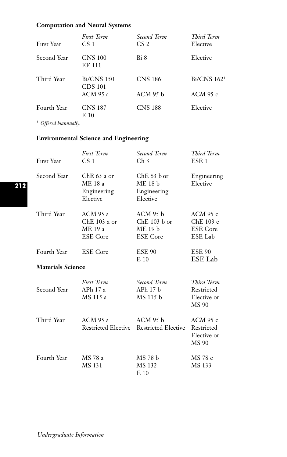## **Computation and Neural Systems**

| <b>First Year</b>                          | First Term<br>CS <sub>1</sub>   | Second Term<br>CS <sub>2</sub> | Third Term<br>Elective  |
|--------------------------------------------|---------------------------------|--------------------------------|-------------------------|
| Second Year                                | <b>CNS 100</b><br><b>EE 111</b> | Bi 8                           | Elective                |
| Third Year                                 | <b>Bi/CNS 150</b><br>CDS 101    | $CNS$ 186 <sup>1</sup>         | Bi/CNS 162 <sup>1</sup> |
|                                            | ACM 95 a                        | $ACM$ 95 $h$                   | ACM 95 $c$              |
| Fourth Year<br>$1 \wedge \alpha$ $11$ $11$ | <b>CNS 187</b><br>E 10          | <b>CNS 188</b>                 | Elective                |
|                                            |                                 |                                |                         |

*<sup>1</sup> Offered biannually.*

## **Environmental Science and Engineering**

| First Year               | <b>First Term</b><br>CS <sub>1</sub>                     | Second Term<br>Ch <sub>3</sub>                                 | Third Term<br>ESE <sub>1</sub>                      |
|--------------------------|----------------------------------------------------------|----------------------------------------------------------------|-----------------------------------------------------|
| Second Year              | $ChE 63$ a or<br>ME 18 a<br>Engineering<br>Elective      | $ChE 63$ b or<br>ME 18 b<br>Engineering<br>Elective            | Engineering<br>Elective                             |
| Third Year               | ACM 95 a<br>$Che 103$ a or<br>ME 19 a<br><b>ESE</b> Core | $ACM$ 95 $b$<br>$Che$ 103 $b$ or<br>ME 19 b<br><b>ESE</b> Core | ACM 95 c<br>ChE 103 c<br><b>ESE</b> Core<br>ESE Lab |
| Fourth Year              | <b>ESE</b> Core                                          | <b>ESE 90</b><br>E <sub>10</sub>                               | <b>ESE 90</b><br>ESE Lab                            |
| <b>Materials Science</b> |                                                          |                                                                |                                                     |
| Second Year              | <b>First Term</b><br>AP $h$ 17 a<br>MS 115 a             | Second Term<br>$APh$ 17 $h$<br>MS 115 b                        | Third Term<br>Restricted<br>Elective or<br>MS 90    |
| Third Year               | $ACM$ 95 a<br>Restricted Elective                        | $ACM$ 95 $b$<br>Restricted Elective                            | ACM 95 c<br>Restricted<br>Elective or<br>MS 90      |
| Fourth Year              | MS 78 a<br>MS 131                                        | MS 78 b<br>MS 132<br>$E_{10}$                                  | MS 78 c<br>MS 133                                   |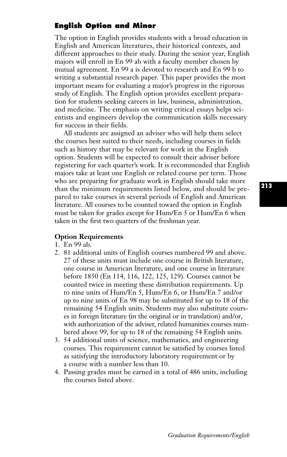## **English Option and Minor**

The option in English provides students with a broad education in English and American literatures, their historical contexts, and different approaches to their study. During the senior year, English majors will enroll in En 99 ab with a faculty member chosen by mutual agreement. En 99 a is devoted to research and En 99 b to writing a substantial research paper. This paper provides the most important means for evaluating a major's progress in the rigorous study of English. The English option provides excellent preparation for students seeking careers in law, business, administration, and medicine. The emphasis on writing critical essays helps scientists and engineers develop the communication skills necessary for success in their fields.

All students are assigned an adviser who will help them select the courses best suited to their needs, including courses in fields such as history that may be relevant for work in the English option. Students will be expected to consult their adviser before registering for each quarter's work. It is recommended that English majors take at least one English or related course per term. Those who are preparing for graduate work in English should take more than the minimum requirements listed below, and should be prepared to take courses in several periods of English and American literature. All courses to be counted toward the option in English must be taken for grades except for Hum/En 5 or Hum/En 6 when taken in the first two quarters of the freshman year.

## **Option Requirements**

- 1. En 99 ab.
- 2. 81 additional units of English courses numbered 99 and above. 27 of these units must include one course in British literature, one course in American literature, and one course in literature before 1850 (En 114, 116, 122, 125, 129). Courses cannot be counted twice in meeting these distribution requirements. Up to nine units of Hum/En 5, Hum/En 6, or Hum/En 7 and/or up to nine units of En 98 may be substituted for up to 18 of the remaining 54 English units. Students may also substitute courses in foreign literature (in the original or in translation) and/or, with authorization of the adviser, related humanities courses numbered above 99, for up to 18 of the remaining 54 English units.
- 3. 54 additional units of science, mathematics, and engineering courses. This requirement cannot be satisfied by courses listed as satisfying the introductory laboratory requirement or by a course with a number less than 10.
- 4. Passing grades must be earned in a total of 486 units, including the courses listed above.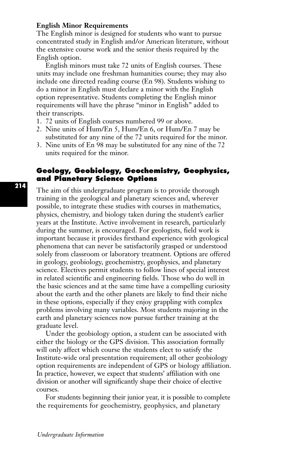### **English Minor Requirements**

The English minor is designed for students who want to pursue concentrated study in English and/or American literature, without the extensive course work and the senior thesis required by the English option.

English minors must take 72 units of English courses. These units may include one freshman humanities course; they may also include one directed reading course (En 98). Students wishing to do a minor in English must declare a minor with the English option representative. Students completing the English minor requirements will have the phrase "minor in English" added to their transcripts.

- 1. 72 units of English courses numbered 99 or above.
- 2. Nine units of Hum/En 5, Hum/En 6, or Hum/En 7 may be substituted for any nine of the 72 units required for the minor.
- 3. Nine units of En 98 may be substituted for any nine of the 72 units required for the minor.

## **Geology, Geobiology, Geochemistry, Geophysics, and Planetary Science Options**

The aim of this undergraduate program is to provide thorough training in the geological and planetary sciences and, wherever possible, to integrate these studies with courses in mathematics, physics, chemistry, and biology taken during the student's earlier years at the Institute. Active involvement in research, particularly during the summer, is encouraged. For geologists, field work is important because it provides firsthand experience with geological phenomena that can never be satisfactorily grasped or understood solely from classroom or laboratory treatment. Options are offered in geology, geobiology, geochemistry, geophysics, and planetary science. Electives permit students to follow lines of special interest in related scientific and engineering fields. Those who do well in the basic sciences and at the same time have a compelling curiosity about the earth and the other planets are likely to find their niche in these options, especially if they enjoy grappling with complex problems involving many variables. Most students majoring in the earth and planetary sciences now pursue further training at the graduate level.

Under the geobiology option, a student can be associated with either the biology or the GPS division. This association formally will only affect which course the students elect to satisfy the Institute-wide oral presentation requirement; all other geobiology option requirements are independent of GPS or biology affiliation. In practice, however, we expect that students' affiliation with one division or another will significantly shape their choice of elective courses.

For students beginning their junior year, it is possible to complete the requirements for geochemistry, geophysics, and planetary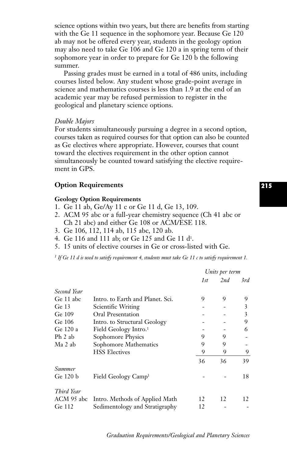science options within two years, but there are benefits from starting with the Ge 11 sequence in the sophomore year. Because Ge 120 ab may not be offered every year, students in the geology option may also need to take Ge 106 and Ge 120 a in spring term of their sophomore year in order to prepare for Ge 120 b the following summer.

Passing grades must be earned in a total of 486 units, including courses listed below. Any student whose grade-point average in science and mathematics courses is less than 1.9 at the end of an academic year may be refused permission to register in the geological and planetary science options.

#### *Double Majors*

For students simultaneously pursuing a degree in a second option, courses taken as required courses for that option can also be counted as Ge electives where appropriate. However, courses that count toward the electives requirement in the other option cannot simultaneously be counted toward satisfying the elective requirement in GPS.

### **Option Requirements**

#### **Geology Option Requirements**

- 1. Ge 11 ab, Ge/Ay 11 c or Ge 11 d, Ge 13, 109.
- 2. ACM 95 abc or a full-year chemistry sequence (Ch 41 abc or Ch 21 abc) and either Ge 108 or ACM/ESE 118.
- 3. Ge 106, 112, 114 ab, 115 abc, 120 ab.
- 4. Ge 116 and 111 ab; or Ge 125 and Ge 11 d1.
- 5. 15 units of elective courses in Ge or cross-listed with Ge.

*<sup>1</sup> If Ge 11 d is used to satisfy requirement 4, students must take Ge 11 c to satisfy requirement 1.*

|               |                                   | Units per term |     |     |
|---------------|-----------------------------------|----------------|-----|-----|
|               |                                   | 1st            | 2nd | 3rd |
| Second Year   |                                   |                |     |     |
| Ge 11 abc     | Intro. to Earth and Planet. Sci.  | 9              | 9   | 9   |
| Ge $13$       | Scientific Writing                |                |     | 3   |
| Ge 109        | Oral Presentation                 |                |     | 3   |
| Ge 106        | Intro. to Structural Geology      |                |     | 9   |
| Ge 120 a      | Field Geology Intro. <sup>1</sup> |                |     | 6   |
| Ph 2 ab       | Sophomore Physics                 | 9              | 9   |     |
| Ma 2 ab       | Sophomore Mathematics             | 9              | 9   |     |
|               | <b>HSS Electives</b>              | 9              | 9   | 9   |
|               |                                   | 36             | 36  | 39  |
| <i>Summer</i> |                                   |                |     |     |
| Ge 120 b      | Field Geology Camp <sup>1</sup>   |                |     | 18  |
| Third Year    |                                   |                |     |     |
| ACM 95 abc    | Intro. Methods of Applied Math    | 12             | 12  | 12  |
| Ge 112        | Sedimentology and Stratigraphy    | 12             |     |     |

# **215**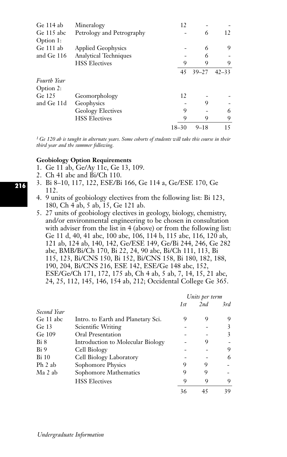| Ge 114 ab                | Mineralogy                   | 12        |           |           |
|--------------------------|------------------------------|-----------|-----------|-----------|
| Ge 115 abc<br>Option 1:  | Petrology and Petrography    |           | 6         | 12        |
| Ge 111 ab                | <b>Applied Geophysics</b>    |           | 6         | 9         |
| and Ge 116               | <b>Analytical Techniques</b> |           | 6         |           |
|                          | <b>HSS Electives</b>         | 9         | 9         | 9         |
|                          |                              | 45        | $39 - 27$ | $42 - 33$ |
| Fourth Year<br>Option 2: |                              |           |           |           |
| Ge 125                   | Geomorphology                | 12        |           |           |
| and Ge 11d               | Geophysics                   |           | 9         |           |
|                          | <b>Geology Electives</b>     | 9         |           | 6         |
|                          | <b>HSS Electives</b>         | 9         | 9         | 9         |
|                          |                              | $18 - 30$ | $9 - 18$  | 15        |

*<sup>1</sup> Ge 120 ab is taught in alternate years. Some cohorts of students will take this course in their third year and the summer following.*

### **Geobiology Option Requirements**

- 1. Ge 11 ab, Ge/Ay 11c, Ge 13, 109.
- 2. Ch 41 abc and Bi/Ch 110.
- 3. Bi 8–10, 117, 122, ESE/Bi 166, Ge 114 a, Ge/ESE 170, Ge 112.
- 4. 9 units of geobiology electives from the following list: Bi 123, 180, Ch 4 ab, 5 ab, 15, Ge 121 ab.
- 5. 27 units of geobiology electives in geology, biology, chemistry, and/or environmental engineering to be chosen in consultation with adviser from the list in 4 (above) or from the following list: Ge 11 d, 40, 41 abc, 100 abc, 106, 114 b, 115 abc, 116, 120 ab, 121 ab, 124 ab, 140, 142, Ge/ESE 149, Ge/Bi 244, 246, Ge 282 abc, BMB/Bi/Ch 170, Bi 22, 24, 90 abc, Bi/Ch 111, 113, Bi 115, 123, Bi/CNS 150, Bi 152, Bi/CNS 158, Bi 180, 182, 188, 190, 204, Bi/CNS 216, ESE 142, ESE/Ge 148 abc, 152, ESE/Ge/Ch 171, 172, 175 ab, Ch 4 ab, 5 ab, 7, 14, 15, 21 abc, 24, 25, 112, 145, 146, 154 ab, 212; Occidental College Ge 365.

|             |                                    | Units per term |     |     |
|-------------|------------------------------------|----------------|-----|-----|
|             |                                    | 1st            | 2nd | 3rd |
| Second Year |                                    |                |     |     |
| Ge 11 abc   | Intro. to Earth and Planetary Sci. | 9              | 9   | 9   |
| Ge 13       | Scientific Writing                 |                |     |     |
| Ge 109      | Oral Presentation                  |                |     |     |
| Bi 8        | Introduction to Molecular Biology  |                | 9   |     |
| Bi 9        | Cell Biology                       |                |     | 9   |
| Bi 10       | Cell Biology Laboratory            |                |     | 6   |
| Ph 2 ab     | Sophomore Physics                  | 9              | 9   |     |
| Ma 2 ab     | Sophomore Mathematics              | 9              | 9   |     |
|             | <b>HSS Electives</b>               | 9              | 9   | 9   |
|             |                                    | 36             | 45  | 39  |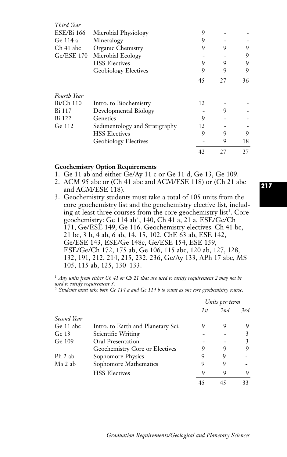| Third Year        |                                |    |    |    |
|-------------------|--------------------------------|----|----|----|
| <b>ESE/Bi 166</b> | Microbial Physiology           | 9  |    |    |
| Ge 114 a          | Mineralogy                     | 9  |    |    |
| Ch 41 abc         | Organic Chemistry              | 9  | 9  | 9  |
| <b>Ge/ESE 170</b> | Microbial Ecology              |    |    | 9  |
|                   | <b>HSS Electives</b>           | 9  | 9  | 9  |
|                   | <b>Geobiology Electives</b>    | 9  | 9  | 9  |
|                   |                                | 45 | 27 | 36 |
| Fourth Year       |                                |    |    |    |
| $Bi/Ch$ 110       | Intro. to Biochemistry         | 12 |    |    |
| Bi 117            | Developmental Biology          |    | 9  |    |
| Bi 122            | Genetics                       | 9  |    |    |
| Ge 112            | Sedimentology and Stratigraphy | 12 |    |    |
|                   | <b>HSS Electives</b>           | 9  | 9  | 9  |
|                   | <b>Geobiology Electives</b>    |    | 9  | 18 |
|                   |                                | 42 | 27 | 27 |

#### **Geochemistry Option Requirements**

- 1. Ge 11 ab and either Ge/Ay 11 c or Ge 11 d, Ge 13, Ge 109.
- 2. ACM 95 abc or (Ch 41 abc and ACM/ESE 118) or (Ch 21 abc and ACM/ESE 118).
- 3. Geochemistry students must take a total of 105 units from the core geochemistry list and the geochemistry elective list, including at least three courses from the core geochemistry list<sup>1</sup>. Core geochemistry: Ge 114 ab*<sup>2</sup>* , 140, Ch 41 a, 21 a, ESE/Ge/Ch 171, Ge/ESE 149, Ge 116. Geochemistry electives: Ch 41 bc, 21 bc, 3 b, 4 ab, 6 ab, 14, 15, 102, ChE 63 ab, ESE 142, Ge/ESE 143, ESE/Ge 148c, Ge/ESE 154, ESE 159, ESE/Ge/Ch 172, 175 ab, Ge 106, 115 abc, 120 ab, 127, 128, 132, 191, 212, 214, 215, 232, 236, Ge/Ay 133, APh 17 abc, MS 105, 115 ab, 125, 130–133.

*<sup>1</sup> Any units from either Ch 41 or Ch 21 that are used to satisfy requirement 2 may not be*

*used to satisfy requirement 3. 2 Students must take both Ge 114 a and Ge 114 b to count as one core geochemistry course.*

|             |                                    | Units per term |     |     |
|-------------|------------------------------------|----------------|-----|-----|
|             |                                    | 1st            | 2nd | 3rd |
| Second Year |                                    |                |     |     |
| Ge 11 abc   | Intro. to Earth and Planetary Sci. | 9              | 9   | 9   |
| Ge 13       | Scientific Writing                 |                |     |     |
| Ge 109      | Oral Presentation                  |                |     | 3   |
|             | Geochemistry Core or Electives     | 9              | 9   | 9   |
| Ph 2 ab     | Sophomore Physics                  | 9              | 9   |     |
| Ma 2 ab     | Sophomore Mathematics              | 9              | 9   |     |
|             | <b>HSS Electives</b>               | 9              | 9   | 9   |
|             |                                    |                | 45  | 33  |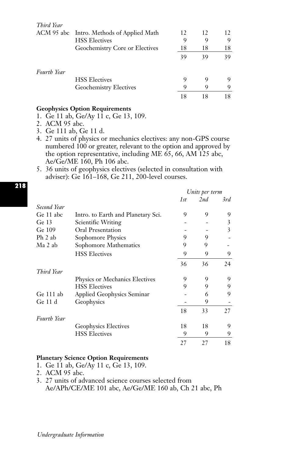| Third Year         |                                           |    |    |    |
|--------------------|-------------------------------------------|----|----|----|
|                    | ACM 95 abc Intro. Methods of Applied Math | 12 | 12 | 12 |
|                    | <b>HSS</b> Electives                      | 9  | 9  | Q  |
|                    | Geochemistry Core or Electives            | 18 | 18 | 18 |
|                    |                                           | 39 | 39 | 39 |
| <b>Fourth Year</b> |                                           |    |    |    |
|                    | <b>HSS Electives</b>                      | 9  | 9  | 9  |
|                    | Geochemistry Electives                    | 9  | 9  |    |
|                    |                                           | 18 | 18 | 18 |

## **Geophysics Option Requirements**

- 1. Ge 11 ab, Ge/Ay 11 c, Ge 13, 109.
- 2. ACM 95 abc.
- 3. Ge 111 ab, Ge 11 d.
- 4. 27 units of physics or mechanics electives: any non-GPS course numbered 100 or greater, relevant to the option and approved by the option representative, including ME 65, 66, AM 125 abc, Ae/Ge/ME 160, Ph 106 abc.
- 5. 36 units of geophysics electives (selected in consultation with adviser): Ge 161–168, Ge 211, 200-level courses.

|                  |                                    | Units per term |     |     |
|------------------|------------------------------------|----------------|-----|-----|
|                  |                                    | 1st            | 2nd | 3rd |
| Second Year      |                                    |                |     |     |
| Ge 11 abc        | Intro. to Earth and Planetary Sci. | 9              | 9   | 9   |
| Ge <sub>13</sub> | Scientific Writing                 |                |     | 3   |
| Ge 109           | Oral Presentation                  |                |     | 3   |
| Ph 2 ab          | Sophomore Physics                  | 9              | 9   |     |
| Ma 2 ab          | Sophomore Mathematics              | 9              | 9   |     |
|                  | <b>HSS Electives</b>               | 9              | 9   | 9   |
|                  |                                    | 36             | 36  | 24  |
| Third Year       |                                    |                |     |     |
|                  | Physics or Mechanics Electives     | 9              | 9   | 9   |
|                  | <b>HSS Electives</b>               | 9              | 9   | 9   |
| Ge 111 ab        | Applied Geophysics Seminar         |                | 6   | 9   |
| Ge 11 d          | Geophysics                         |                | 9   |     |
|                  |                                    | 18             | 33  | 27  |
| Fourth Year      |                                    |                |     |     |
|                  | Geophysics Electives               | 18             | 18  | 9   |
|                  | <b>HSS Electives</b>               | 9              | 9   | 9   |
|                  |                                    | 27             | 27  | 18  |

### **Planetary Science Option Requirements**

- 1. Ge 11 ab, Ge/Ay 11 c, Ge 13, 109.
- 2. ACM 95 abc.
- 3. 27 units of advanced science courses selected from Ae/APh/CE/ME 101 abc, Ae/Ge/ME 160 ab, Ch 21 abc, Ph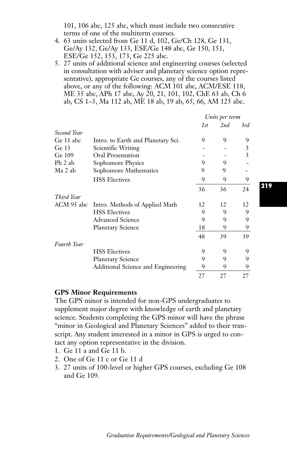101, 106 abc, 125 abc, which must include two consecutive terms of one of the multiterm courses.

- 4. 63 units selected from Ge 11 d, 102, Ge/Ch 128, Ge 131, Ge/Ay 132, Ge/Ay 133, ESE/Ge 148 abc, Ge 150, 151, ESE/Ge 152, 153, 173, Ge 225 abc.
- 5. 27 units of additional science and engineering courses (selected in consultation with adviser and planetary science option representative), appropriate Ge courses, any of the courses listed above, or any of the following: ACM 101 abc, ACM/ESE 118, ME 35 abc, APh 17 abc, Ay 20, 21, 101, 102, ChE 63 ab, Ch 6 ab, CS 1–3, Ma 112 ab, ME 18 ab, 19 ab, 65, 66, AM 125 abc.

|             |                                    | Units per term |     |     |
|-------------|------------------------------------|----------------|-----|-----|
|             |                                    | 1st            | 2nd | 3rd |
| Second Year |                                    |                |     |     |
| Ge 11 abc   | Intro. to Earth and Planetary Sci. | 9              | 9   | 9   |
| Ge $13$     | Scientific Writing                 |                |     | 3   |
| Ge 109      | Oral Presentation                  |                |     | 3   |
| Ph 2 ab     | Sophomore Physics                  | 9              | 9   |     |
| Ma 2 ab     | Sophomore Mathematics              | 9              | 9   |     |
|             | <b>HSS Electives</b>               | 9              | 9   | 9   |
|             |                                    | 36             | 36  | 24  |
| Third Year  |                                    |                |     |     |
| ACM 95 abc  | Intro. Methods of Applied Math     | 12             | 12  | 12  |
|             | <b>HSS Electives</b>               | 9              | 9   | 9   |
|             | <b>Advanced Science</b>            | 9              | 9   | 9   |
|             | <b>Planetary Science</b>           | 18             | 9   | 9   |
|             |                                    | 48             | 39  | 39  |
| Fourth Year |                                    |                |     |     |
|             | <b>HSS Electives</b>               | 9              | 9   | 9   |
|             | <b>Planetary Science</b>           | 9              | 9   | 9   |
|             | Additional Science and Engineering | 9              | 9   |     |
|             |                                    | 27             | 27  | 27  |

### **GPS Minor Requirements**

The GPS minor is intended for non-GPS undergraduates to supplement major degree with knowledge of earth and planetary science. Students completing the GPS minor will have the phrase "minor in Geological and Planetary Sciences" added to their transcript. Any student interested in a minor in GPS is urged to contact any option representative in the division.

- 1. Ge 11 a and Ge 11 b.
- 2. One of Ge 11 c or Ge 11 d
- 3. 27 units of 100-level or higher GPS courses, excluding Ge 108 and Ge 109.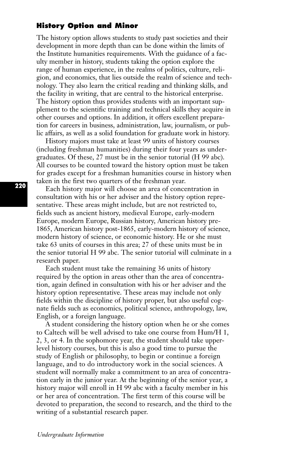## **History Option and Minor**

The history option allows students to study past societies and their development in more depth than can be done within the limits of the Institute humanities requirements. With the guidance of a faculty member in history, students taking the option explore the range of human experience, in the realms of politics, culture, religion, and economics, that lies outside the realm of science and technology. They also learn the critical reading and thinking skills, and the facility in writing, that are central to the historical enterprise. The history option thus provides students with an important supplement to the scientific training and technical skills they acquire in other courses and options. In addition, it offers excellent preparation for careers in business, administration, law, journalism, or public affairs, as well as a solid foundation for graduate work in history.

History majors must take at least 99 units of history courses (including freshman humanities) during their four years as undergraduates. Of these, 27 must be in the senior tutorial (H 99 abc). All courses to be counted toward the history option must be taken for grades except for a freshman humanities course in history when taken in the first two quarters of the freshman year.

Each history major will choose an area of concentration in consultation with his or her adviser and the history option representative. These areas might include, but are not restricted to, fields such as ancient history, medieval Europe, early-modern Europe, modern Europe, Russian history, American history pre-1865, American history post-1865, early-modern history of science, modern history of science, or economic history. He or she must take 63 units of courses in this area; 27 of these units must be in the senior tutorial H 99 abc. The senior tutorial will culminate in a research paper.

Each student must take the remaining 36 units of history required by the option in areas other than the area of concentration, again defined in consultation with his or her adviser and the history option representative. These areas may include not only fields within the discipline of history proper, but also useful cognate fields such as economics, political science, anthropology, law, English, or a foreign language.

A student considering the history option when he or she comes to Caltech will be well advised to take one course from Hum/H 1, 2, 3, or 4. In the sophomore year, the student should take upperlevel history courses, but this is also a good time to pursue the study of English or philosophy, to begin or continue a foreign language, and to do introductory work in the social sciences. A student will normally make a commitment to an area of concentration early in the junior year. At the beginning of the senior year, a history major will enroll in H 99 abc with a faculty member in his or her area of concentration. The first term of this course will be devoted to preparation, the second to research, and the third to the writing of a substantial research paper.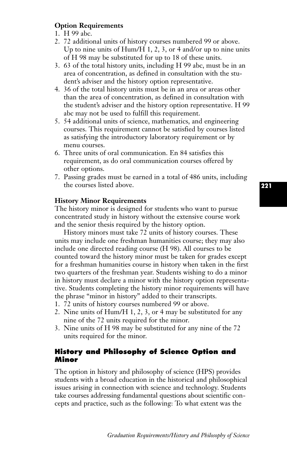## **Option Requirements**

- 1. H 99 abc.
- 2. 72 additional units of history courses numbered 99 or above. Up to nine units of Hum/H 1, 2, 3, or 4 and/or up to nine units of H 98 may be substituted for up to 18 of these units.
- 3. 63 of the total history units, including H 99 abc, must be in an area of concentration, as defined in consultation with the student's adviser and the history option representative.
- 4. 36 of the total history units must be in an area or areas other than the area of concentration, as defined in consultation with the student's adviser and the history option representative. H 99 abc may not be used to fulfill this requirement.
- 5. 54 additional units of science, mathematics, and engineering courses. This requirement cannot be satisfied by courses listed as satisfying the introductory laboratory requirement or by menu courses.
- 6. Three units of oral communication. En 84 satisfies this requirement, as do oral communication courses offered by other options.
- 7. Passing grades must be earned in a total of 486 units, including the courses listed above.

### **History Minor Requirements**

The history minor is designed for students who want to pursue concentrated study in history without the extensive course work and the senior thesis required by the history option.

History minors must take 72 units of history courses. These units may include one freshman humanities course; they may also include one directed reading course (H 98). All courses to be counted toward the history minor must be taken for grades except for a freshman humanities course in history when taken in the first two quarters of the freshman year. Students wishing to do a minor in history must declare a minor with the history option representative. Students completing the history minor requirements will have the phrase "minor in history" added to their transcripts.

- 1. 72 units of history courses numbered 99 or above.
- 2. Nine units of Hum/H 1, 2, 3, or 4 may be substituted for any nine of the 72 units required for the minor.
- 3. Nine units of H 98 may be substituted for any nine of the 72 units required for the minor.

## **History and Philosophy of Science Option and Minor**

The option in history and philosophy of science (HPS) provides students with a broad education in the historical and philosophical issues arising in connection with science and technology. Students take courses addressing fundamental questions about scientific concepts and practice, such as the following: To what extent was the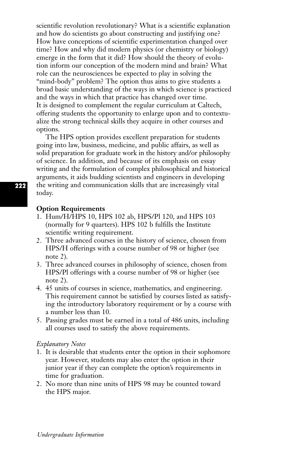scientific revolution revolutionary? What is a scientific explanation and how do scientists go about constructing and justifying one? How have conceptions of scientific experimentation changed over time? How and why did modern physics (or chemistry or biology) emerge in the form that it did? How should the theory of evolution inform our conception of the modern mind and brain? What role can the neurosciences be expected to play in solving the "mind-body" problem? The option thus aims to give students a broad basic understanding of the ways in which science is practiced and the ways in which that practice has changed over time. It is designed to complement the regular curriculum at Caltech, offering students the opportunity to enlarge upon and to contextualize the strong technical skills they acquire in other courses and options.

The HPS option provides excellent preparation for students going into law, business, medicine, and public affairs, as well as solid preparation for graduate work in the history and/or philosophy of science. In addition, and because of its emphasis on essay writing and the formulation of complex philosophical and historical arguments, it aids budding scientists and engineers in developing the writing and communication skills that are increasingly vital today.

### **Option Requirements**

- 1. Hum/H/HPS 10, HPS 102 ab, HPS/Pl 120, and HPS 103 (normally for 9 quarters). HPS 102 b fulfills the Institute scientific writing requirement.
- 2. Three advanced courses in the history of science, chosen from HPS/H offerings with a course number of 98 or higher (see note 2).
- 3. Three advanced courses in philosophy of science, chosen from HPS/Pl offerings with a course number of 98 or higher (see note 2).
- 4. 45 units of courses in science, mathematics, and engineering. This requirement cannot be satisfied by courses listed as satisfying the introductory laboratory requirement or by a course with a number less than 10.
- 5. Passing grades must be earned in a total of 486 units, including all courses used to satisfy the above requirements.

### *Explanatory Notes*

- 1. It is desirable that students enter the option in their sophomore year. However, students may also enter the option in their junior year if they can complete the option's requirements in time for graduation.
- 2. No more than nine units of HPS 98 may be counted toward the HPS major.

**222**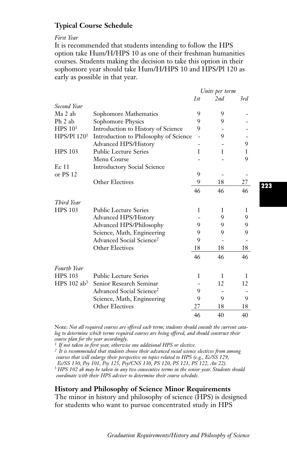## **Typical Course Schedule**

*First Year*

It is recommended that students intending to follow the HPS option take Hum/H/HPS 10 as one of their freshman humanities courses. Students making the decision to take this option in their sophomore year should take Hum/H/HPS 10 and HPS/Pl 120 as early as possible in that year.

|                         |                                       | Units per term |     |     |
|-------------------------|---------------------------------------|----------------|-----|-----|
|                         |                                       | 1st            | 2nd | 3rd |
| Second Year             |                                       |                |     |     |
| Ma 2 ab                 | Sophomore Mathematics                 | 9              | 9   |     |
| Ph 2 ab                 | Sophomore Physics                     | 9              | 9   |     |
| HPS 10 <sup>1</sup>     | Introduction to History of Science    | 9              |     |     |
| HPS/P1120 <sup>1</sup>  | Introduction to Philosophy of Science |                | 9   |     |
|                         | Advanced HPS/History                  |                |     | 9   |
| <b>HPS 103</b>          | <b>Public Lecture Series</b>          | 1              | 1   | 1   |
|                         | Menu Course                           |                |     | 9   |
| Ec 11                   | <b>Introductory Social Science</b>    |                |     |     |
| or PS 12                |                                       | 9              |     |     |
|                         | Other Electives                       | 9              | 18  | 27  |
|                         |                                       | 46             | 46  | 46  |
| Third Year              |                                       |                |     |     |
| <b>HPS 103</b>          | <b>Public Lecture Series</b>          | 1              | 1   | 1   |
|                         | <b>Advanced HPS/History</b>           |                | 9   | 9   |
|                         | Advanced HPS/Philosophy               | 9              | 9   | 9   |
|                         | Science, Math, Engineering            | 9              | 9   | 9   |
|                         | Advanced Social Science <sup>2</sup>  | 9              |     |     |
|                         | <b>Other Electives</b>                | 18             | 18  | 18  |
|                         |                                       | 46             | 46  | 46  |
| Fourth Year             |                                       |                |     |     |
| <b>HPS 103</b>          | <b>Public Lecture Series</b>          | 1              | 1   | 1   |
| HPS 102 ab <sup>3</sup> | Senior Research Seminar               |                | 12  | 12  |
|                         | Advanced Social Science <sup>2</sup>  | 9              |     |     |
|                         | Science, Math, Engineering            | 9              | 9   | 9   |
|                         | Other Electives                       | 27             | 18  | 18  |
|                         |                                       | 46             | 40  | 40  |

Note: *Not all required courses are offered each term; students should consult the current catalog to determine which terms required courses are being offered, and should construct their course plan for the year accordingly.*

*<sup>1</sup> If not taken in first year, otherwise one additional HPS or elective.*

*<sup>2</sup> It is recommended that students choose their advanced social science electives from among courses that will enlarge their perspective on topics related to HPS (e.g., Ec/SS 129,* 

*Ec/SS 130, Psy 101, Psy 125, Psy/CNS 130, PS 120, PS 121, PS 122, An 22).*

<sup>3</sup> *HPS 102 ab may be taken in any two consecutive terms in the senior year. Students should coordinate with their HPS adviser to determine their course schedule.*

**History and Philosophy of Science Minor Requirements**

The minor in history and philosophy of science (HPS) is designed for students who want to pursue concentrated study in HPS

**223**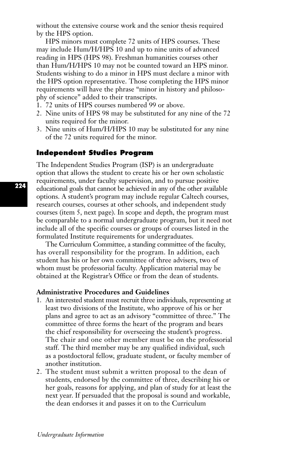without the extensive course work and the senior thesis required by the HPS option.

HPS minors must complete 72 units of HPS courses. These may include Hum/H/HPS 10 and up to nine units of advanced reading in HPS (HPS 98). Freshman humanities courses other than Hum/H/HPS 10 may not be counted toward an HPS minor. Students wishing to do a minor in HPS must declare a minor with the HPS option representative. Those completing the HPS minor requirements will have the phrase "minor in history and philosophy of science" added to their transcripts.

- 1. 72 units of HPS courses numbered 99 or above.
- 2. Nine units of HPS 98 may be substituted for any nine of the 72 units required for the minor.
- 3. Nine units of Hum/H/HPS 10 may be substituted for any nine of the 72 units required for the minor.

## **Independent Studies Program**

The Independent Studies Program (ISP) is an undergraduate option that allows the student to create his or her own scholastic requirements, under faculty supervision, and to pursue positive educational goals that cannot be achieved in any of the other available options. A student's program may include regular Caltech courses, research courses, courses at other schools, and independent study courses (item 5, next page). In scope and depth, the program must be comparable to a normal undergraduate program, but it need not include all of the specific courses or groups of courses listed in the formulated Institute requirements for undergraduates.

The Curriculum Committee, a standing committee of the faculty, has overall responsibility for the program. In addition, each student has his or her own committee of three advisers, two of whom must be professorial faculty. Application material may be obtained at the Registrar's Office or from the dean of students.

#### **Administrative Procedures and Guidelines**

- 1. An interested student must recruit three individuals, representing at least two divisions of the Institute, who approve of his or her plans and agree to act as an advisory "committee of three.'' The committee of three forms the heart of the program and bears the chief responsibility for overseeing the student's progress. The chair and one other member must be on the professorial staff. The third member may be any qualified individual, such as a postdoctoral fellow, graduate student, or faculty member of another institution.
- 2. The student must submit a written proposal to the dean of students, endorsed by the committee of three, describing his or her goals, reasons for applying, and plan of study for at least the next year. If persuaded that the proposal is sound and workable, the dean endorses it and passes it on to the Curriculum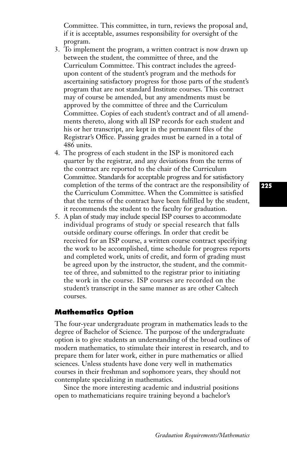Committee. This committee, in turn, reviews the proposal and, if it is acceptable, assumes responsibility for oversight of the program.

- 3. To implement the program, a written contract is now drawn up between the student, the committee of three, and the Curriculum Committee. This contract includes the agreedupon content of the student's program and the methods for ascertaining satisfactory progress for those parts of the student's program that are not standard Institute courses. This contract may of course be amended, but any amendments must be approved by the committee of three and the Curriculum Committee. Copies of each student's contract and of all amendments thereto, along with all ISP records for each student and his or her transcript, are kept in the permanent files of the Registrar's Office. Passing grades must be earned in a total of 486 units.
- 4. The progress of each student in the ISP is monitored each quarter by the registrar, and any deviations from the terms of the contract are reported to the chair of the Curriculum Committee. Standards for acceptable progress and for satisfactory completion of the terms of the contract are the responsibility of the Curriculum Committee. When the Committee is satisfied that the terms of the contract have been fulfilled by the student, it recommends the student to the faculty for graduation.
- 5. A plan of study may include special ISP courses to accommodate individual programs of study or special research that falls outside ordinary course offerings. In order that credit be received for an ISP course, a written course contract specifying the work to be accomplished, time schedule for progress reports and completed work, units of credit, and form of grading must be agreed upon by the instructor, the student, and the committee of three, and submitted to the registrar prior to initiating the work in the course. ISP courses are recorded on the student's transcript in the same manner as are other Caltech courses.

### **Mathematics Option**

The four-year undergraduate program in mathematics leads to the degree of Bachelor of Science. The purpose of the undergraduate option is to give students an understanding of the broad outlines of modern mathematics, to stimulate their interest in research, and to prepare them for later work, either in pure mathematics or allied sciences. Unless students have done very well in mathematics courses in their freshman and sophomore years, they should not contemplate specializing in mathematics.

Since the more interesting academic and industrial positions open to mathematicians require training beyond a bachelor's

**225**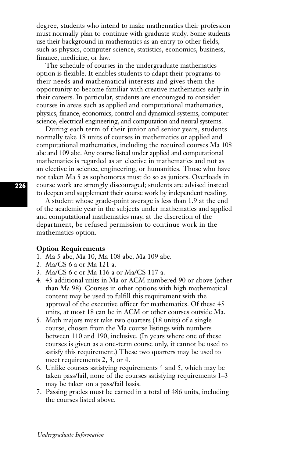degree, students who intend to make mathematics their profession must normally plan to continue with graduate study. Some students use their background in mathematics as an entry to other fields, such as physics, computer science, statistics, economics, business, finance, medicine, or law.

The schedule of courses in the undergraduate mathematics option is flexible. It enables students to adapt their programs to their needs and mathematical interests and gives them the opportunity to become familiar with creative mathematics early in their careers. In particular, students are encouraged to consider courses in areas such as applied and computational mathematics, physics, finance, economics, control and dynamical systems, computer science, electrical engineering, and computation and neural systems.

During each term of their junior and senior years, students normally take 18 units of courses in mathematics or applied and computational mathematics, including the required courses Ma 108 abc and 109 abc. Any course listed under applied and computational mathematics is regarded as an elective in mathematics and not as an elective in science, engineering, or humanities. Those who have not taken Ma 5 as sophomores must do so as juniors. Overloads in course work are strongly discouraged; students are advised instead to deepen and supplement their course work by independent reading.

A student whose grade-point average is less than 1.9 at the end of the academic year in the subjects under mathematics and applied and computational mathematics may, at the discretion of the department, be refused permission to continue work in the mathematics option.

### **Option Requirements**

- 1. Ma 5 abc, Ma 10, Ma 108 abc, Ma 109 abc.
- 2. Ma/CS 6 a or Ma 121 a.
- 3. Ma/CS 6 c or Ma 116 a or Ma/CS 117 a.
- 4. 45 additional units in Ma or ACM numbered 90 or above (other than Ma 98). Courses in other options with high mathematical content may be used to fulfill this requirement with the approval of the executive officer for mathematics. Of these 45 units, at most 18 can be in ACM or other courses outside Ma.
- 5. Math majors must take two quarters (18 units) of a single course, chosen from the Ma course listings with numbers between 110 and 190, inclusive. (In years where one of these courses is given as a one-term course only, it cannot be used to satisfy this requirement.) These two quarters may be used to meet requirements 2, 3, or 4.
- 6. Unlike courses satisfying requirements 4 and 5, which may be taken pass/fail, none of the courses satisfying requirements 1–3 may be taken on a pass/fail basis.
- 7. Passing grades must be earned in a total of 486 units, including the courses listed above.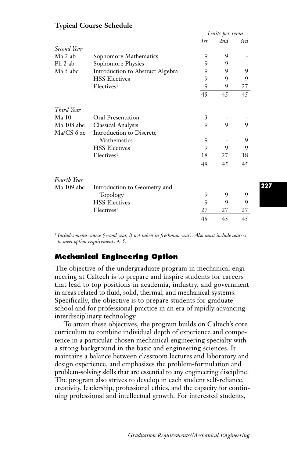|                  |                                  | Units per term |     |     |
|------------------|----------------------------------|----------------|-----|-----|
|                  |                                  | 1st            | 2nd | 3rd |
| Second Year      |                                  |                |     |     |
| Ma 2 ab          | Sophomore Mathematics            | 9              | 9   |     |
| Ph 2 ab          | Sophomore Physics                | 9              | 9   |     |
| Ma 5 abc         | Introduction to Abstract Algebra | 9              | 9   | 9   |
|                  | <b>HSS Electives</b>             | 9              | 9   | 9   |
|                  | Electives <sup>1</sup>           | 9              | 9   | 27  |
|                  |                                  | 45             | 45  | 45  |
| Third Year       |                                  |                |     |     |
| Ma <sub>10</sub> | Oral Presentation                | 3              |     |     |
| Ma 108 abc       | Classical Analysis               | 9              | 9   | 9   |
| Ma/CS 6 ac       | Introduction to Discrete         |                |     |     |
|                  | Mathematics                      | 9              |     | 9   |
|                  | <b>HSS Electives</b>             | 9              | 9   | 9   |
|                  | Electives <sup>1</sup>           | 18             | 27  | 18  |
|                  |                                  | 48             | 45  | 45  |
| Fourth Year      |                                  |                |     |     |
| Ma 109 abc       | Introduction to Geometry and     |                |     |     |
|                  | Topology                         | 9              | 9   | 9   |
|                  | <b>HSS Electives</b>             | 9              | 9   | 9   |
|                  | Electives <sup>1</sup>           | 27             | 27  | 27  |
|                  |                                  | 45             | 45  | 45  |

## **Typical Course Schedule**

*<sup>1</sup> Includes menu course (second year, if not taken in freshman year). Also must include courses to meet option requirements 4, 5.*

## **Mechanical Engineering Option**

The objective of the undergraduate program in mechanical engineering at Caltech is to prepare and inspire students for careers that lead to top positions in academia, industry, and government in areas related to fluid, solid, thermal, and mechanical systems. Specifically, the objective is to prepare students for graduate school and for professional practice in an era of rapidly advancing interdisciplinary technology.

To attain these objectives, the program builds on Caltech's core curriculum to combine individual depth of experience and competence in a particular chosen mechanical engineering specialty with a strong background in the basic and engineering sciences. It maintains a balance between classroom lectures and laboratory and design experience, and emphasizes the problem-formulation and problem-solving skills that are essential to any engineering discipline. The program also strives to develop in each student self-reliance, creativity, leadership, professional ethics, and the capacity for continuing professional and intellectual growth. For interested students,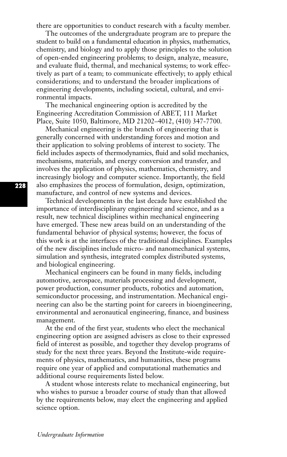there are opportunities to conduct research with a faculty member.

The outcomes of the undergraduate program are to prepare the student to build on a fundamental education in physics, mathematics, chemistry, and biology and to apply those principles to the solution of open-ended engineering problems; to design, analyze, measure, and evaluate fluid, thermal, and mechanical systems; to work effectively as part of a team; to communicate effectively; to apply ethical considerations; and to understand the broader implications of engineering developments, including societal, cultural, and environmental impacts.

The mechanical engineering option is accredited by the Engineering Accreditation Commission of ABET, 111 Market Place, Suite 1050, Baltimore, MD 21202–4012, (410) 347-7700.

Mechanical engineering is the branch of engineering that is generally concerned with understanding forces and motion and their application to solving problems of interest to society. The field includes aspects of thermodynamics, fluid and solid mechanics, mechanisms, materials, and energy conversion and transfer, and involves the application of physics, mathematics, chemistry, and increasingly biology and computer science. Importantly, the field also emphasizes the process of formulation, design, optimization, manufacture, and control of new systems and devices.

Technical developments in the last decade have established the importance of interdisciplinary engineering and science, and as a result, new technical disciplines within mechanical engineering have emerged. These new areas build on an understanding of the fundamental behavior of physical systems; however, the focus of this work is at the interfaces of the traditional disciplines. Examples of the new disciplines include micro- and nanomechanical systems, simulation and synthesis, integrated complex distributed systems, and biological engineering.

Mechanical engineers can be found in many fields, including automotive, aerospace, materials processing and development, power production, consumer products, robotics and automation, semiconductor processing, and instrumentation. Mechanical engineering can also be the starting point for careers in bioengineering, environmental and aeronautical engineering, finance, and business management.

At the end of the first year, students who elect the mechanical engineering option are assigned advisers as close to their expressed field of interest as possible, and together they develop programs of study for the next three years. Beyond the Institute-wide requirements of physics, mathematics, and humanities, these programs require one year of applied and computational mathematics and additional course requirements listed below.

A student whose interests relate to mechanical engineering, but who wishes to pursue a broader course of study than that allowed by the requirements below, may elect the engineering and applied science option.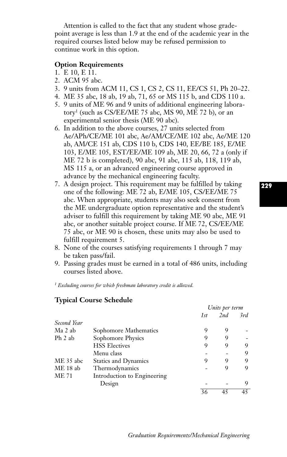Attention is called to the fact that any student whose gradepoint average is less than 1.9 at the end of the academic year in the required courses listed below may be refused permission to continue work in this option.

### **Option Requirements**

- 1. E 10, E 11.
- 2. ACM 95 abc.
- 3. 9 units from ACM 11, CS 1, CS 2, CS 11, EE/CS 51, Ph 20–22.
- 4. ME 35 abc, 18 ab, 19 ab, 71, 65 or MS 115 b, and CDS 110 a.
- 5. 9 units of ME 96 and 9 units of additional engineering laboratory1 (such as CS/EE/ME 75 abc, MS 90, ME 72 b), or an experimental senior thesis (ME 90 abc).
- 6. In addition to the above courses, 27 units selected from Ae/APh/CE/ME 101 abc, Ae/AM/CE/ME 102 abc, Ae/ME 120 ab, AM/CE 151 ab, CDS 110 b, CDS 140, EE/BE 185, E/ME 103, E/ME 105, EST/EE/ME 109 ab, ME 20, 66, 72 a (only if ME 72 b is completed), 90 abc, 91 abc, 115 ab, 118, 119 ab, MS 115 a, or an advanced engineering course approved in advance by the mechanical engineering faculty.
- 7. A design project. This requirement may be fulfilled by taking one of the following: ME 72 ab, E/ME 105, CS/EE/ME 75 abc. When appropriate, students may also seek consent from the ME undergraduate option representative and the student's adviser to fulfill this requirement by taking ME 90 abc, ME 91 abc, or another suitable project course. If ME 72, CS/EE/ME 75 abc, or ME 90 is chosen, these units may also be used to fulfill requirement 5.
- 8. None of the courses satisfying requirements 1 through 7 may be taken pass/fail.
- 9. Passing grades must be earned in a total of 486 units, including courses listed above.

*<sup>1</sup> Excluding courses for which freshman laboratory credit is allowed.*

### **Typical Course Schedule**

|              |                             | Units per term |     |     |
|--------------|-----------------------------|----------------|-----|-----|
|              |                             | 1st            | 2nd | 3rd |
| Second Year  |                             |                |     |     |
| Ma 2 ab      | Sophomore Mathematics       | 9              | 9   |     |
| Ph 2 ab      | Sophomore Physics           | 9              | 9   |     |
|              | <b>HSS Electives</b>        | 9              | 9   | 9   |
|              | Menu class                  |                |     | 9   |
| ME 35 abc    | <b>Statics and Dynamics</b> | 9              | 9   | 9   |
| $ME18$ ab    | Thermodynamics              |                | 9   | 9   |
| <b>ME 71</b> | Introduction to Engineering |                |     |     |
|              | Design                      |                |     | 9   |
|              |                             | 36             | 45  | 45  |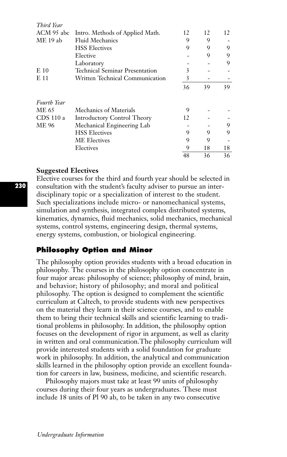| топа нат           |                                       |    |    |    |
|--------------------|---------------------------------------|----|----|----|
| ACM 95 abc         | Intro. Methods of Applied Math.       | 12 | 12 | 12 |
| ME 19 ab           | <b>Fluid Mechanics</b>                | 9  | 9  |    |
|                    | <b>HSS Electives</b>                  | 9  | 9  | 9  |
|                    | Elective                              |    | 9  | 9  |
|                    | Laboratory                            |    |    | 9  |
| E 10               | <b>Technical Seminar Presentation</b> | 3  |    |    |
| E 11               | Written Technical Communication       | 3  |    |    |
|                    |                                       | 36 | 39 | 39 |
| <b>Fourth Year</b> |                                       |    |    |    |
| ME 65              | Mechanics of Materials                | 9  |    |    |
| CDS 110 a          | <b>Introductory Control Theory</b>    | 12 |    |    |
| ME 96              | Mechanical Engineering Lab            |    |    | 9  |
|                    | <b>HSS Electives</b>                  | 9  | 9  | 9  |
|                    | <b>ME</b> Electives                   | 9  | 9  |    |
|                    | Electives                             | 9  | 18 | 18 |
|                    |                                       | 48 | 36 | 36 |

### **Suggested Electives**

*Third Year*

Elective courses for the third and fourth year should be selected in consultation with the student's faculty adviser to pursue an interdisciplinary topic or a specialization of interest to the student. Such specializations include micro- or nanomechanical systems, simulation and synthesis, integrated complex distributed systems, kinematics, dynamics, fluid mechanics, solid mechanics, mechanical systems, control systems, engineering design, thermal systems, energy systems, combustion, or biological engineering.

## **Philosophy Option and Minor**

The philosophy option provides students with a broad education in philosophy. The courses in the philosophy option concentrate in four major areas: philosophy of science; philosophy of mind, brain, and behavior; history of philosophy; and moral and political philosophy. The option is designed to complement the scientific curriculum at Caltech, to provide students with new perspectives on the material they learn in their science courses, and to enable them to bring their technical skills and scientific learning to traditional problems in philosophy. In addition, the philosophy option focuses on the development of rigor in argument, as well as clarity in written and oral communication.The philosophy curriculum will provide interested students with a solid foundation for graduate work in philosophy. In addition, the analytical and communication skills learned in the philosophy option provide an excellent foundation for careers in law, business, medicine, and scientific research.

Philosophy majors must take at least 99 units of philosophy courses during their four years as undergraduates. These must include 18 units of Pl 90 ab, to be taken in any two consecutive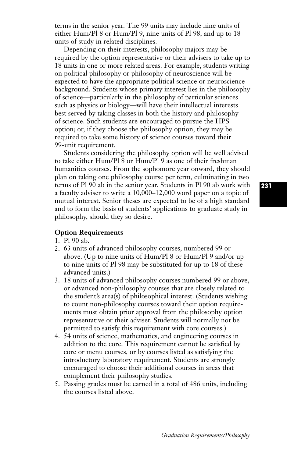terms in the senior year. The 99 units may include nine units of either Hum/Pl 8 or Hum/Pl 9, nine units of Pl 98, and up to 18 units of study in related disciplines.

Depending on their interests, philosophy majors may be required by the option representative or their advisers to take up to 18 units in one or more related areas. For example, students writing on political philosophy or philosophy of neuroscience will be expected to have the appropriate political science or neuroscience background. Students whose primary interest lies in the philosophy of science—particularly in the philosophy of particular sciences such as physics or biology—will have their intellectual interests best served by taking classes in both the history and philosophy of science. Such students are encouraged to pursue the HPS option; or, if they choose the philosophy option, they may be required to take some history of science courses toward their 99-unit requirement.

Students considering the philosophy option will be well advised to take either Hum/Pl 8 or Hum/Pl 9 as one of their freshman humanities courses. From the sophomore year onward, they should plan on taking one philosophy course per term, culminating in two terms of Pl 90 ab in the senior year. Students in Pl 90 ab work with a faculty adviser to write a 10,000–12,000 word paper on a topic of mutual interest. Senior theses are expected to be of a high standard and to form the basis of students' applications to graduate study in philosophy, should they so desire.

### **Option Requirements**

- 1. Pl 90 ab.
- 2. 63 units of advanced philosophy courses, numbered 99 or above. (Up to nine units of Hum/Pl 8 or Hum/Pl 9 and/or up to nine units of Pl 98 may be substituted for up to 18 of these advanced units.)
- 3. 18 units of advanced philosophy courses numbered 99 or above, or advanced non-philosophy courses that are closely related to the student's area(s) of philosophical interest. (Students wishing to count non-philosophy courses toward their option requirements must obtain prior approval from the philosophy option representative or their adviser. Students will normally not be permitted to satisfy this requirement with core courses.)
- 4. 54 units of science, mathematics, and engineering courses in addition to the core. This requirement cannot be satisfied by core or menu courses, or by courses listed as satisfying the introductory laboratory requirement. Students are strongly encouraged to choose their additional courses in areas that complement their philosophy studies.
- 5. Passing grades must be earned in a total of 486 units, including the courses listed above.

**231**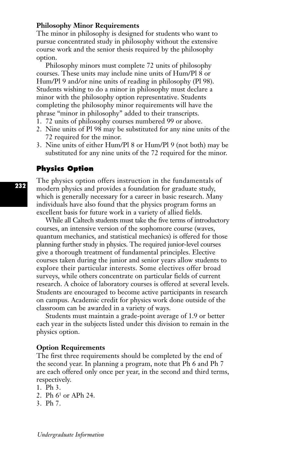### **Philosophy Minor Requirements**

The minor in philosophy is designed for students who want to pursue concentrated study in philosophy without the extensive course work and the senior thesis required by the philosophy option.

Philosophy minors must complete 72 units of philosophy courses. These units may include nine units of Hum/Pl 8 or Hum/Pl 9 and/or nine units of reading in philosophy (Pl 98). Students wishing to do a minor in philosophy must declare a minor with the philosophy option representative. Students completing the philosophy minor requirements will have the phrase "minor in philosophy" added to their transcripts.

- 1. 72 units of philosophy courses numbered 99 or above.
- 2. Nine units of Pl 98 may be substituted for any nine units of the 72 required for the minor.
- 3. Nine units of either Hum/Pl 8 or Hum/Pl 9 (not both) may be substituted for any nine units of the 72 required for the minor.

### **Physics Option**

The physics option offers instruction in the fundamentals of modern physics and provides a foundation for graduate study, which is generally necessary for a career in basic research. Many individuals have also found that the physics program forms an excellent basis for future work in a variety of allied fields.

While all Caltech students must take the five terms of introductory courses, an intensive version of the sophomore course (waves, quantum mechanics, and statistical mechanics) is offered for those planning further study in physics. The required junior-level courses give a thorough treatment of fundamental principles. Elective courses taken during the junior and senior years allow students to explore their particular interests. Some electives offer broad surveys, while others concentrate on particular fields of current research. A choice of laboratory courses is offered at several levels. Students are encouraged to become active participants in research on campus. Academic credit for physics work done outside of the classroom can be awarded in a variety of ways.

Students must maintain a grade-point average of 1.9 or better each year in the subjects listed under this division to remain in the physics option.

### **Option Requirements**

The first three requirements should be completed by the end of the second year. In planning a program, note that Ph 6 and Ph 7 are each offered only once per year, in the second and third terms, respectively.

- 1. Ph 3.
- 2. Ph 61 or APh 24.
- 3. Ph 7.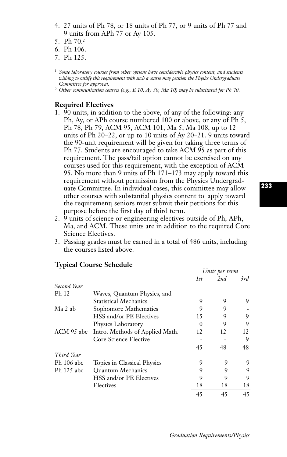- 4. 27 units of Ph 78, or 18 units of Ph 77, or 9 units of Ph 77 and 9 units from APh 77 or Ay 105.
- 5. Ph 70.2
- 6. Ph 106.
- 7. Ph 125.
- *<sup>1</sup> Some laboratory courses from other options have considerable physics content, and students wishing to satisfy this requirement with such a course may petition the Physics Undergraduate Committee for approval.*
- *<sup>2</sup> Other communication courses (e.g., E 10, Ay 30, Ma 10) may be substituted for Ph 70.*

### **Required Electives**

- 1. 90 units, in addition to the above, of any of the following: any Ph, Ay, or APh course numbered 100 or above, or any of Ph 5, Ph 78, Ph 79, ACM 95, ACM 101, Ma 5, Ma 108, up to 12 units of Ph 20–22, or up to 10 units of Ay 20–21. 9 units toward the 90-unit requirement will be given for taking three terms of Ph 77. Students are encouraged to take ACM 95 as part of this requirement. The pass/fail option cannot be exercised on any courses used for this requirement, with the exception of ACM 95. No more than 9 units of Ph 171–173 may apply toward this requirement without permission from the Physics Undergraduate Committee. In individual cases, this committee may allow other courses with substantial physics content to apply toward the requirement; seniors must submit their petitions for this purpose before the first day of third term.
- 2. 9 units of science or engineering electives outside of Ph, APh, Ma, and ACM. These units are in addition to the required Core Science Electives.
- 3. Passing grades must be earned in a total of 486 units, including the courses listed above.

# **Typical Course Schedule**

|              |                                 | Units per term |     |     |
|--------------|---------------------------------|----------------|-----|-----|
|              |                                 | 1st            | 2nd | 3rd |
| Second Year  |                                 |                |     |     |
| Ph 12        | Waves, Quantum Physics, and     |                |     |     |
|              | <b>Statistical Mechanics</b>    | 9              | 9   | 9   |
| Ma 2 ab      | Sophomore Mathematics           | 9              | 9   |     |
|              | HSS and/or PE Electives         | 15             | 9   | 9   |
|              | Physics Laboratory              | 0              | 9   | 9   |
| ACM 95 abc   | Intro. Methods of Applied Math. | 12             | 12  | 12  |
|              | Core Science Elective           |                |     | 9   |
|              |                                 | 45             | 48  | 48  |
| Third Year   |                                 |                |     |     |
| $Ph$ 106 abc | Topics in Classical Physics     | 9              | 9   | 9   |
| Ph 125 abc   | <b>Ouantum Mechanics</b>        | 9              | 9   | 9   |
|              | HSS and/or PE Electives         | 9              | 9   | 9   |
|              | Electives                       | 18             | 18  | 18  |
|              |                                 | 45             | 45  | 45  |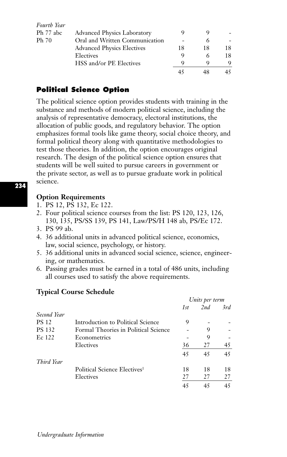| Fourth Year |                                    |    |    |    |
|-------------|------------------------------------|----|----|----|
| Ph 77 abc   | <b>Advanced Physics Laboratory</b> |    |    |    |
| Ph 70       | Oral and Written Communication     |    |    |    |
|             | <b>Advanced Physics Electives</b>  | 18 | 18 |    |
|             | Electives                          |    |    | 18 |
|             | HSS and/or PE Electives            |    |    |    |
|             |                                    |    |    |    |

# **Political Science Option**

The political science option provides students with training in the substance and methods of modern political science, including the analysis of representative democracy, electoral institutions, the allocation of public goods, and regulatory behavior. The option emphasizes formal tools like game theory, social choice theory, and formal political theory along with quantitative methodologies to test those theories. In addition, the option encourages original research. The design of the political science option ensures that students will be well suited to pursue careers in government or the private sector, as well as to pursue graduate work in political science.

## **Option Requirements**

- 1. PS 12, PS 132, Ec 122.
- 2. Four political science courses from the list: PS 120, 123, 126, 130, 135, PS/SS 139, PS 141, Law/PS/H 148 ab, PS/Ec 172.
- 3. PS 99 ab.
- 4. 36 additional units in advanced political science, economics, law, social science, psychology, or history.
- 5. 36 additional units in advanced social science, science, engineering, or mathematics.
- 6. Passing grades must be earned in a total of 486 units, including all courses used to satisfy the above requirements.

|               |                                          | Units per term |     |     |
|---------------|------------------------------------------|----------------|-----|-----|
|               |                                          | 1st            | 2nd | 3rd |
| Second Year   |                                          |                |     |     |
| <b>PS 12</b>  | Introduction to Political Science        | 9              |     |     |
| <b>PS 132</b> | Formal Theories in Political Science     |                | 9   |     |
| Ec 122        | Econometrics                             |                | 9   |     |
|               | Electives                                | 36             | 27  | 45  |
|               |                                          | 45             | 45  | 45  |
| Third Year    |                                          |                |     |     |
|               | Political Science Electives <sup>1</sup> | 18             | 18  | 18  |
|               | Electives                                | 27             | 27  | 27  |
|               |                                          | 45             | 45  | 45  |

# **Typical Course Schedule**